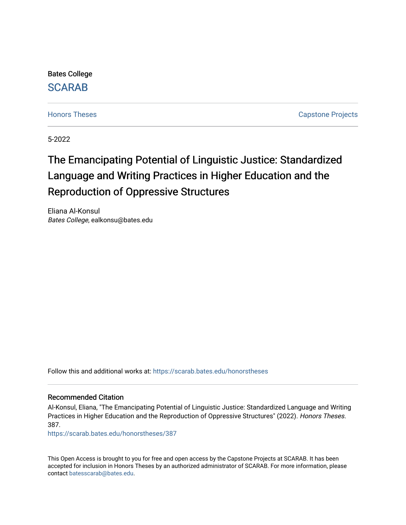Bates College [SCARAB](https://scarab.bates.edu/) 

[Honors Theses](https://scarab.bates.edu/honorstheses) **Capstone Projects** 

5-2022

# The Emancipating Potential of Linguistic Justice: Standardized Language and Writing Practices in Higher Education and the Reproduction of Oppressive Structures

Eliana Al-Konsul Bates College, ealkonsu@bates.edu

Follow this and additional works at: [https://scarab.bates.edu/honorstheses](https://scarab.bates.edu/honorstheses?utm_source=scarab.bates.edu%2Fhonorstheses%2F387&utm_medium=PDF&utm_campaign=PDFCoverPages) 

#### Recommended Citation

Al-Konsul, Eliana, "The Emancipating Potential of Linguistic Justice: Standardized Language and Writing Practices in Higher Education and the Reproduction of Oppressive Structures" (2022). Honors Theses. 387.

[https://scarab.bates.edu/honorstheses/387](https://scarab.bates.edu/honorstheses/387?utm_source=scarab.bates.edu%2Fhonorstheses%2F387&utm_medium=PDF&utm_campaign=PDFCoverPages) 

This Open Access is brought to you for free and open access by the Capstone Projects at SCARAB. It has been accepted for inclusion in Honors Theses by an authorized administrator of SCARAB. For more information, please contact [batesscarab@bates.edu](mailto:batesscarab@bates.edu).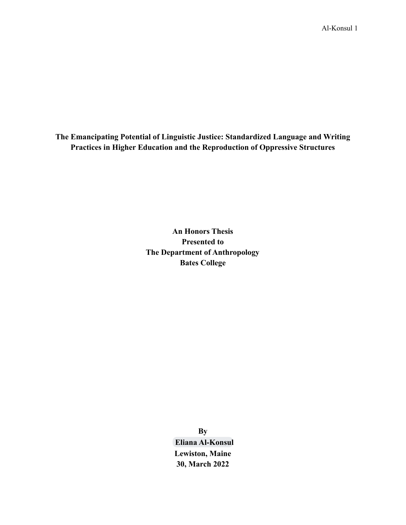**The Emancipating Potential of Linguistic Justice: Standardized Language and Writing Practices in Higher Education and the Reproduction of Oppressive Structures**

> **An Honors Thesis Presented to The Department of Anthropology Bates College**

> > **By [Eliana Al-Konsul](mailto:ealkonsu@bates.edu) Lewiston, Maine 30, March 2022**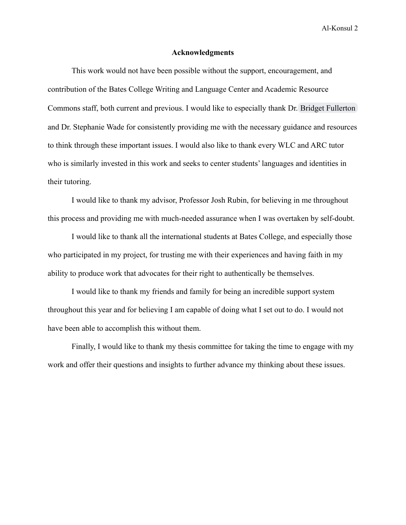#### **Acknowledgments**

This work would not have been possible without the support, encouragement, and contribution of the Bates College Writing and Language Center and Academic Resource Commons staff, both current and previous. I would like to especially thank Dr. [Bridget Fullerton](mailto:bfullert@bates.edu) and Dr. Stephanie Wade for consistently providing me with the necessary guidance and resources to think through these important issues. I would also like to thank every WLC and ARC tutor who is similarly invested in this work and seeks to center students' languages and identities in their tutoring.

I would like to thank my advisor, Professor Josh Rubin, for believing in me throughout this process and providing me with much-needed assurance when I was overtaken by self-doubt.

I would like to thank all the international students at Bates College, and especially those who participated in my project, for trusting me with their experiences and having faith in my ability to produce work that advocates for their right to authentically be themselves.

I would like to thank my friends and family for being an incredible support system throughout this year and for believing I am capable of doing what I set out to do. I would not have been able to accomplish this without them.

Finally, I would like to thank my thesis committee for taking the time to engage with my work and offer their questions and insights to further advance my thinking about these issues.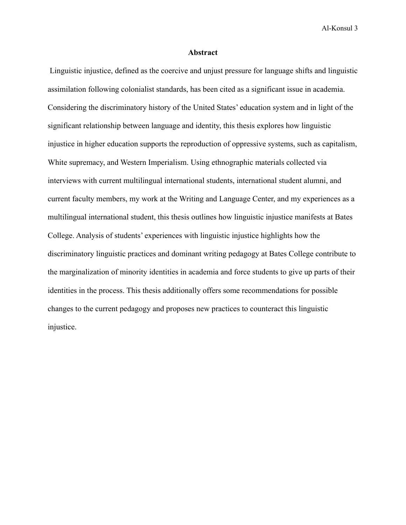#### **Abstract**

Linguistic injustice, defined as the coercive and unjust pressure for language shifts and linguistic assimilation following colonialist standards, has been cited as a significant issue in academia. Considering the discriminatory history of the United States' education system and in light of the significant relationship between language and identity, this thesis explores how linguistic injustice in higher education supports the reproduction of oppressive systems, such as capitalism, White supremacy, and Western Imperialism. Using ethnographic materials collected via interviews with current multilingual international students, international student alumni, and current faculty members, my work at the Writing and Language Center, and my experiences as a multilingual international student, this thesis outlines how linguistic injustice manifests at Bates College. Analysis of students' experiences with linguistic injustice highlights how the discriminatory linguistic practices and dominant writing pedagogy at Bates College contribute to the marginalization of minority identities in academia and force students to give up parts of their identities in the process. This thesis additionally offers some recommendations for possible changes to the current pedagogy and proposes new practices to counteract this linguistic injustice.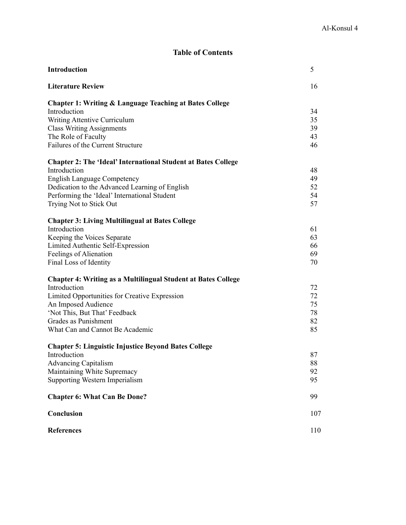# **Table of Contents**

| <b>Introduction</b>                                                     | 5        |
|-------------------------------------------------------------------------|----------|
| <b>Literature Review</b>                                                | 16       |
| <b>Chapter 1: Writing &amp; Language Teaching at Bates College</b>      |          |
| Introduction                                                            | 34       |
| Writing Attentive Curriculum                                            | 35       |
| <b>Class Writing Assignments</b>                                        | 39       |
| The Role of Faculty<br>Failures of the Current Structure                | 43<br>46 |
|                                                                         |          |
| <b>Chapter 2: The 'Ideal' International Student at Bates College</b>    |          |
| Introduction                                                            | 48       |
| <b>English Language Competency</b>                                      | 49       |
| Dedication to the Advanced Learning of English                          | 52<br>54 |
| Performing the 'Ideal' International Student<br>Trying Not to Stick Out | 57       |
|                                                                         |          |
| <b>Chapter 3: Living Multilingual at Bates College</b>                  |          |
| Introduction                                                            | 61       |
| Keeping the Voices Separate                                             | 63       |
| Limited Authentic Self-Expression                                       | 66       |
| Feelings of Alienation                                                  | 69       |
| Final Loss of Identity                                                  | 70       |
| <b>Chapter 4: Writing as a Multilingual Student at Bates College</b>    |          |
| Introduction                                                            | 72       |
| Limited Opportunities for Creative Expression                           | 72       |
| An Imposed Audience                                                     | 75       |
| 'Not This, But That' Feedback<br>Grades as Punishment                   | 78<br>82 |
| What Can and Cannot Be Academic                                         | 85       |
|                                                                         |          |
| <b>Chapter 5: Linguistic Injustice Beyond Bates College</b>             |          |
| Introduction                                                            | 87       |
| <b>Advancing Capitalism</b>                                             | 88       |
| Maintaining White Supremacy                                             | 92       |
| Supporting Western Imperialism                                          | 95       |
| <b>Chapter 6: What Can Be Done?</b>                                     | 99       |
| Conclusion                                                              | 107      |
| <b>References</b>                                                       | 110      |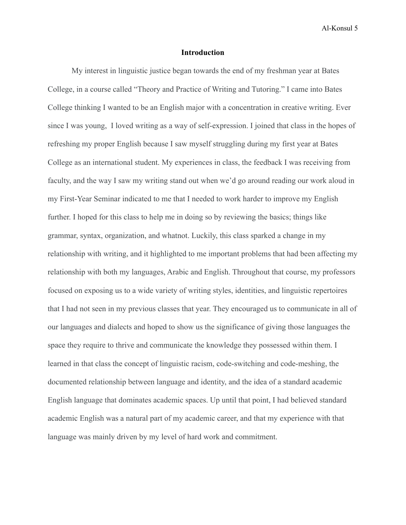#### **Introduction**

My interest in linguistic justice began towards the end of my freshman year at Bates College, in a course called "Theory and Practice of Writing and Tutoring." I came into Bates College thinking I wanted to be an English major with a concentration in creative writing. Ever since I was young, I loved writing as a way of self-expression. I joined that class in the hopes of refreshing my proper English because I saw myself struggling during my first year at Bates College as an international student. My experiences in class, the feedback I was receiving from faculty, and the way I saw my writing stand out when we'd go around reading our work aloud in my First-Year Seminar indicated to me that I needed to work harder to improve my English further. I hoped for this class to help me in doing so by reviewing the basics; things like grammar, syntax, organization, and whatnot. Luckily, this class sparked a change in my relationship with writing, and it highlighted to me important problems that had been affecting my relationship with both my languages, Arabic and English. Throughout that course, my professors focused on exposing us to a wide variety of writing styles, identities, and linguistic repertoires that I had not seen in my previous classes that year. They encouraged us to communicate in all of our languages and dialects and hoped to show us the significance of giving those languages the space they require to thrive and communicate the knowledge they possessed within them. I learned in that class the concept of linguistic racism, code-switching and code-meshing, the documented relationship between language and identity, and the idea of a standard academic English language that dominates academic spaces. Up until that point, I had believed standard academic English was a natural part of my academic career, and that my experience with that language was mainly driven by my level of hard work and commitment.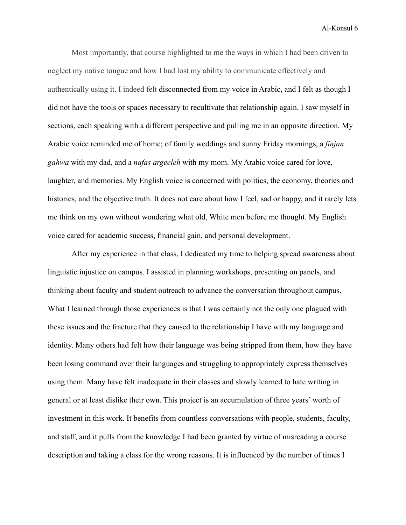Most importantly, that course highlighted to me the ways in which I had been driven to neglect my native tongue and how I had lost my ability to communicate effectively and authentically using it. I indeed felt disconnected from my voice in Arabic, and I felt as though I did not have the tools or spaces necessary to recultivate that relationship again. I saw myself in sections, each speaking with a different perspective and pulling me in an opposite direction. My Arabic voice reminded me of home; of family weddings and sunny Friday mornings, a *finjan gahwa* with my dad, and a *nafas argeeleh* with my mom. My Arabic voice cared for love, laughter, and memories. My English voice is concerned with politics, the economy, theories and histories, and the objective truth. It does not care about how I feel, sad or happy, and it rarely lets me think on my own without wondering what old, White men before me thought. My English voice cared for academic success, financial gain, and personal development.

After my experience in that class, I dedicated my time to helping spread awareness about linguistic injustice on campus. I assisted in planning workshops, presenting on panels, and thinking about faculty and student outreach to advance the conversation throughout campus. What I learned through those experiences is that I was certainly not the only one plagued with these issues and the fracture that they caused to the relationship I have with my language and identity. Many others had felt how their language was being stripped from them, how they have been losing command over their languages and struggling to appropriately express themselves using them. Many have felt inadequate in their classes and slowly learned to hate writing in general or at least dislike their own. This project is an accumulation of three years' worth of investment in this work. It benefits from countless conversations with people, students, faculty, and staff, and it pulls from the knowledge I had been granted by virtue of misreading a course description and taking a class for the wrong reasons. It is influenced by the number of times I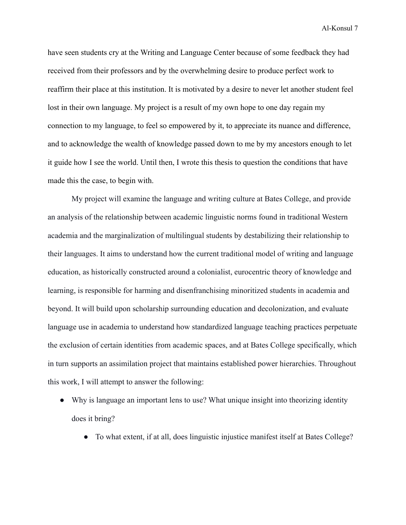have seen students cry at the Writing and Language Center because of some feedback they had received from their professors and by the overwhelming desire to produce perfect work to reaffirm their place at this institution. It is motivated by a desire to never let another student feel lost in their own language. My project is a result of my own hope to one day regain my connection to my language, to feel so empowered by it, to appreciate its nuance and difference, and to acknowledge the wealth of knowledge passed down to me by my ancestors enough to let it guide how I see the world. Until then, I wrote this thesis to question the conditions that have made this the case, to begin with.

My project will examine the language and writing culture at Bates College, and provide an analysis of the relationship between academic linguistic norms found in traditional Western academia and the marginalization of multilingual students by destabilizing their relationship to their languages. It aims to understand how the current traditional model of writing and language education, as historically constructed around a colonialist, eurocentric theory of knowledge and learning, is responsible for harming and disenfranchising minoritized students in academia and beyond. It will build upon scholarship surrounding education and decolonization, and evaluate language use in academia to understand how standardized language teaching practices perpetuate the exclusion of certain identities from academic spaces, and at Bates College specifically, which in turn supports an assimilation project that maintains established power hierarchies. Throughout this work, I will attempt to answer the following:

- Why is language an important lens to use? What unique insight into theorizing identity does it bring?
	- To what extent, if at all, does linguistic injustice manifest itself at Bates College?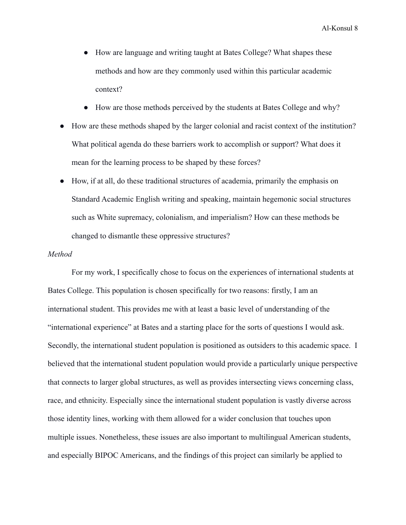- How are language and writing taught at Bates College? What shapes these methods and how are they commonly used within this particular academic context?
- How are those methods perceived by the students at Bates College and why?
- How are these methods shaped by the larger colonial and racist context of the institution? What political agenda do these barriers work to accomplish or support? What does it mean for the learning process to be shaped by these forces?
- How, if at all, do these traditional structures of academia, primarily the emphasis on Standard Academic English writing and speaking, maintain hegemonic social structures such as White supremacy, colonialism, and imperialism? How can these methods be changed to dismantle these oppressive structures?

#### *Method*

For my work, I specifically chose to focus on the experiences of international students at Bates College. This population is chosen specifically for two reasons: firstly, I am an international student. This provides me with at least a basic level of understanding of the "international experience" at Bates and a starting place for the sorts of questions I would ask. Secondly, the international student population is positioned as outsiders to this academic space. I believed that the international student population would provide a particularly unique perspective that connects to larger global structures, as well as provides intersecting views concerning class, race, and ethnicity. Especially since the international student population is vastly diverse across those identity lines, working with them allowed for a wider conclusion that touches upon multiple issues. Nonetheless, these issues are also important to multilingual American students, and especially BIPOC Americans, and the findings of this project can similarly be applied to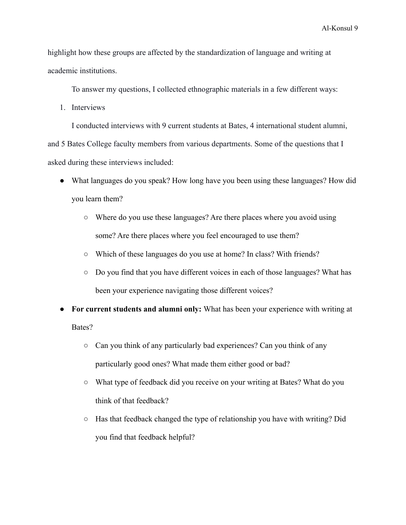highlight how these groups are affected by the standardization of language and writing at academic institutions.

To answer my questions, I collected ethnographic materials in a few different ways:

1. Interviews

I conducted interviews with 9 current students at Bates, 4 international student alumni, and 5 Bates College faculty members from various departments. Some of the questions that I asked during these interviews included:

- What languages do you speak? How long have you been using these languages? How did you learn them?
	- Where do you use these languages? Are there places where you avoid using some? Are there places where you feel encouraged to use them?
	- Which of these languages do you use at home? In class? With friends?
	- Do you find that you have different voices in each of those languages? What has been your experience navigating those different voices?
- **For current students and alumni only:** What has been your experience with writing at Bates?
	- Can you think of any particularly bad experiences? Can you think of any particularly good ones? What made them either good or bad?
	- What type of feedback did you receive on your writing at Bates? What do you think of that feedback?
	- Has that feedback changed the type of relationship you have with writing? Did you find that feedback helpful?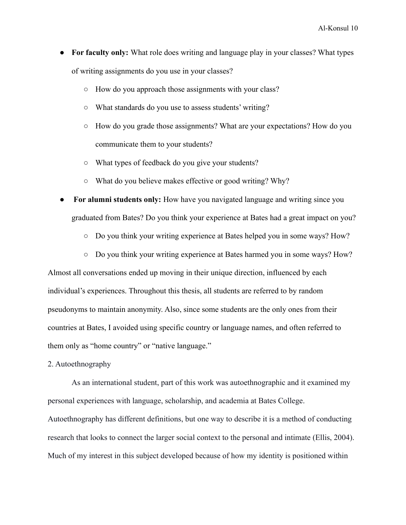- **For faculty only:** What role does writing and language play in your classes? What types of writing assignments do you use in your classes?
	- How do you approach those assignments with your class?
	- What standards do you use to assess students' writing?
	- How do you grade those assignments? What are your expectations? How do you communicate them to your students?
	- What types of feedback do you give your students?
	- What do you believe makes effective or good writing? Why?
- For alumni students only: How have you navigated language and writing since you graduated from Bates? Do you think your experience at Bates had a great impact on you?
	- Do you think your writing experience at Bates helped you in some ways? How?
	- Do you think your writing experience at Bates harmed you in some ways? How?

Almost all conversations ended up moving in their unique direction, influenced by each individual's experiences. Throughout this thesis, all students are referred to by random pseudonyms to maintain anonymity. Also, since some students are the only ones from their countries at Bates, I avoided using specific country or language names, and often referred to them only as "home country" or "native language."

2. Autoethnography

As an international student, part of this work was autoethnographic and it examined my personal experiences with language, scholarship, and academia at Bates College. Autoethnography has different definitions, but one way to describe it is a method of conducting research that looks to connect the larger social context to the personal and intimate (Ellis, 2004). Much of my interest in this subject developed because of how my identity is positioned within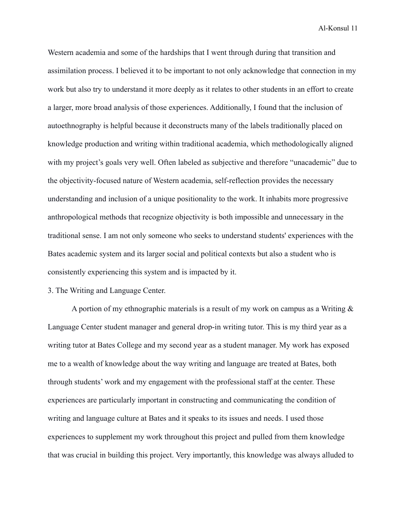Western academia and some of the hardships that I went through during that transition and assimilation process. I believed it to be important to not only acknowledge that connection in my work but also try to understand it more deeply as it relates to other students in an effort to create a larger, more broad analysis of those experiences. Additionally, I found that the inclusion of autoethnography is helpful because it deconstructs many of the labels traditionally placed on knowledge production and writing within traditional academia, which methodologically aligned with my project's goals very well. Often labeled as subjective and therefore "unacademic" due to the objectivity-focused nature of Western academia, self-reflection provides the necessary understanding and inclusion of a unique positionality to the work. It inhabits more progressive anthropological methods that recognize objectivity is both impossible and unnecessary in the traditional sense. I am not only someone who seeks to understand students' experiences with the Bates academic system and its larger social and political contexts but also a student who is consistently experiencing this system and is impacted by it.

3. The Writing and Language Center.

A portion of my ethnographic materials is a result of my work on campus as a Writing & Language Center student manager and general drop-in writing tutor. This is my third year as a writing tutor at Bates College and my second year as a student manager. My work has exposed me to a wealth of knowledge about the way writing and language are treated at Bates, both through students' work and my engagement with the professional staff at the center. These experiences are particularly important in constructing and communicating the condition of writing and language culture at Bates and it speaks to its issues and needs. I used those experiences to supplement my work throughout this project and pulled from them knowledge that was crucial in building this project. Very importantly, this knowledge was always alluded to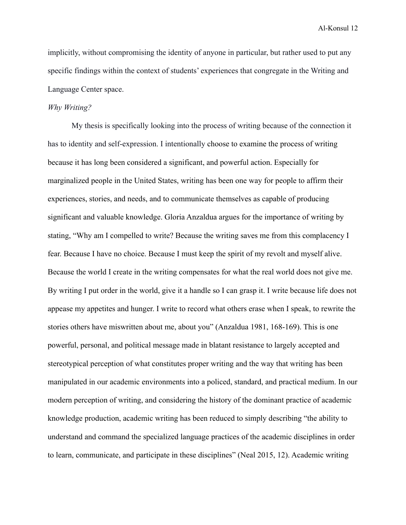implicitly, without compromising the identity of anyone in particular, but rather used to put any specific findings within the context of students' experiences that congregate in the Writing and Language Center space.

#### *Why Writing?*

My thesis is specifically looking into the process of writing because of the connection it has to identity and self-expression. I intentionally choose to examine the process of writing because it has long been considered a significant, and powerful action. Especially for marginalized people in the United States, writing has been one way for people to affirm their experiences, stories, and needs, and to communicate themselves as capable of producing significant and valuable knowledge. Gloria Anzaldua argues for the importance of writing by stating, "Why am I compelled to write? Because the writing saves me from this complacency I fear. Because I have no choice. Because I must keep the spirit of my revolt and myself alive. Because the world I create in the writing compensates for what the real world does not give me. By writing I put order in the world, give it a handle so I can grasp it. I write because life does not appease my appetites and hunger. I write to record what others erase when I speak, to rewrite the stories others have miswritten about me, about you" (Anzaldua 1981, 168-169). This is one powerful, personal, and political message made in blatant resistance to largely accepted and stereotypical perception of what constitutes proper writing and the way that writing has been manipulated in our academic environments into a policed, standard, and practical medium. In our modern perception of writing, and considering the history of the dominant practice of academic knowledge production, academic writing has been reduced to simply describing "the ability to understand and command the specialized language practices of the academic disciplines in order to learn, communicate, and participate in these disciplines" (Neal 2015, 12). Academic writing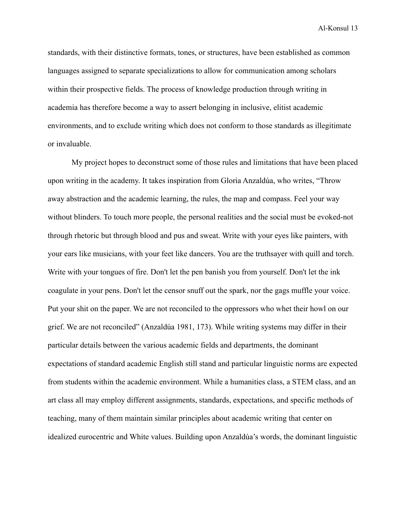standards, with their distinctive formats, tones, or structures, have been established as common languages assigned to separate specializations to allow for communication among scholars within their prospective fields. The process of knowledge production through writing in academia has therefore become a way to assert belonging in inclusive, elitist academic environments, and to exclude writing which does not conform to those standards as illegitimate or invaluable.

My project hopes to deconstruct some of those rules and limitations that have been placed upon writing in the academy. It takes inspiration from Gloria Anzaldúa, who writes, "Throw away abstraction and the academic learning, the rules, the map and compass. Feel your way without blinders. To touch more people, the personal realities and the social must be evoked-not through rhetoric but through blood and pus and sweat. Write with your eyes like painters, with your ears like musicians, with your feet like dancers. You are the truthsayer with quill and torch. Write with your tongues of fire. Don't let the pen banish you from yourself. Don't let the ink coagulate in your pens. Don't let the censor snuff out the spark, nor the gags muffle your voice. Put your shit on the paper. We are not reconciled to the oppressors who whet their howl on our grief. We are not reconciled" (Anzaldúa 1981, 173). While writing systems may differ in their particular details between the various academic fields and departments, the dominant expectations of standard academic English still stand and particular linguistic norms are expected from students within the academic environment. While a humanities class, a STEM class, and an art class all may employ different assignments, standards, expectations, and specific methods of teaching, many of them maintain similar principles about academic writing that center on idealized eurocentric and White values. Building upon Anzaldúa's words, the dominant linguistic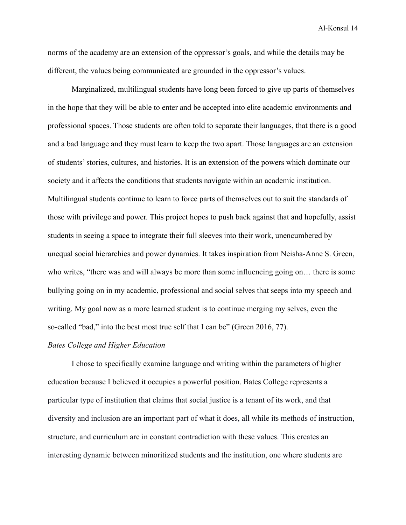norms of the academy are an extension of the oppressor's goals, and while the details may be different, the values being communicated are grounded in the oppressor's values.

Marginalized, multilingual students have long been forced to give up parts of themselves in the hope that they will be able to enter and be accepted into elite academic environments and professional spaces. Those students are often told to separate their languages, that there is a good and a bad language and they must learn to keep the two apart. Those languages are an extension of students' stories, cultures, and histories. It is an extension of the powers which dominate our society and it affects the conditions that students navigate within an academic institution. Multilingual students continue to learn to force parts of themselves out to suit the standards of those with privilege and power. This project hopes to push back against that and hopefully, assist students in seeing a space to integrate their full sleeves into their work, unencumbered by unequal social hierarchies and power dynamics. It takes inspiration from Neisha-Anne S. Green, who writes, "there was and will always be more than some influencing going on… there is some bullying going on in my academic, professional and social selves that seeps into my speech and writing. My goal now as a more learned student is to continue merging my selves, even the so-called "bad," into the best most true self that I can be" (Green 2016, 77).

### *Bates College and Higher Education*

I chose to specifically examine language and writing within the parameters of higher education because I believed it occupies a powerful position. Bates College represents a particular type of institution that claims that social justice is a tenant of its work, and that diversity and inclusion are an important part of what it does, all while its methods of instruction, structure, and curriculum are in constant contradiction with these values. This creates an interesting dynamic between minoritized students and the institution, one where students are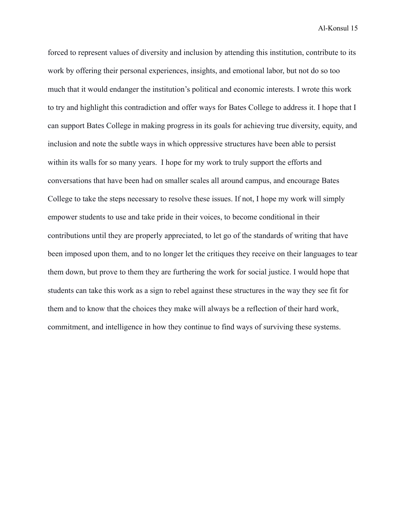forced to represent values of diversity and inclusion by attending this institution, contribute to its work by offering their personal experiences, insights, and emotional labor, but not do so too much that it would endanger the institution's political and economic interests. I wrote this work to try and highlight this contradiction and offer ways for Bates College to address it. I hope that I can support Bates College in making progress in its goals for achieving true diversity, equity, and inclusion and note the subtle ways in which oppressive structures have been able to persist within its walls for so many years. I hope for my work to truly support the efforts and conversations that have been had on smaller scales all around campus, and encourage Bates College to take the steps necessary to resolve these issues. If not, I hope my work will simply empower students to use and take pride in their voices, to become conditional in their contributions until they are properly appreciated, to let go of the standards of writing that have been imposed upon them, and to no longer let the critiques they receive on their languages to tear them down, but prove to them they are furthering the work for social justice. I would hope that students can take this work as a sign to rebel against these structures in the way they see fit for them and to know that the choices they make will always be a reflection of their hard work, commitment, and intelligence in how they continue to find ways of surviving these systems.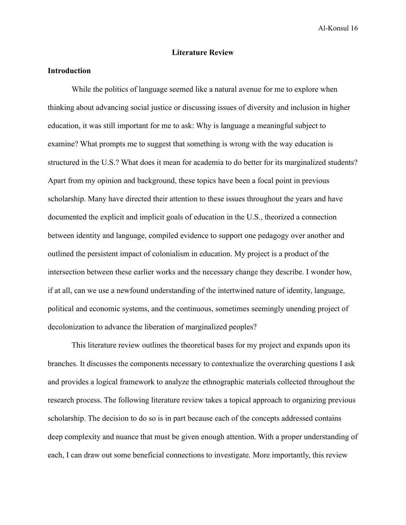#### **Literature Review**

# **Introduction**

While the politics of language seemed like a natural avenue for me to explore when thinking about advancing social justice or discussing issues of diversity and inclusion in higher education, it was still important for me to ask: Why is language a meaningful subject to examine? What prompts me to suggest that something is wrong with the way education is structured in the U.S.? What does it mean for academia to do better for its marginalized students? Apart from my opinion and background, these topics have been a focal point in previous scholarship. Many have directed their attention to these issues throughout the years and have documented the explicit and implicit goals of education in the U.S., theorized a connection between identity and language, compiled evidence to support one pedagogy over another and outlined the persistent impact of colonialism in education. My project is a product of the intersection between these earlier works and the necessary change they describe. I wonder how, if at all, can we use a newfound understanding of the intertwined nature of identity, language, political and economic systems, and the continuous, sometimes seemingly unending project of decolonization to advance the liberation of marginalized peoples?

This literature review outlines the theoretical bases for my project and expands upon its branches. It discusses the components necessary to contextualize the overarching questions I ask and provides a logical framework to analyze the ethnographic materials collected throughout the research process. The following literature review takes a topical approach to organizing previous scholarship. The decision to do so is in part because each of the concepts addressed contains deep complexity and nuance that must be given enough attention. With a proper understanding of each, I can draw out some beneficial connections to investigate. More importantly, this review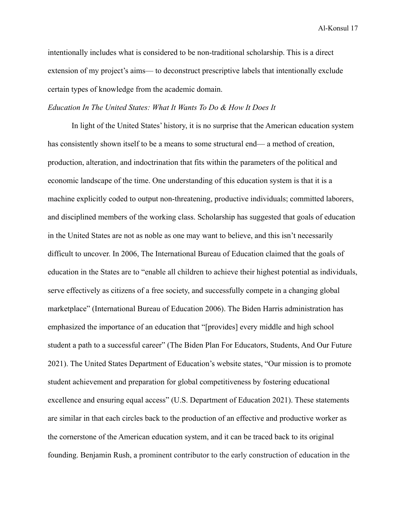intentionally includes what is considered to be non-traditional scholarship. This is a direct extension of my project's aims— to deconstruct prescriptive labels that intentionally exclude certain types of knowledge from the academic domain.

#### *Education In The United States: What It Wants To Do & How It Does It*

In light of the United States' history, it is no surprise that the American education system has consistently shown itself to be a means to some structural end— a method of creation, production, alteration, and indoctrination that fits within the parameters of the political and economic landscape of the time. One understanding of this education system is that it is a machine explicitly coded to output non-threatening, productive individuals; committed laborers, and disciplined members of the working class. Scholarship has suggested that goals of education in the United States are not as noble as one may want to believe, and this isn't necessarily difficult to uncover. In 2006, The International Bureau of Education claimed that the goals of education in the States are to "enable all children to achieve their highest potential as individuals, serve effectively as citizens of a free society, and successfully compete in a changing global marketplace" (International Bureau of Education 2006). The Biden Harris administration has emphasized the importance of an education that "[provides] every middle and high school student a path to a successful career" (The Biden Plan For Educators, Students, And Our Future 2021). The United States Department of Education's website states, "Our mission is to promote student achievement and preparation for global competitiveness by fostering educational excellence and ensuring equal access" (U.S. Department of Education 2021). These statements are similar in that each circles back to the production of an effective and productive worker as the cornerstone of the American education system, and it can be traced back to its original founding. Benjamin Rush, a prominent contributor to the early construction of education in the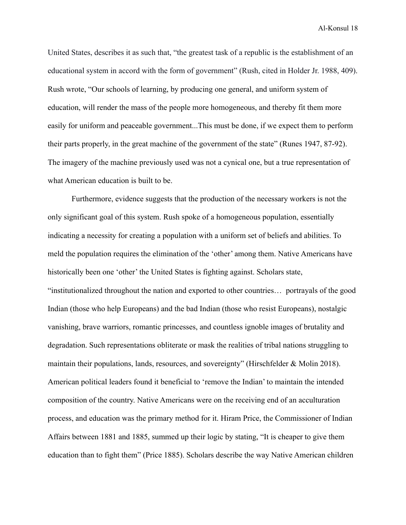United States, describes it as such that, "the greatest task of a republic is the establishment of an educational system in accord with the form of government" (Rush, cited in Holder Jr. 1988, 409). Rush wrote, "Our schools of learning, by producing one general, and uniform system of education, will render the mass of the people more homogeneous, and thereby fit them more easily for uniform and peaceable government...This must be done, if we expect them to perform their parts properly, in the great machine of the government of the state" (Runes 1947, 87-92). The imagery of the machine previously used was not a cynical one, but a true representation of what American education is built to be.

Furthermore, evidence suggests that the production of the necessary workers is not the only significant goal of this system. Rush spoke of a homogeneous population, essentially indicating a necessity for creating a population with a uniform set of beliefs and abilities. To meld the population requires the elimination of the 'other' among them. Native Americans have historically been one 'other' the United States is fighting against. Scholars state, "institutionalized throughout the nation and exported to other countries… portrayals of the good Indian (those who help Europeans) and the bad Indian (those who resist Europeans), nostalgic vanishing, brave warriors, romantic princesses, and countless ignoble images of brutality and degradation. Such representations obliterate or mask the realities of tribal nations struggling to maintain their populations, lands, resources, and sovereignty" (Hirschfelder & Molin 2018). American political leaders found it beneficial to 'remove the Indian' to maintain the intended composition of the country. Native Americans were on the receiving end of an acculturation process, and education was the primary method for it. Hiram Price, the Commissioner of Indian Affairs between 1881 and 1885, summed up their logic by stating, "It is cheaper to give them education than to fight them" (Price 1885). Scholars describe the way Native American children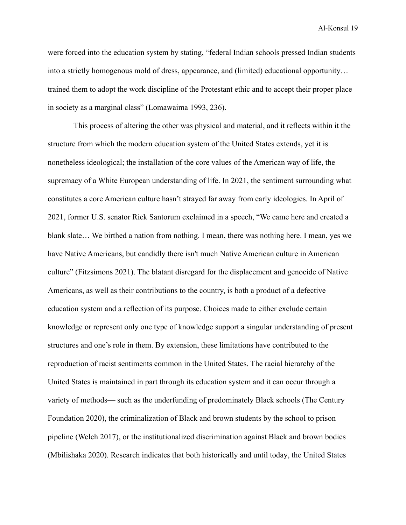were forced into the education system by stating, "federal Indian schools pressed Indian students into a strictly homogenous mold of dress, appearance, and (limited) educational opportunity… trained them to adopt the work discipline of the Protestant ethic and to accept their proper place in society as a marginal class" (Lomawaima 1993, 236).

This process of altering the other was physical and material, and it reflects within it the structure from which the modern education system of the United States extends, yet it is nonetheless ideological; the installation of the core values of the American way of life, the supremacy of a White European understanding of life. In 2021, the sentiment surrounding what constitutes a core American culture hasn't strayed far away from early ideologies. In April of 2021, former U.S. senator Rick Santorum exclaimed in a speech, "We came here and created a blank slate… We birthed a nation from nothing. I mean, there was nothing here. I mean, yes we have Native Americans, but candidly there isn't much Native American culture in American culture" ([Fitzsimons](https://www.nbcnews.com/author/tim-fitzsimons-ncpn877496) 2021). The blatant disregard for the displacement and genocide of Native Americans, as well as their contributions to the country, is both a product of a defective education system and a reflection of its purpose. Choices made to either exclude certain knowledge or represent only one type of knowledge support a singular understanding of present structures and one's role in them. By extension, these limitations have contributed to the reproduction of racist sentiments common in the United States. The racial hierarchy of the United States is maintained in part through its education system and it can occur through a variety of methods— such as the underfunding of predominately Black schools (The Century Foundation 2020), the criminalization of Black and brown students by the school to prison pipeline (Welch 2017), or the institutionalized discrimination against Black and brown bodies (Mbilishaka 2020). Research indicates that both historically and until today, the United States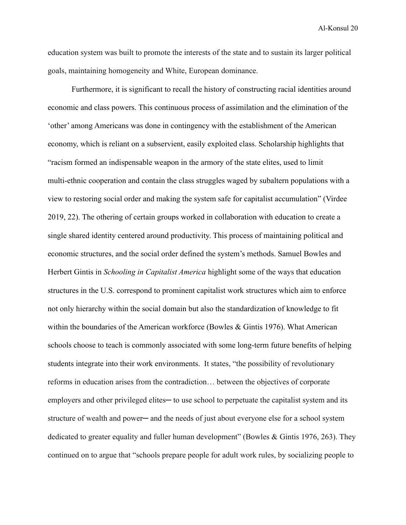education system was built to promote the interests of the state and to sustain its larger political goals, maintaining homogeneity and White, European dominance.

Furthermore, it is significant to recall the history of constructing racial identities around economic and class powers. This continuous process of assimilation and the elimination of the 'other' among Americans was done in contingency with the establishment of the American economy, which is reliant on a subservient, easily exploited class. Scholarship highlights that "racism formed an indispensable weapon in the armory of the state elites, used to limit multi-ethnic cooperation and contain the class struggles waged by subaltern populations with a view to restoring social order and making the system safe for capitalist accumulation" (Virdee 2019, 22). The othering of certain groups worked in collaboration with education to create a single shared identity centered around productivity. This process of maintaining political and economic structures, and the social order defined the system's methods. Samuel Bowles and Herbert Gintis in *Schooling in Capitalist America* highlight some of the ways that education structures in the U.S. correspond to prominent capitalist work structures which aim to enforce not only hierarchy within the social domain but also the standardization of knowledge to fit within the boundaries of the American workforce (Bowles & Gintis 1976). What American schools choose to teach is commonly associated with some long-term future benefits of helping students integrate into their work environments. It states, "the possibility of revolutionary reforms in education arises from the contradiction… between the objectives of corporate employers and other privileged elites— to use school to perpetuate the capitalist system and its structure of wealth and power— and the needs of just about everyone else for a school system dedicated to greater equality and fuller human development" (Bowles & Gintis 1976, 263). They continued on to argue that "schools prepare people for adult work rules, by socializing people to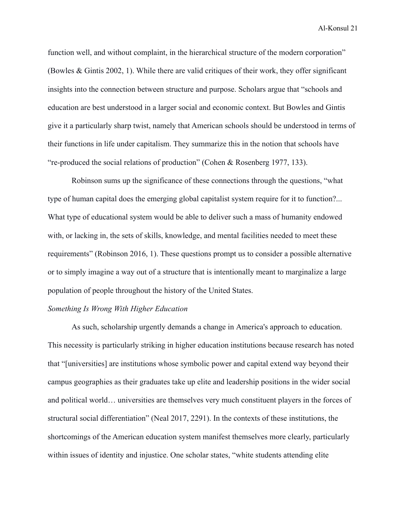function well, and without complaint, in the hierarchical structure of the modern corporation" (Bowles & Gintis 2002, 1). While there are valid critiques of their work, they offer significant insights into the connection between structure and purpose. Scholars argue that "schools and education are best understood in a larger social and economic context. But Bowles and Gintis give it a particularly sharp twist, namely that American schools should be understood in terms of their functions in life under capitalism. They summarize this in the notion that schools have "re-produced the social relations of production" (Cohen & Rosenberg 1977, 133).

Robinson sums up the significance of these connections through the questions, "what type of human capital does the emerging global capitalist system require for it to function?... What type of educational system would be able to deliver such a mass of humanity endowed with, or lacking in, the sets of skills, knowledge, and mental facilities needed to meet these requirements" (Robinson 2016, 1). These questions prompt us to consider a possible alternative or to simply imagine a way out of a structure that is intentionally meant to marginalize a large population of people throughout the history of the United States.

#### *Something Is Wrong With Higher Education*

As such, scholarship urgently demands a change in America's approach to education. This necessity is particularly striking in higher education institutions because research has noted that "[universities] are institutions whose symbolic power and capital extend way beyond their campus geographies as their graduates take up elite and leadership positions in the wider social and political world… universities are themselves very much constituent players in the forces of structural social differentiation" (Neal 2017, 2291). In the contexts of these institutions, the shortcomings of the American education system manifest themselves more clearly, particularly within issues of identity and injustice. One scholar states, "white students attending elite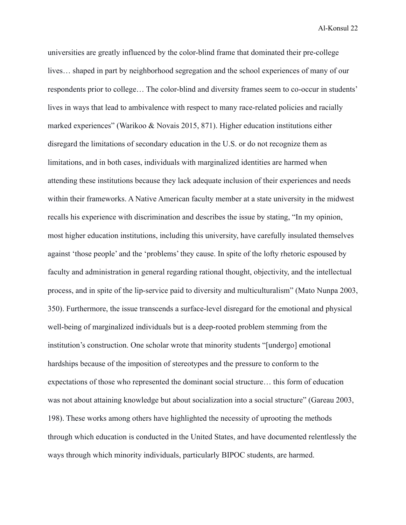universities are greatly influenced by the color-blind frame that dominated their pre-college lives… shaped in part by neighborhood segregation and the school experiences of many of our respondents prior to college… The color-blind and diversity frames seem to co-occur in students' lives in ways that lead to ambivalence with respect to many race-related policies and racially marked experiences" (Warikoo & Novais 2015, 871). Higher education institutions either disregard the limitations of secondary education in the U.S. or do not recognize them as limitations, and in both cases, individuals with marginalized identities are harmed when attending these institutions because they lack adequate inclusion of their experiences and needs within their frameworks. A Native American faculty member at a state university in the midwest recalls his experience with discrimination and describes the issue by stating, "In my opinion, most higher education institutions, including this university, have carefully insulated themselves against 'those people' and the 'problems' they cause. In spite of the lofty rhetoric espoused by faculty and administration in general regarding rational thought, objectivity, and the intellectual process, and in spite of the lip-service paid to diversity and multiculturalism" (Mato Nunpa 2003, 350). Furthermore, the issue transcends a surface-level disregard for the emotional and physical well-being of marginalized individuals but is a deep-rooted problem stemming from the institution's construction. One scholar wrote that minority students "[undergo] emotional hardships because of the imposition of stereotypes and the pressure to conform to the expectations of those who represented the dominant social structure… this form of education was not about attaining knowledge but about socialization into a social structure" (Gareau 2003, 198). These works among others have highlighted the necessity of uprooting the methods through which education is conducted in the United States, and have documented relentlessly the ways through which minority individuals, particularly BIPOC students, are harmed.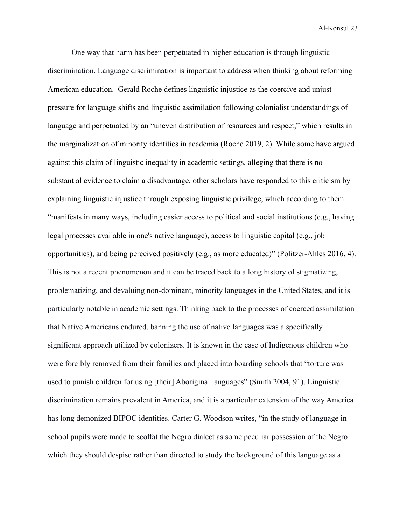One way that harm has been perpetuated in higher education is through linguistic discrimination. Language discrimination is important to address when thinking about reforming American education. Gerald Roche defines linguistic injustice as the coercive and unjust pressure for language shifts and linguistic assimilation following colonialist understandings of language and perpetuated by an "uneven distribution of resources and respect," which results in the marginalization of minority identities in academia (Roche 2019, 2). While some have argued against this claim of linguistic inequality in academic settings, alleging that there is no substantial evidence to claim a disadvantage, other scholars have responded to this criticism by explaining linguistic injustice through exposing linguistic privilege, which according to them "manifests in many ways, including easier access to political and social institutions (e.g., having legal processes available in one's native language), access to linguistic capital (e.g., job opportunities), and being perceived positively (e.g., as more educated)" (Politzer-Ahles 2016, 4). This is not a recent phenomenon and it can be traced back to a long history of stigmatizing, problematizing, and devaluing non-dominant, minority languages in the United States, and it is particularly notable in academic settings. Thinking back to the processes of coerced assimilation that Native Americans endured, banning the use of native languages was a specifically significant approach utilized by colonizers. It is known in the case of Indigenous children who were forcibly removed from their families and placed into boarding schools that "torture was used to punish children for using [their] Aboriginal languages" (Smith 2004, 91). Linguistic discrimination remains prevalent in America, and it is a particular extension of the way America has long demonized BIPOC identities. Carter G. Woodson writes, "in the study of language in school pupils were made to scoffat the Negro dialect as some peculiar possession of the Negro which they should despise rather than directed to study the background of this language as a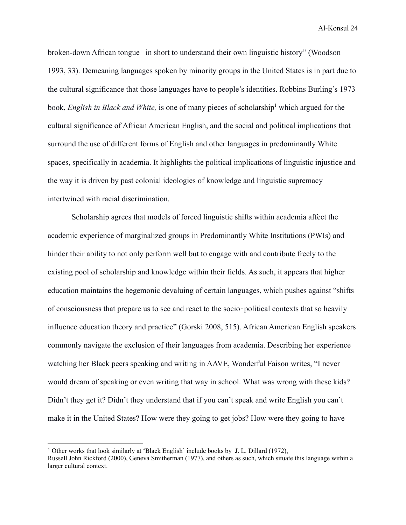broken-down African tongue –in short to understand their own linguistic history" (Woodson 1993, 33). Demeaning languages spoken by minority groups in the United States is in part due to the cultural significance that those languages have to people's identities. Robbins Burling's 1973 book, *English in Black and White*, is one of many pieces of scholarship<sup>1</sup> which argued for the cultural significance of African American English, and the social and political implications that surround the use of different forms of English and other languages in predominantly White spaces, specifically in academia. It highlights the political implications of linguistic injustice and the way it is driven by past colonial ideologies of knowledge and linguistic supremacy intertwined with racial discrimination.

Scholarship agrees that models of forced linguistic shifts within academia affect the academic experience of marginalized groups in Predominantly White Institutions (PWIs) and hinder their ability to not only perform well but to engage with and contribute freely to the existing pool of scholarship and knowledge within their fields. As such, it appears that higher education maintains the hegemonic devaluing of certain languages, which pushes against "shifts of consciousness that prepare us to see and react to the socio‐political contexts that so heavily influence education theory and practice" (Gorski 2008, 515). African American English speakers commonly navigate the exclusion of their languages from academia. Describing her experience watching her Black peers speaking and writing in AAVE, Wonderful Faison writes, "I never would dream of speaking or even writing that way in school. What was wrong with these kids? Didn't they get it? Didn't they understand that if you can't speak and write English you can't make it in the United States? How were they going to get jobs? How were they going to have

<sup>1</sup> Other works that look similarly at 'Black English' include books by J. L. Dillard (1972),

Russell John Rickford (2000), Geneva Smitherman (1977), and others as such, which situate this language within a larger cultural context.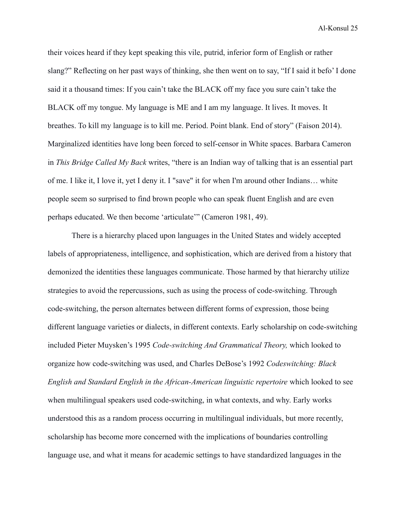their voices heard if they kept speaking this vile, putrid, inferior form of English or rather slang?" Reflecting on her past ways of thinking, she then went on to say, "If I said it befo' I done said it a thousand times: If you cain't take the BLACK off my face you sure cain't take the BLACK off my tongue. My language is ME and I am my language. It lives. It moves. It breathes. To kill my language is to kill me. Period. Point blank. End of story" (Faison 2014). Marginalized identities have long been forced to self-censor in White spaces. Barbara Cameron in *This Bridge Called My Back* writes, "there is an Indian way of talking that is an essential part of me. I like it, I love it, yet I deny it. I "save" it for when I'm around other Indians… white people seem so surprised to find brown people who can speak fluent English and are even perhaps educated. We then become 'articulate'" (Cameron 1981, 49).

There is a hierarchy placed upon languages in the United States and widely accepted labels of appropriateness, intelligence, and sophistication, which are derived from a history that demonized the identities these languages communicate. Those harmed by that hierarchy utilize strategies to avoid the repercussions, such as using the process of code-switching. Through code-switching, the person alternates between different forms of expression, those being different language varieties or dialects, in different contexts. Early scholarship on code-switching included Pieter Muysken's 1995 *Code-switching And Grammatical Theory,* which looked to organize how code-switching was used, and Charles DeBose's 1992 *Codeswitching: Black English and Standard English in the African-American linguistic repertoire* which looked to see when multilingual speakers used code-switching, in what contexts, and why. Early works understood this as a random process occurring in multilingual individuals, but more recently, scholarship has become more concerned with the implications of boundaries controlling language use, and what it means for academic settings to have standardized languages in the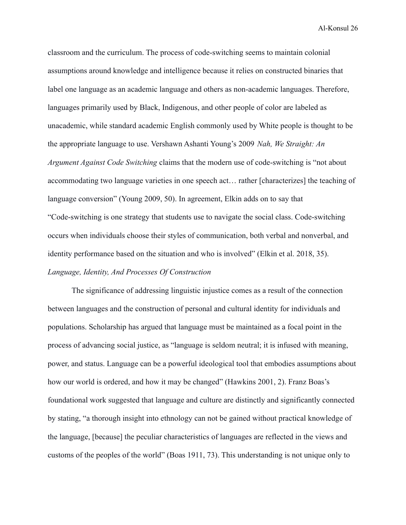classroom and the curriculum. The process of code-switching seems to maintain colonial assumptions around knowledge and intelligence because it relies on constructed binaries that label one language as an academic language and others as non-academic languages. Therefore, languages primarily used by Black, Indigenous, and other people of color are labeled as unacademic, while standard academic English commonly used by White people is thought to be the appropriate language to use. Vershawn Ashanti Young's 2009 *Nah, We Straight: An Argument Against Code Switching* claims that the modern use of code-switching is "not about accommodating two language varieties in one speech act… rather [characterizes] the teaching of language conversion" (Young 2009, 50). In agreement, Elkin adds on to say that "Code-switching is one strategy that students use to navigate the social class. Code-switching occurs when individuals choose their styles of communication, both verbal and nonverbal, and identity performance based on the situation and who is involved" (Elkin et al. 2018, 35). *Language, Identity, And Processes Of Construction*

The significance of addressing linguistic injustice comes as a result of the connection between languages and the construction of personal and cultural identity for individuals and populations. Scholarship has argued that language must be maintained as a focal point in the process of advancing social justice, as "language is seldom neutral; it is infused with meaning, power, and status. Language can be a powerful ideological tool that embodies assumptions about how our world is ordered, and how it may be changed" (Hawkins 2001, 2). Franz Boas's foundational work suggested that language and culture are distinctly and significantly connected by stating, "a thorough insight into ethnology can not be gained without practical knowledge of the language, [because] the peculiar characteristics of languages are reflected in the views and customs of the peoples of the world" (Boas 1911, 73). This understanding is not unique only to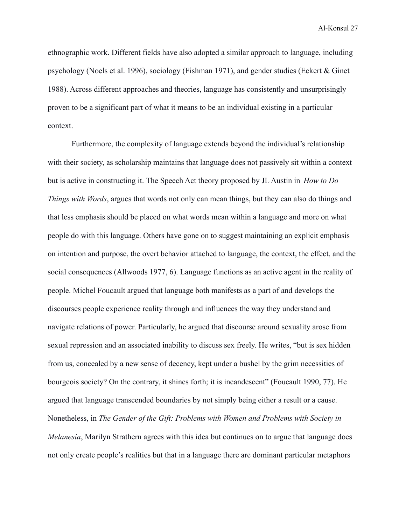ethnographic work. Different fields have also adopted a similar approach to language, including psychology (Noels et al. 1996), sociology (Fishman 1971), and gender studies (Eckert & Ginet 1988). Across different approaches and theories, language has consistently and unsurprisingly proven to be a significant part of what it means to be an individual existing in a particular context.

Furthermore, the complexity of language extends beyond the individual's relationship with their society, as scholarship maintains that language does not passively sit within a context but is active in constructing it. The Speech Act theory proposed by JL Austin in *How to Do Things with Words*, argues that words not only can mean things, but they can also do things and that less emphasis should be placed on what words mean within a language and more on what people do with this language. Others have gone on to suggest maintaining an explicit emphasis on intention and purpose, the overt behavior attached to language, the context, the effect, and the social consequences (Allwoods 1977, 6). Language functions as an active agent in the reality of people. Michel Foucault argued that language both manifests as a part of and develops the discourses people experience reality through and influences the way they understand and navigate relations of power. Particularly, he argued that discourse around sexuality arose from sexual repression and an associated inability to discuss sex freely. He writes, "but is sex hidden from us, concealed by a new sense of decency, kept under a bushel by the grim necessities of bourgeois society? On the contrary, it shines forth; it is incandescent" (Foucault 1990, 77). He argued that language transcended boundaries by not simply being either a result or a cause. Nonetheless, in *The Gender of the Gift: Problems with Women and Problems with Society in Melanesia*, Marilyn Strathern agrees with this idea but continues on to argue that language does not only create people's realities but that in a language there are dominant particular metaphors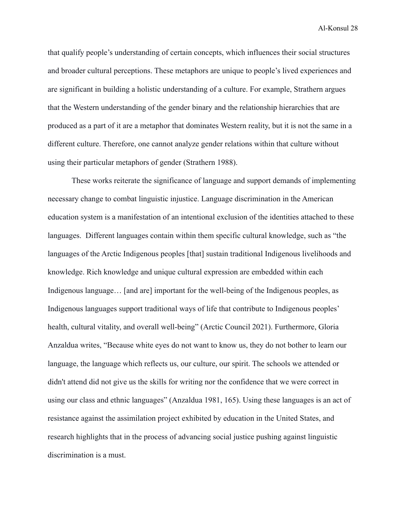that qualify people's understanding of certain concepts, which influences their social structures and broader cultural perceptions. These metaphors are unique to people's lived experiences and are significant in building a holistic understanding of a culture. For example, Strathern argues that the Western understanding of the gender binary and the relationship hierarchies that are produced as a part of it are a metaphor that dominates Western reality, but it is not the same in a different culture. Therefore, one cannot analyze gender relations within that culture without using their particular metaphors of gender (Strathern 1988).

These works reiterate the significance of language and support demands of implementing necessary change to combat linguistic injustice. Language discrimination in the American education system is a manifestation of an intentional exclusion of the identities attached to these languages. Different languages contain within them specific cultural knowledge, such as "the languages of the Arctic Indigenous peoples [that] sustain traditional Indigenous livelihoods and knowledge. Rich knowledge and unique cultural expression are embedded within each Indigenous language... [and are] important for the well-being of the Indigenous peoples, as Indigenous languages support traditional ways of life that contribute to Indigenous peoples' health, cultural vitality, and overall well-being" (Arctic Council 2021). Furthermore, Gloria Anzaldua writes, "Because white eyes do not want to know us, they do not bother to learn our language, the language which reflects us, our culture, our spirit. The schools we attended or didn't attend did not give us the skills for writing nor the confidence that we were correct in using our class and ethnic languages" (Anzaldua 1981, 165). Using these languages is an act of resistance against the assimilation project exhibited by education in the United States, and research highlights that in the process of advancing social justice pushing against linguistic discrimination is a must.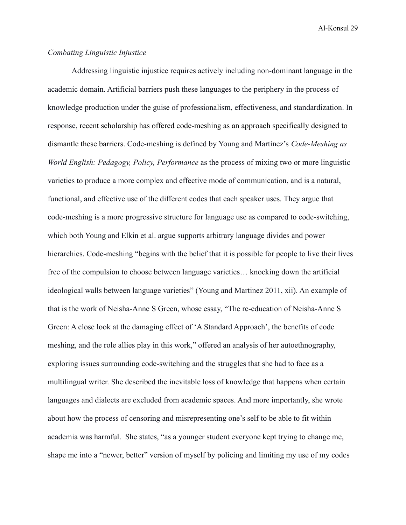# *Combating Linguistic Injustice*

Addressing linguistic injustice requires actively including non-dominant language in the academic domain. Artificial barriers push these languages to the periphery in the process of knowledge production under the guise of professionalism, effectiveness, and standardization. In response, recent scholarship has offered code-meshing as an approach specifically designed to dismantle these barriers. Code-meshing is defined by Young and Martínez's *Code-Meshing as World English: Pedagogy, Policy, Performance* as the process of mixing two or more linguistic varieties to produce a more complex and effective mode of communication, and is a natural, functional, and effective use of the different codes that each speaker uses. They argue that code-meshing is a more progressive structure for language use as compared to code-switching, which both Young and Elkin et al. argue supports arbitrary language divides and power hierarchies. Code-meshing "begins with the belief that it is possible for people to live their lives free of the compulsion to choose between language varieties… knocking down the artificial ideological walls between language varieties" (Young and Martinez 2011, xii). An example of that is the work of Neisha-Anne S Green, whose essay, "The re-education of Neisha-Anne S Green: A close look at the damaging effect of 'A Standard Approach', the benefits of code meshing, and the role allies play in this work," offered an analysis of her autoethnography, exploring issues surrounding code-switching and the struggles that she had to face as a multilingual writer. She described the inevitable loss of knowledge that happens when certain languages and dialects are excluded from academic spaces. And more importantly, she wrote about how the process of censoring and misrepresenting one's self to be able to fit within academia was harmful. She states, "as a younger student everyone kept trying to change me, shape me into a "newer, better" version of myself by policing and limiting my use of my codes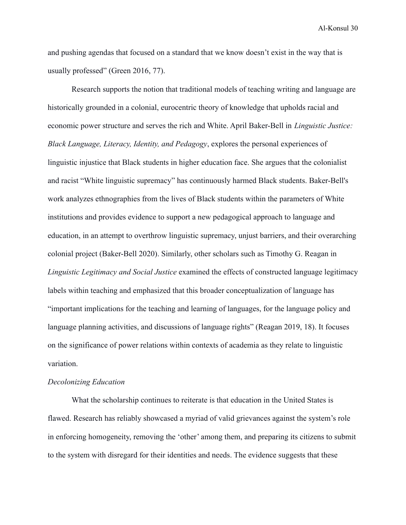and pushing agendas that focused on a standard that we know doesn't exist in the way that is usually professed" (Green 2016, 77).

Research supports the notion that traditional models of teaching writing and language are historically grounded in a colonial, eurocentric theory of knowledge that upholds racial and economic power structure and serves the rich and White. April Baker-Bell in *Linguistic Justice: Black Language, Literacy, Identity, and Pedagogy*, explores the personal experiences of linguistic injustice that Black students in higher education face. She argues that the colonialist and racist "White linguistic supremacy" has continuously harmed Black students. Baker-Bell's work analyzes ethnographies from the lives of Black students within the parameters of White institutions and provides evidence to support a new pedagogical approach to language and education, in an attempt to overthrow linguistic supremacy, unjust barriers, and their overarching colonial project (Baker-Bell 2020). Similarly, other scholars such as Timothy G. Reagan in *Linguistic Legitimacy and Social Justice* examined the effects of constructed language legitimacy labels within teaching and emphasized that this broader conceptualization of language has "important implications for the teaching and learning of languages, for the language policy and language planning activities, and discussions of language rights" (Reagan 2019, 18). It focuses on the significance of power relations within contexts of academia as they relate to linguistic variation.

#### *Decolonizing Education*

What the scholarship continues to reiterate is that education in the United States is flawed. Research has reliably showcased a myriad of valid grievances against the system's role in enforcing homogeneity, removing the 'other' among them, and preparing its citizens to submit to the system with disregard for their identities and needs. The evidence suggests that these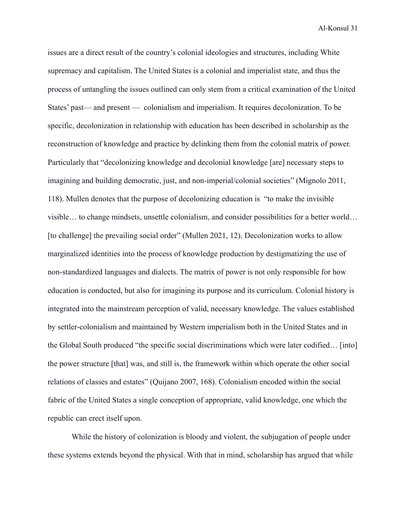issues are a direct result of the country's colonial ideologies and structures, including White supremacy and capitalism. The United States is a colonial and imperialist state, and thus the process of untangling the issues outlined can only stem from a critical examination of the United States' past— and present — colonialism and imperialism. It requires decolonization. To be specific, decolonization in relationship with education has been described in scholarship as the reconstruction of knowledge and practice by delinking them from the colonial matrix of power. Particularly that "decolonizing knowledge and decolonial knowledge [are] necessary steps to imagining and building democratic, just, and non-imperial/colonial societies" (Mignolo 2011, 118). Mullen denotes that the purpose of decolonizing education is "to make the invisible visible… to change mindsets, unsettle colonialism, and consider possibilities for a better world… [to challenge] the prevailing social order" (Mullen 2021, 12). Decolonization works to allow marginalized identities into the process of knowledge production by destigmatizing the use of non-standardized languages and dialects. The matrix of power is not only responsible for how education is conducted, but also for imagining its purpose and its curriculum. Colonial history is integrated into the mainstream perception of valid, necessary knowledge. The values established by settler-colonialism and maintained by Western imperialism both in the United States and in the Global South produced "the specific social discriminations which were later codified… [into] the power structure [that] was, and still is, the framework within which operate the other social relations of classes and estates" (Quijano 2007, 168). Colonialism encoded within the social fabric of the United States a single conception of appropriate, valid knowledge, one which the republic can erect itself upon.

While the history of colonization is bloody and violent, the subjugation of people under these systems extends beyond the physical. With that in mind, scholarship has argued that while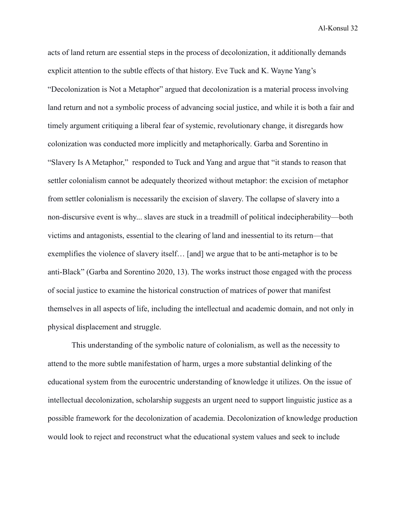acts of land return are essential steps in the process of decolonization, it additionally demands explicit attention to the subtle effects of that history. Eve Tuck and K. Wayne Yang's "Decolonization is Not a Metaphor" argued that decolonization is a material process involving land return and not a symbolic process of advancing social justice, and while it is both a fair and timely argument critiquing a liberal fear of systemic, revolutionary change, it disregards how colonization was conducted more implicitly and metaphorically. Garba and Sorentino in "Slavery Is A Metaphor," responded to Tuck and Yang and argue that "it stands to reason that settler colonialism cannot be adequately theorized without metaphor: the excision of metaphor from settler colonialism is necessarily the excision of slavery. The collapse of slavery into a non-discursive event is why... slaves are stuck in a treadmill of political indecipherability—both victims and antagonists, essential to the clearing of land and inessential to its return—that exemplifies the violence of slavery itself… [and] we argue that to be anti-metaphor is to be anti-Black" (Garba and Sorentino 2020, 13). The works instruct those engaged with the process of social justice to examine the historical construction of matrices of power that manifest themselves in all aspects of life, including the intellectual and academic domain, and not only in physical displacement and struggle.

This understanding of the symbolic nature of colonialism, as well as the necessity to attend to the more subtle manifestation of harm, urges a more substantial delinking of the educational system from the eurocentric understanding of knowledge it utilizes. On the issue of intellectual decolonization, scholarship suggests an urgent need to support linguistic justice as a possible framework for the decolonization of academia. Decolonization of knowledge production would look to reject and reconstruct what the educational system values and seek to include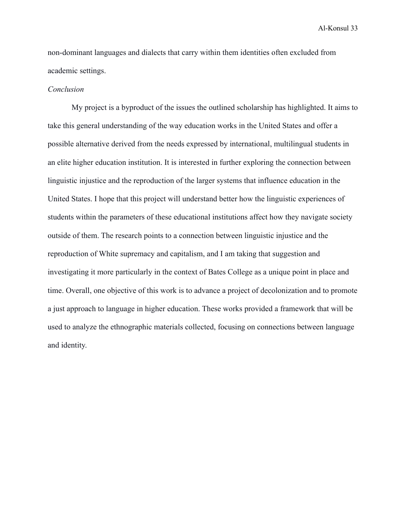non-dominant languages and dialects that carry within them identities often excluded from academic settings.

#### *Conclusion*

My project is a byproduct of the issues the outlined scholarship has highlighted. It aims to take this general understanding of the way education works in the United States and offer a possible alternative derived from the needs expressed by international, multilingual students in an elite higher education institution. It is interested in further exploring the connection between linguistic injustice and the reproduction of the larger systems that influence education in the United States. I hope that this project will understand better how the linguistic experiences of students within the parameters of these educational institutions affect how they navigate society outside of them. The research points to a connection between linguistic injustice and the reproduction of White supremacy and capitalism, and I am taking that suggestion and investigating it more particularly in the context of Bates College as a unique point in place and time. Overall, one objective of this work is to advance a project of decolonization and to promote a just approach to language in higher education. These works provided a framework that will be used to analyze the ethnographic materials collected, focusing on connections between language and identity.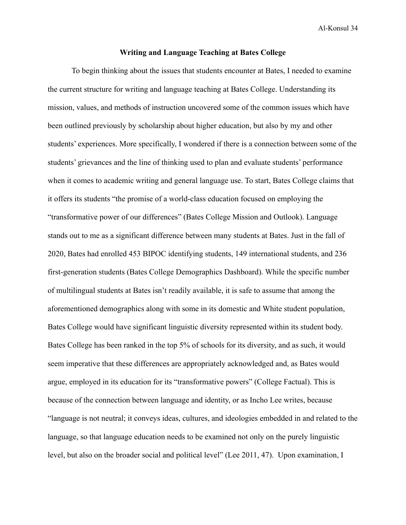#### **Writing and Language Teaching at Bates College**

To begin thinking about the issues that students encounter at Bates, I needed to examine the current structure for writing and language teaching at Bates College. Understanding its mission, values, and methods of instruction uncovered some of the common issues which have been outlined previously by scholarship about higher education, but also by my and other students' experiences. More specifically, I wondered if there is a connection between some of the students' grievances and the line of thinking used to plan and evaluate students' performance when it comes to academic writing and general language use. To start, Bates College claims that it offers its students "the promise of a world-class education focused on employing the "transformative power of our differences" (Bates College Mission and Outlook). Language stands out to me as a significant difference between many students at Bates. Just in the fall of 2020, Bates had enrolled 453 BIPOC identifying students, 149 international students, and 236 first-generation students (Bates College Demographics Dashboard). While the specific number of multilingual students at Bates isn't readily available, it is safe to assume that among the aforementioned demographics along with some in its domestic and White student population, Bates College would have significant linguistic diversity represented within its student body. Bates College has been ranked in the top 5% of schools for its diversity, and as such, it would seem imperative that these differences are appropriately acknowledged and, as Bates would argue, employed in its education for its "transformative powers" (College Factual). This is because of the connection between language and identity, or as Incho Lee writes, because "language is not neutral; it conveys ideas, cultures, and ideologies embedded in and related to the language, so that language education needs to be examined not only on the purely linguistic level, but also on the broader social and political level" (Lee 2011, 47). Upon examination, I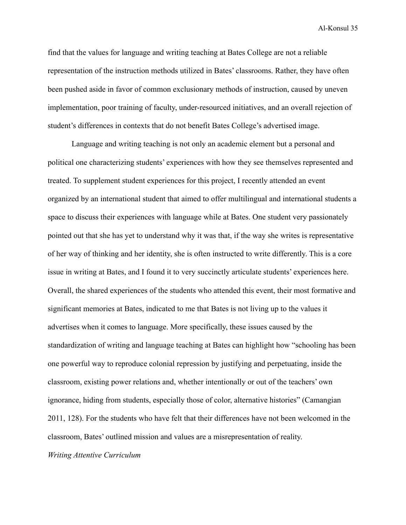find that the values for language and writing teaching at Bates College are not a reliable representation of the instruction methods utilized in Bates' classrooms. Rather, they have often been pushed aside in favor of common exclusionary methods of instruction, caused by uneven implementation, poor training of faculty, under-resourced initiatives, and an overall rejection of student's differences in contexts that do not benefit Bates College's advertised image.

Language and writing teaching is not only an academic element but a personal and political one characterizing students' experiences with how they see themselves represented and treated. To supplement student experiences for this project, I recently attended an event organized by an international student that aimed to offer multilingual and international students a space to discuss their experiences with language while at Bates. One student very passionately pointed out that she has yet to understand why it was that, if the way she writes is representative of her way of thinking and her identity, she is often instructed to write differently. This is a core issue in writing at Bates, and I found it to very succinctly articulate students' experiences here. Overall, the shared experiences of the students who attended this event, their most formative and significant memories at Bates, indicated to me that Bates is not living up to the values it advertises when it comes to language. More specifically, these issues caused by the standardization of writing and language teaching at Bates can highlight how "schooling has been one powerful way to reproduce colonial repression by justifying and perpetuating, inside the classroom, existing power relations and, whether intentionally or out of the teachers' own ignorance, hiding from students, especially those of color, alternative histories" (Camangian 2011, 128). For the students who have felt that their differences have not been welcomed in the classroom, Bates' outlined mission and values are a misrepresentation of reality.

*Writing Attentive Curriculum*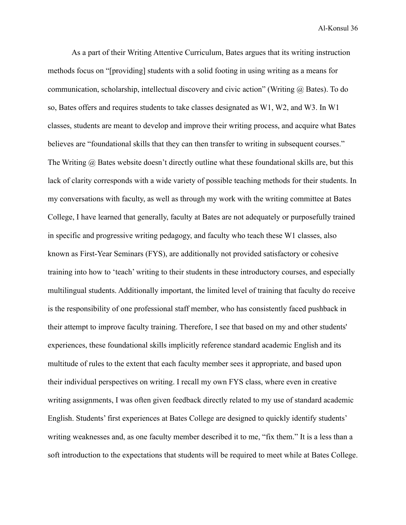As a part of their Writing Attentive Curriculum, Bates argues that its writing instruction methods focus on "[providing] students with a solid footing in using writing as a means for communication, scholarship, intellectual discovery and civic action" (Writing  $\omega$ ) Bates). To do so, Bates offers and requires students to take classes designated as W1, W2, and W3. In W1 classes, students are meant to develop and improve their writing process, and acquire what Bates believes are "foundational skills that they can then transfer to writing in subsequent courses." The Writing  $\omega$  Bates website doesn't directly outline what these foundational skills are, but this lack of clarity corresponds with a wide variety of possible teaching methods for their students. In my conversations with faculty, as well as through my work with the writing committee at Bates College, I have learned that generally, faculty at Bates are not adequately or purposefully trained in specific and progressive writing pedagogy, and faculty who teach these W1 classes, also known as First-Year Seminars (FYS), are additionally not provided satisfactory or cohesive training into how to 'teach' writing to their students in these introductory courses, and especially multilingual students. Additionally important, the limited level of training that faculty do receive is the responsibility of one professional staff member, who has consistently faced pushback in their attempt to improve faculty training. Therefore, I see that based on my and other students' experiences, these foundational skills implicitly reference standard academic English and its multitude of rules to the extent that each faculty member sees it appropriate, and based upon their individual perspectives on writing. I recall my own FYS class, where even in creative writing assignments, I was often given feedback directly related to my use of standard academic English. Students' first experiences at Bates College are designed to quickly identify students' writing weaknesses and, as one faculty member described it to me, "fix them." It is a less than a soft introduction to the expectations that students will be required to meet while at Bates College.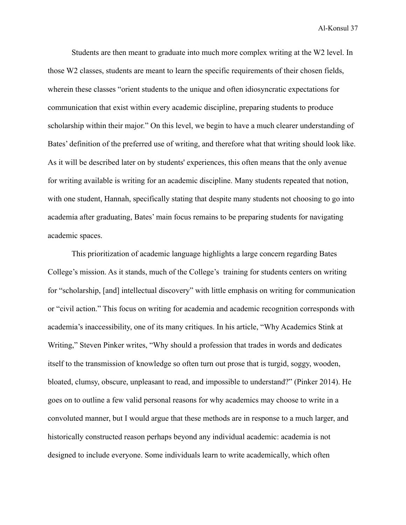Students are then meant to graduate into much more complex writing at the W2 level. In those W2 classes, students are meant to learn the specific requirements of their chosen fields, wherein these classes "orient students to the unique and often idiosyncratic expectations for communication that exist within every academic discipline, preparing students to produce scholarship within their major." On this level, we begin to have a much clearer understanding of Bates' definition of the preferred use of writing, and therefore what that writing should look like. As it will be described later on by students' experiences, this often means that the only avenue for writing available is writing for an academic discipline. Many students repeated that notion, with one student, Hannah, specifically stating that despite many students not choosing to go into academia after graduating, Bates' main focus remains to be preparing students for navigating academic spaces.

This prioritization of academic language highlights a large concern regarding Bates College's mission. As it stands, much of the College's training for students centers on writing for "scholarship, [and] intellectual discovery" with little emphasis on writing for communication or "civil action." This focus on writing for academia and academic recognition corresponds with academia's inaccessibility, one of its many critiques. In his article, "Why Academics Stink at Writing," Steven Pinker writes, "Why should a profession that trades in words and dedicates itself to the transmission of knowledge so often turn out prose that is turgid, soggy, wooden, bloated, clumsy, obscure, unpleasant to read, and impossible to understand?" (Pinker 2014). He goes on to outline a few valid personal reasons for why academics may choose to write in a convoluted manner, but I would argue that these methods are in response to a much larger, and historically constructed reason perhaps beyond any individual academic: academia is not designed to include everyone. Some individuals learn to write academically, which often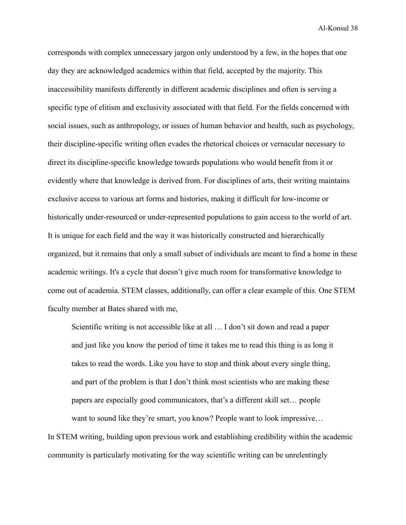corresponds with complex unnecessary jargon only understood by a few, in the hopes that one day they are acknowledged academics within that field, accepted by the majority. This inaccessibility manifests differently in different academic disciplines and often is serving a specific type of elitism and exclusivity associated with that field. For the fields concerned with social issues, such as anthropology, or issues of human behavior and health, such as psychology, their discipline-specific writing often evades the rhetorical choices or vernacular necessary to direct its discipline-specific knowledge towards populations who would benefit from it or evidently where that knowledge is derived from. For disciplines of arts, their writing maintains exclusive access to various art forms and histories, making it difficult for low-income or historically under-resourced or under-represented populations to gain access to the world of art. It is unique for each field and the way it was historically constructed and hierarchically organized, but it remains that only a small subset of individuals are meant to find a home in these academic writings. It's a cycle that doesn't give much room for transformative knowledge to come out of academia. STEM classes, additionally, can offer a clear example of this. One STEM faculty member at Bates shared with me,

Scientific writing is not accessible like at all … I don't sit down and read a paper and just like you know the period of time it takes me to read this thing is as long it takes to read the words. Like you have to stop and think about every single thing, and part of the problem is that I don't think most scientists who are making these papers are especially good communicators, that's a different skill set… people want to sound like they're smart, you know? People want to look impressive...

In STEM writing, building upon previous work and establishing credibility within the academic community is particularly motivating for the way scientific writing can be unrelentingly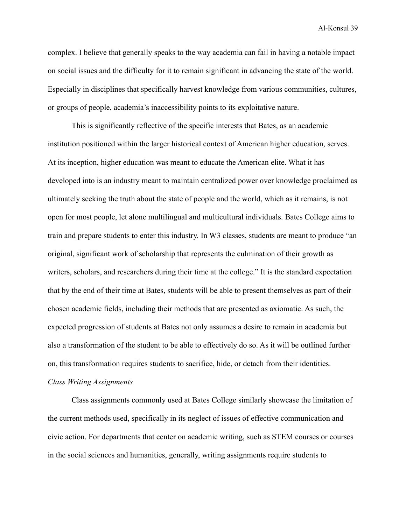complex. I believe that generally speaks to the way academia can fail in having a notable impact on social issues and the difficulty for it to remain significant in advancing the state of the world. Especially in disciplines that specifically harvest knowledge from various communities, cultures, or groups of people, academia's inaccessibility points to its exploitative nature.

This is significantly reflective of the specific interests that Bates, as an academic institution positioned within the larger historical context of American higher education, serves. At its inception, higher education was meant to educate the American elite. What it has developed into is an industry meant to maintain centralized power over knowledge proclaimed as ultimately seeking the truth about the state of people and the world, which as it remains, is not open for most people, let alone multilingual and multicultural individuals. Bates College aims to train and prepare students to enter this industry. In W3 classes, students are meant to produce "an original, significant work of scholarship that represents the culmination of their growth as writers, scholars, and researchers during their time at the college." It is the standard expectation that by the end of their time at Bates, students will be able to present themselves as part of their chosen academic fields, including their methods that are presented as axiomatic. As such, the expected progression of students at Bates not only assumes a desire to remain in academia but also a transformation of the student to be able to effectively do so. As it will be outlined further on, this transformation requires students to sacrifice, hide, or detach from their identities.

# *Class Writing Assignments*

Class assignments commonly used at Bates College similarly showcase the limitation of the current methods used, specifically in its neglect of issues of effective communication and civic action. For departments that center on academic writing, such as STEM courses or courses in the social sciences and humanities, generally, writing assignments require students to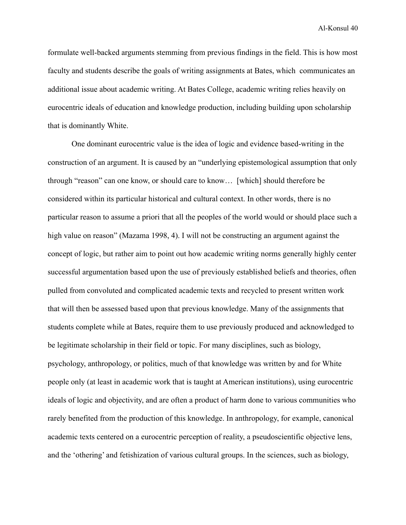formulate well-backed arguments stemming from previous findings in the field. This is how most faculty and students describe the goals of writing assignments at Bates, which communicates an additional issue about academic writing. At Bates College, academic writing relies heavily on eurocentric ideals of education and knowledge production, including building upon scholarship that is dominantly White.

One dominant eurocentric value is the idea of logic and evidence based-writing in the construction of an argument. It is caused by an "underlying epistemological assumption that only through "reason" can one know, or should care to know… [which] should therefore be considered within its particular historical and cultural context. In other words, there is no particular reason to assume a priori that all the peoples of the world would or should place such a high value on reason" (Mazama 1998, 4). I will not be constructing an argument against the concept of logic, but rather aim to point out how academic writing norms generally highly center successful argumentation based upon the use of previously established beliefs and theories, often pulled from convoluted and complicated academic texts and recycled to present written work that will then be assessed based upon that previous knowledge. Many of the assignments that students complete while at Bates, require them to use previously produced and acknowledged to be legitimate scholarship in their field or topic. For many disciplines, such as biology, psychology, anthropology, or politics, much of that knowledge was written by and for White people only (at least in academic work that is taught at American institutions), using eurocentric ideals of logic and objectivity, and are often a product of harm done to various communities who rarely benefited from the production of this knowledge. In anthropology, for example, canonical academic texts centered on a eurocentric perception of reality, a pseudoscientific objective lens, and the 'othering' and fetishization of various cultural groups. In the sciences, such as biology,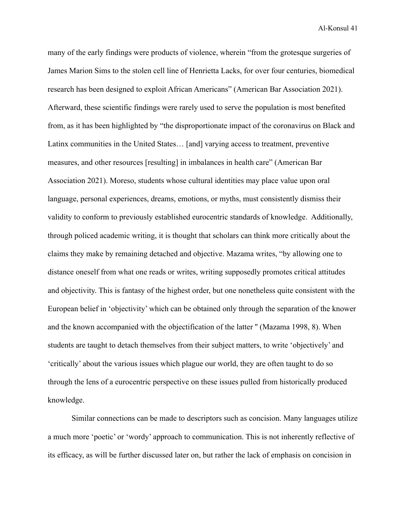many of the early findings were products of violence, wherein "from the grotesque surgeries of James Marion Sims to the stolen cell line of Henrietta Lacks, for over four centuries, biomedical research has been designed to exploit African Americans" (American Bar Association 2021). Afterward, these scientific findings were rarely used to serve the population is most benefited from, as it has been highlighted by "the disproportionate impact of the coronavirus on Black and Latinx communities in the United States… [and] varying access to treatment, preventive measures, and other resources [resulting] in imbalances in health care" (American Bar Association 2021). Moreso, students whose cultural identities may place value upon oral language, personal experiences, dreams, emotions, or myths, must consistently dismiss their validity to conform to previously established eurocentric standards of knowledge. Additionally, through policed academic writing, it is thought that scholars can think more critically about the claims they make by remaining detached and objective. Mazama writes, "by allowing one to distance oneself from what one reads or writes, writing supposedly promotes critical attitudes and objectivity. This is fantasy of the highest order, but one nonetheless quite consistent with the European belief in 'objectivity' which can be obtained only through the separation of the knower and the known accompanied with the objectification of the latter '' (Mazama 1998, 8). When students are taught to detach themselves from their subject matters, to write 'objectively' and 'critically' about the various issues which plague our world, they are often taught to do so through the lens of a eurocentric perspective on these issues pulled from historically produced knowledge.

Similar connections can be made to descriptors such as concision. Many languages utilize a much more 'poetic' or 'wordy' approach to communication. This is not inherently reflective of its efficacy, as will be further discussed later on, but rather the lack of emphasis on concision in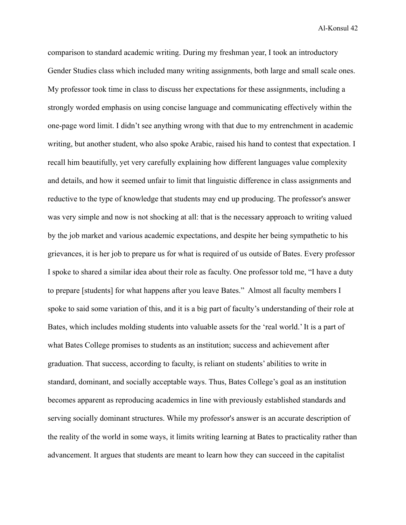comparison to standard academic writing. During my freshman year, I took an introductory Gender Studies class which included many writing assignments, both large and small scale ones. My professor took time in class to discuss her expectations for these assignments, including a strongly worded emphasis on using concise language and communicating effectively within the one-page word limit. I didn't see anything wrong with that due to my entrenchment in academic writing, but another student, who also spoke Arabic, raised his hand to contest that expectation. I recall him beautifully, yet very carefully explaining how different languages value complexity and details, and how it seemed unfair to limit that linguistic difference in class assignments and reductive to the type of knowledge that students may end up producing. The professor's answer was very simple and now is not shocking at all: that is the necessary approach to writing valued by the job market and various academic expectations, and despite her being sympathetic to his grievances, it is her job to prepare us for what is required of us outside of Bates. Every professor I spoke to shared a similar idea about their role as faculty. One professor told me, "I have a duty to prepare [students] for what happens after you leave Bates." Almost all faculty members I spoke to said some variation of this, and it is a big part of faculty's understanding of their role at Bates, which includes molding students into valuable assets for the 'real world.' It is a part of what Bates College promises to students as an institution; success and achievement after graduation. That success, according to faculty, is reliant on students' abilities to write in standard, dominant, and socially acceptable ways. Thus, Bates College's goal as an institution becomes apparent as reproducing academics in line with previously established standards and serving socially dominant structures. While my professor's answer is an accurate description of the reality of the world in some ways, it limits writing learning at Bates to practicality rather than advancement. It argues that students are meant to learn how they can succeed in the capitalist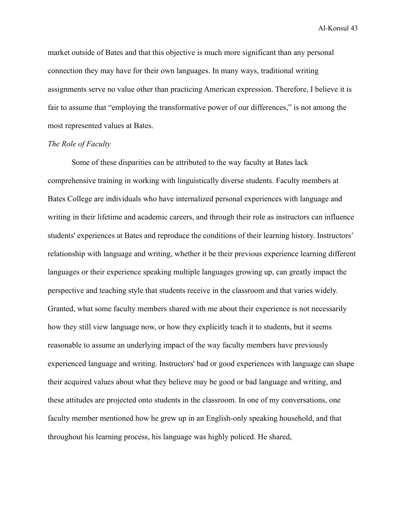market outside of Bates and that this objective is much more significant than any personal connection they may have for their own languages. In many ways, traditional writing assignments serve no value other than practicing American expression. Therefore, I believe it is fair to assume that "employing the transformative power of our differences," is not among the most represented values at Bates.

### *The Role of Faculty*

Some of these disparities can be attributed to the way faculty at Bates lack comprehensive training in working with linguistically diverse students. Faculty members at Bates College are individuals who have internalized personal experiences with language and writing in their lifetime and academic careers, and through their role as instructors can influence students' experiences at Bates and reproduce the conditions of their learning history. Instructors' relationship with language and writing, whether it be their previous experience learning different languages or their experience speaking multiple languages growing up, can greatly impact the perspective and teaching style that students receive in the classroom and that varies widely. Granted, what some faculty members shared with me about their experience is not necessarily how they still view language now, or how they explicitly teach it to students, but it seems reasonable to assume an underlying impact of the way faculty members have previously experienced language and writing. Instructors' bad or good experiences with language can shape their acquired values about what they believe may be good or bad language and writing, and these attitudes are projected onto students in the classroom. In one of my conversations, one faculty member mentioned how he grew up in an English-only speaking household, and that throughout his learning process, his language was highly policed. He shared,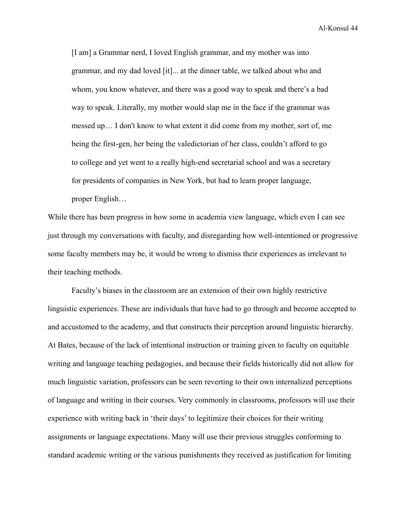[I am] a Grammar nerd, I loved English grammar, and my mother was into grammar, and my dad loved [it]... at the dinner table, we talked about who and whom, you know whatever, and there was a good way to speak and there's a bad way to speak. Literally, my mother would slap me in the face if the grammar was messed up… I don't know to what extent it did come from my mother, sort of, me being the first-gen, her being the valedictorian of her class, couldn't afford to go to college and yet went to a really high-end secretarial school and was a secretary for presidents of companies in New York, but had to learn proper language, proper English…

While there has been progress in how some in academia view language, which even I can see just through my conversations with faculty, and disregarding how well-intentioned or progressive some faculty members may be, it would be wrong to dismiss their experiences as irrelevant to their teaching methods.

Faculty's biases in the classroom are an extension of their own highly restrictive linguistic experiences. These are individuals that have had to go through and become accepted to and accustomed to the academy, and that constructs their perception around linguistic hierarchy. At Bates, because of the lack of intentional instruction or training given to faculty on equitable writing and language teaching pedagogies, and because their fields historically did not allow for much linguistic variation, professors can be seen reverting to their own internalized perceptions of language and writing in their courses. Very commonly in classrooms, professors will use their experience with writing back in 'their days' to legitimize their choices for their writing assignments or language expectations. Many will use their previous struggles conforming to standard academic writing or the various punishments they received as justification for limiting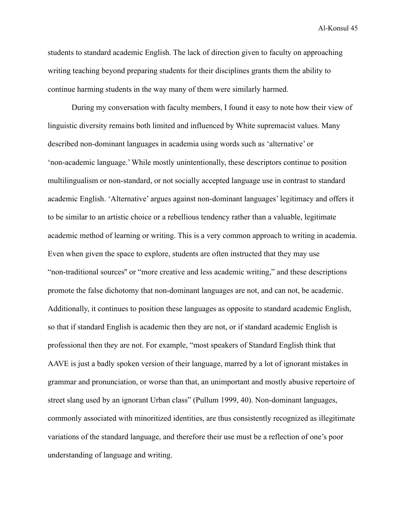students to standard academic English. The lack of direction given to faculty on approaching writing teaching beyond preparing students for their disciplines grants them the ability to continue harming students in the way many of them were similarly harmed.

During my conversation with faculty members, I found it easy to note how their view of linguistic diversity remains both limited and influenced by White supremacist values. Many described non-dominant languages in academia using words such as 'alternative' or 'non-academic language.' While mostly unintentionally, these descriptors continue to position multilingualism or non-standard, or not socially accepted language use in contrast to standard academic English. 'Alternative' argues against non-dominant languages' legitimacy and offers it to be similar to an artistic choice or a rebellious tendency rather than a valuable, legitimate academic method of learning or writing. This is a very common approach to writing in academia. Even when given the space to explore, students are often instructed that they may use "non-traditional sources'' or "more creative and less academic writing," and these descriptions promote the false dichotomy that non-dominant languages are not, and can not, be academic. Additionally, it continues to position these languages as opposite to standard academic English, so that if standard English is academic then they are not, or if standard academic English is professional then they are not. For example, "most speakers of Standard English think that AAVE is just a badly spoken version of their language, marred by a lot of ignorant mistakes in grammar and pronunciation, or worse than that, an unimportant and mostly abusive repertoire of street slang used by an ignorant Urban class" (Pullum 1999, 40). Non-dominant languages, commonly associated with minoritized identities, are thus consistently recognized as illegitimate variations of the standard language, and therefore their use must be a reflection of one's poor understanding of language and writing.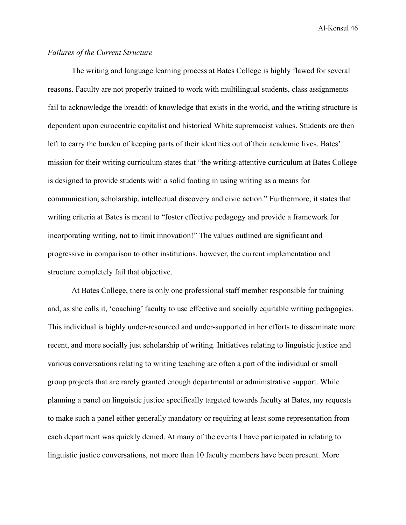### *Failures of the Current Structure*

The writing and language learning process at Bates College is highly flawed for several reasons. Faculty are not properly trained to work with multilingual students, class assignments fail to acknowledge the breadth of knowledge that exists in the world, and the writing structure is dependent upon eurocentric capitalist and historical White supremacist values. Students are then left to carry the burden of keeping parts of their identities out of their academic lives. Bates' mission for their writing curriculum states that "the writing-attentive curriculum at Bates College is designed to provide students with a solid footing in using writing as a means for communication, scholarship, intellectual discovery and civic action." Furthermore, it states that writing criteria at Bates is meant to "foster effective pedagogy and provide a framework for incorporating writing, not to limit innovation!" The values outlined are significant and progressive in comparison to other institutions, however, the current implementation and structure completely fail that objective.

At Bates College, there is only one professional staff member responsible for training and, as she calls it, 'coaching' faculty to use effective and socially equitable writing pedagogies. This individual is highly under-resourced and under-supported in her efforts to disseminate more recent, and more socially just scholarship of writing. Initiatives relating to linguistic justice and various conversations relating to writing teaching are often a part of the individual or small group projects that are rarely granted enough departmental or administrative support. While planning a panel on linguistic justice specifically targeted towards faculty at Bates, my requests to make such a panel either generally mandatory or requiring at least some representation from each department was quickly denied. At many of the events I have participated in relating to linguistic justice conversations, not more than 10 faculty members have been present. More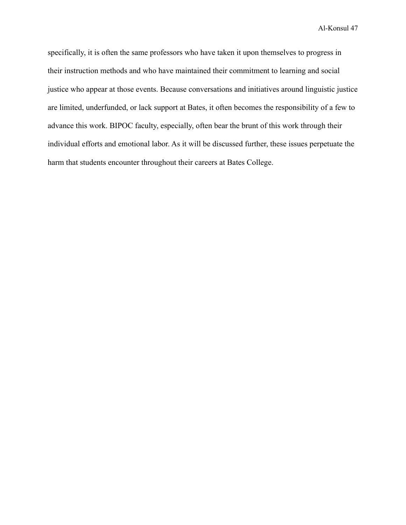specifically, it is often the same professors who have taken it upon themselves to progress in their instruction methods and who have maintained their commitment to learning and social justice who appear at those events. Because conversations and initiatives around linguistic justice are limited, underfunded, or lack support at Bates, it often becomes the responsibility of a few to advance this work. BIPOC faculty, especially, often bear the brunt of this work through their individual efforts and emotional labor. As it will be discussed further, these issues perpetuate the harm that students encounter throughout their careers at Bates College.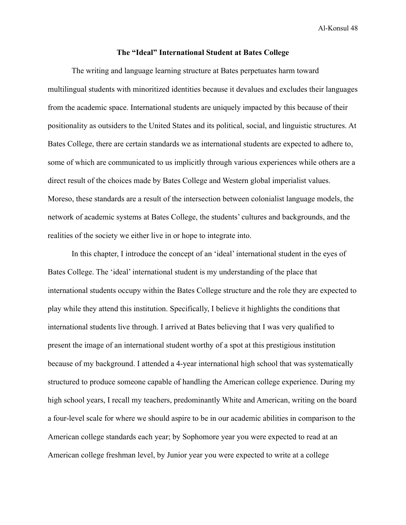#### **The "Ideal" International Student at Bates College**

The writing and language learning structure at Bates perpetuates harm toward multilingual students with minoritized identities because it devalues and excludes their languages from the academic space. International students are uniquely impacted by this because of their positionality as outsiders to the United States and its political, social, and linguistic structures. At Bates College, there are certain standards we as international students are expected to adhere to, some of which are communicated to us implicitly through various experiences while others are a direct result of the choices made by Bates College and Western global imperialist values. Moreso, these standards are a result of the intersection between colonialist language models, the network of academic systems at Bates College, the students' cultures and backgrounds, and the realities of the society we either live in or hope to integrate into.

In this chapter, I introduce the concept of an 'ideal' international student in the eyes of Bates College. The 'ideal' international student is my understanding of the place that international students occupy within the Bates College structure and the role they are expected to play while they attend this institution. Specifically, I believe it highlights the conditions that international students live through. I arrived at Bates believing that I was very qualified to present the image of an international student worthy of a spot at this prestigious institution because of my background. I attended a 4-year international high school that was systematically structured to produce someone capable of handling the American college experience. During my high school years, I recall my teachers, predominantly White and American, writing on the board a four-level scale for where we should aspire to be in our academic abilities in comparison to the American college standards each year; by Sophomore year you were expected to read at an American college freshman level, by Junior year you were expected to write at a college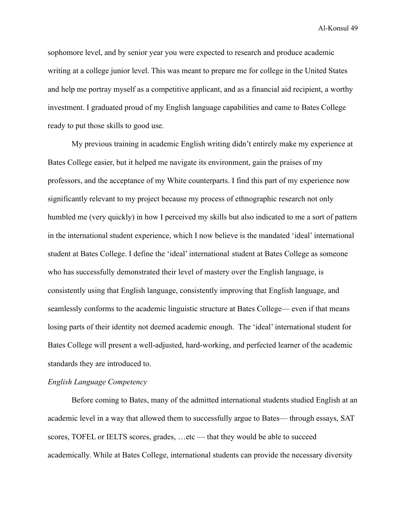sophomore level, and by senior year you were expected to research and produce academic writing at a college junior level. This was meant to prepare me for college in the United States and help me portray myself as a competitive applicant, and as a financial aid recipient, a worthy investment. I graduated proud of my English language capabilities and came to Bates College ready to put those skills to good use.

My previous training in academic English writing didn't entirely make my experience at Bates College easier, but it helped me navigate its environment, gain the praises of my professors, and the acceptance of my White counterparts. I find this part of my experience now significantly relevant to my project because my process of ethnographic research not only humbled me (very quickly) in how I perceived my skills but also indicated to me a sort of pattern in the international student experience, which I now believe is the mandated 'ideal' international student at Bates College. I define the 'ideal' international student at Bates College as someone who has successfully demonstrated their level of mastery over the English language, is consistently using that English language, consistently improving that English language, and seamlessly conforms to the academic linguistic structure at Bates College— even if that means losing parts of their identity not deemed academic enough. The 'ideal' international student for Bates College will present a well-adjusted, hard-working, and perfected learner of the academic standards they are introduced to.

### *English Language Competency*

Before coming to Bates, many of the admitted international students studied English at an academic level in a way that allowed them to successfully argue to Bates— through essays, SAT scores, TOFEL or IELTS scores, grades, …etc — that they would be able to succeed academically. While at Bates College, international students can provide the necessary diversity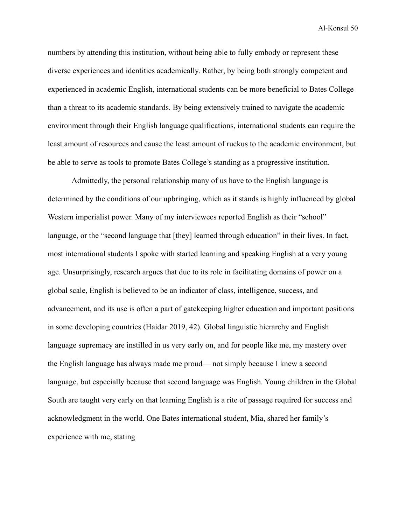numbers by attending this institution, without being able to fully embody or represent these diverse experiences and identities academically. Rather, by being both strongly competent and experienced in academic English, international students can be more beneficial to Bates College than a threat to its academic standards. By being extensively trained to navigate the academic environment through their English language qualifications, international students can require the least amount of resources and cause the least amount of ruckus to the academic environment, but be able to serve as tools to promote Bates College's standing as a progressive institution.

Admittedly, the personal relationship many of us have to the English language is determined by the conditions of our upbringing, which as it stands is highly influenced by global Western imperialist power. Many of my interviewees reported English as their "school" language, or the "second language that [they] learned through education" in their lives. In fact, most international students I spoke with started learning and speaking English at a very young age. Unsurprisingly, research argues that due to its role in facilitating domains of power on a global scale, English is believed to be an indicator of class, intelligence, success, and advancement, and its use is often a part of gatekeeping higher education and important positions in some developing countries (Haidar 2019, 42). Global linguistic hierarchy and English language supremacy are instilled in us very early on, and for people like me, my mastery over the English language has always made me proud— not simply because I knew a second language, but especially because that second language was English. Young children in the Global South are taught very early on that learning English is a rite of passage required for success and acknowledgment in the world. One Bates international student, Mia, shared her family's experience with me, stating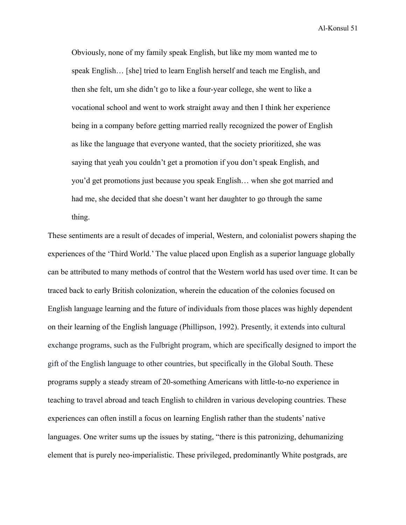Obviously, none of my family speak English, but like my mom wanted me to speak English… [she] tried to learn English herself and teach me English, and then she felt, um she didn't go to like a four-year college, she went to like a vocational school and went to work straight away and then I think her experience being in a company before getting married really recognized the power of English as like the language that everyone wanted, that the society prioritized, she was saying that yeah you couldn't get a promotion if you don't speak English, and you'd get promotions just because you speak English… when she got married and had me, she decided that she doesn't want her daughter to go through the same thing.

These sentiments are a result of decades of imperial, Western, and colonialist powers shaping the experiences of the 'Third World.' The value placed upon English as a superior language globally can be attributed to many methods of control that the Western world has used over time. It can be traced back to early British colonization, wherein the education of the colonies focused on English language learning and the future of individuals from those places was highly dependent on their learning of the English language (Phillipson, 1992). Presently, it extends into cultural exchange programs, such as the Fulbright program, which are specifically designed to import the gift of the English language to other countries, but specifically in the Global South. These programs supply a steady stream of 20-something Americans with little-to-no experience in teaching to travel abroad and teach English to children in various developing countries. These experiences can often instill a focus on learning English rather than the students' native languages. One writer sums up the issues by stating, "there is this patronizing, dehumanizing element that is purely neo-imperialistic. These privileged, predominantly White postgrads, are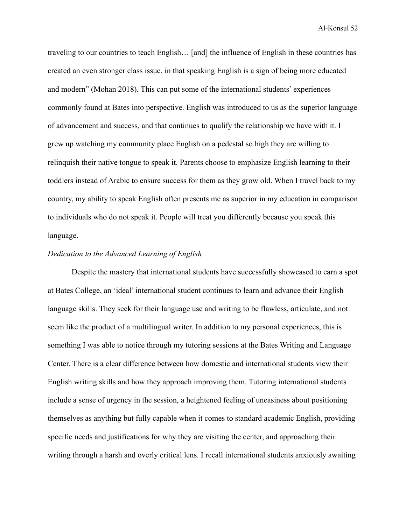traveling to our countries to teach English… [and] the influence of English in these countries has created an even stronger class issue, in that speaking English is a sign of being more educated and modern" (Mohan 2018). This can put some of the international students' experiences commonly found at Bates into perspective. English was introduced to us as the superior language of advancement and success, and that continues to qualify the relationship we have with it. I grew up watching my community place English on a pedestal so high they are willing to relinquish their native tongue to speak it. Parents choose to emphasize English learning to their toddlers instead of Arabic to ensure success for them as they grow old. When I travel back to my country, my ability to speak English often presents me as superior in my education in comparison to individuals who do not speak it. People will treat you differently because you speak this language.

### *Dedication to the Advanced Learning of English*

Despite the mastery that international students have successfully showcased to earn a spot at Bates College, an 'ideal' international student continues to learn and advance their English language skills. They seek for their language use and writing to be flawless, articulate, and not seem like the product of a multilingual writer. In addition to my personal experiences, this is something I was able to notice through my tutoring sessions at the Bates Writing and Language Center. There is a clear difference between how domestic and international students view their English writing skills and how they approach improving them. Tutoring international students include a sense of urgency in the session, a heightened feeling of uneasiness about positioning themselves as anything but fully capable when it comes to standard academic English, providing specific needs and justifications for why they are visiting the center, and approaching their writing through a harsh and overly critical lens. I recall international students anxiously awaiting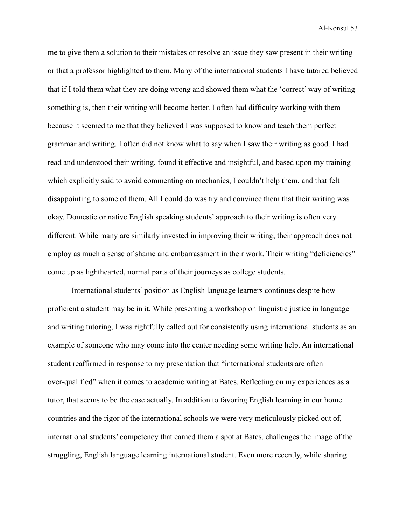me to give them a solution to their mistakes or resolve an issue they saw present in their writing or that a professor highlighted to them. Many of the international students I have tutored believed that if I told them what they are doing wrong and showed them what the 'correct' way of writing something is, then their writing will become better. I often had difficulty working with them because it seemed to me that they believed I was supposed to know and teach them perfect grammar and writing. I often did not know what to say when I saw their writing as good. I had read and understood their writing, found it effective and insightful, and based upon my training which explicitly said to avoid commenting on mechanics, I couldn't help them, and that felt disappointing to some of them. All I could do was try and convince them that their writing was okay. Domestic or native English speaking students' approach to their writing is often very different. While many are similarly invested in improving their writing, their approach does not employ as much a sense of shame and embarrassment in their work. Their writing "deficiencies" come up as lighthearted, normal parts of their journeys as college students.

International students' position as English language learners continues despite how proficient a student may be in it. While presenting a workshop on linguistic justice in language and writing tutoring, I was rightfully called out for consistently using international students as an example of someone who may come into the center needing some writing help. An international student reaffirmed in response to my presentation that "international students are often over-qualified" when it comes to academic writing at Bates. Reflecting on my experiences as a tutor, that seems to be the case actually. In addition to favoring English learning in our home countries and the rigor of the international schools we were very meticulously picked out of, international students' competency that earned them a spot at Bates, challenges the image of the struggling, English language learning international student. Even more recently, while sharing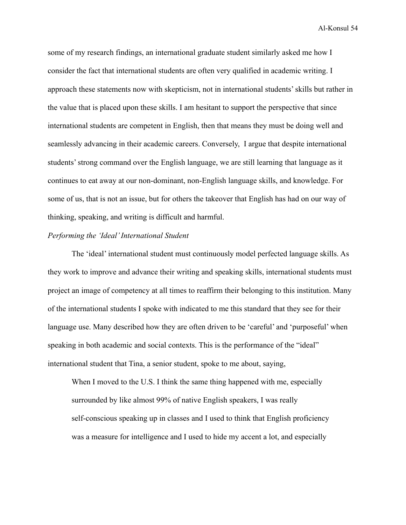some of my research findings, an international graduate student similarly asked me how I consider the fact that international students are often very qualified in academic writing. I approach these statements now with skepticism, not in international students' skills but rather in the value that is placed upon these skills. I am hesitant to support the perspective that since international students are competent in English, then that means they must be doing well and seamlessly advancing in their academic careers. Conversely, I argue that despite international students' strong command over the English language, we are still learning that language as it continues to eat away at our non-dominant, non-English language skills, and knowledge. For some of us, that is not an issue, but for others the takeover that English has had on our way of thinking, speaking, and writing is difficult and harmful.

#### *Performing the 'Ideal' International Student*

The 'ideal' international student must continuously model perfected language skills. As they work to improve and advance their writing and speaking skills, international students must project an image of competency at all times to reaffirm their belonging to this institution. Many of the international students I spoke with indicated to me this standard that they see for their language use. Many described how they are often driven to be 'careful' and 'purposeful' when speaking in both academic and social contexts. This is the performance of the "ideal" international student that Tina, a senior student, spoke to me about, saying,

When I moved to the U.S. I think the same thing happened with me, especially surrounded by like almost 99% of native English speakers, I was really self-conscious speaking up in classes and I used to think that English proficiency was a measure for intelligence and I used to hide my accent a lot, and especially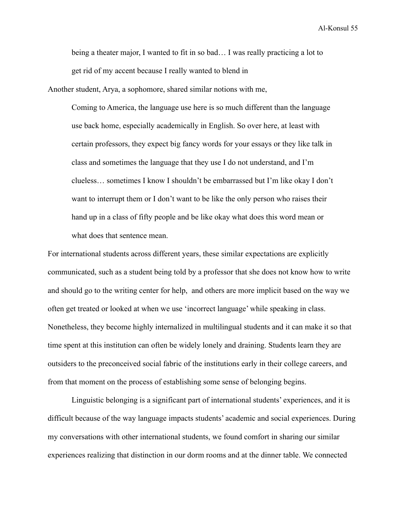being a theater major, I wanted to fit in so bad… I was really practicing a lot to get rid of my accent because I really wanted to blend in

Another student, Arya, a sophomore, shared similar notions with me,

Coming to America, the language use here is so much different than the language use back home, especially academically in English. So over here, at least with certain professors, they expect big fancy words for your essays or they like talk in class and sometimes the language that they use I do not understand, and I'm clueless… sometimes I know I shouldn't be embarrassed but I'm like okay I don't want to interrupt them or I don't want to be like the only person who raises their hand up in a class of fifty people and be like okay what does this word mean or what does that sentence mean.

For international students across different years, these similar expectations are explicitly communicated, such as a student being told by a professor that she does not know how to write and should go to the writing center for help, and others are more implicit based on the way we often get treated or looked at when we use 'incorrect language' while speaking in class. Nonetheless, they become highly internalized in multilingual students and it can make it so that time spent at this institution can often be widely lonely and draining. Students learn they are outsiders to the preconceived social fabric of the institutions early in their college careers, and from that moment on the process of establishing some sense of belonging begins.

Linguistic belonging is a significant part of international students' experiences, and it is difficult because of the way language impacts students' academic and social experiences. During my conversations with other international students, we found comfort in sharing our similar experiences realizing that distinction in our dorm rooms and at the dinner table. We connected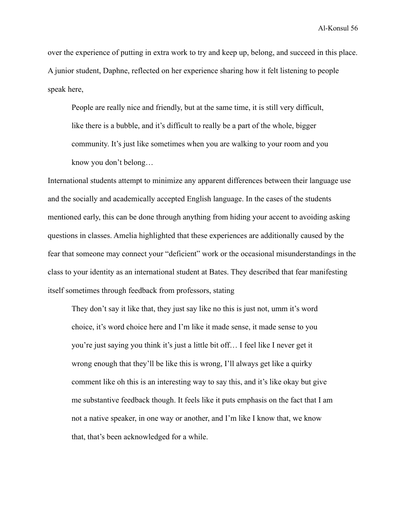over the experience of putting in extra work to try and keep up, belong, and succeed in this place. A junior student, Daphne, reflected on her experience sharing how it felt listening to people speak here,

People are really nice and friendly, but at the same time, it is still very difficult, like there is a bubble, and it's difficult to really be a part of the whole, bigger community. It's just like sometimes when you are walking to your room and you know you don't belong…

International students attempt to minimize any apparent differences between their language use and the socially and academically accepted English language. In the cases of the students mentioned early, this can be done through anything from hiding your accent to avoiding asking questions in classes. Amelia highlighted that these experiences are additionally caused by the fear that someone may connect your "deficient" work or the occasional misunderstandings in the class to your identity as an international student at Bates. They described that fear manifesting itself sometimes through feedback from professors, stating

They don't say it like that, they just say like no this is just not, umm it's word choice, it's word choice here and I'm like it made sense, it made sense to you you're just saying you think it's just a little bit off… I feel like I never get it wrong enough that they'll be like this is wrong, I'll always get like a quirky comment like oh this is an interesting way to say this, and it's like okay but give me substantive feedback though. It feels like it puts emphasis on the fact that I am not a native speaker, in one way or another, and I'm like I know that, we know that, that's been acknowledged for a while.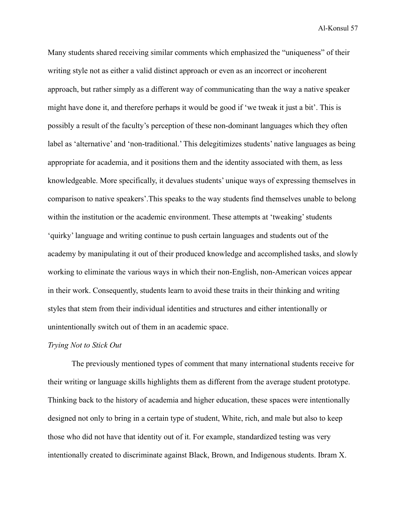Many students shared receiving similar comments which emphasized the "uniqueness" of their writing style not as either a valid distinct approach or even as an incorrect or incoherent approach, but rather simply as a different way of communicating than the way a native speaker might have done it, and therefore perhaps it would be good if 'we tweak it just a bit'. This is possibly a result of the faculty's perception of these non-dominant languages which they often label as 'alternative' and 'non-traditional.' This delegitimizes students' native languages as being appropriate for academia, and it positions them and the identity associated with them, as less knowledgeable. More specifically, it devalues students' unique ways of expressing themselves in comparison to native speakers'.This speaks to the way students find themselves unable to belong within the institution or the academic environment. These attempts at 'tweaking' students 'quirky' language and writing continue to push certain languages and students out of the academy by manipulating it out of their produced knowledge and accomplished tasks, and slowly working to eliminate the various ways in which their non-English, non-American voices appear in their work. Consequently, students learn to avoid these traits in their thinking and writing styles that stem from their individual identities and structures and either intentionally or unintentionally switch out of them in an academic space.

### *Trying Not to Stick Out*

The previously mentioned types of comment that many international students receive for their writing or language skills highlights them as different from the average student prototype. Thinking back to the history of academia and higher education, these spaces were intentionally designed not only to bring in a certain type of student, White, rich, and male but also to keep those who did not have that identity out of it. For example, standardized testing was very intentionally created to discriminate against Black, Brown, and Indigenous students. Ibram X.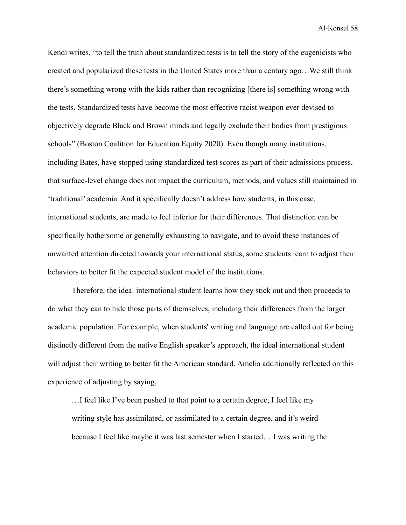Kendi writes, "to tell the truth about standardized tests is to tell the story of the eugenicists who created and popularized these tests in the United States more than a century ago…We still think there's something wrong with the kids rather than recognizing [there is] something wrong with the tests. Standardized tests have become the most effective racist weapon ever devised to objectively degrade Black and Brown minds and legally exclude their bodies from prestigious schools" (Boston Coalition for Education Equity 2020). Even though many institutions, including Bates, have stopped using standardized test scores as part of their admissions process, that surface-level change does not impact the curriculum, methods, and values still maintained in 'traditional' academia. And it specifically doesn't address how students, in this case, international students, are made to feel inferior for their differences. That distinction can be specifically bothersome or generally exhausting to navigate, and to avoid these instances of unwanted attention directed towards your international status, some students learn to adjust their behaviors to better fit the expected student model of the institutions.

Therefore, the ideal international student learns how they stick out and then proceeds to do what they can to hide those parts of themselves, including their differences from the larger academic population. For example, when students' writing and language are called out for being distinctly different from the native English speaker's approach, the ideal international student will adjust their writing to better fit the American standard. Amelia additionally reflected on this experience of adjusting by saying,

…I feel like I've been pushed to that point to a certain degree, I feel like my writing style has assimilated, or assimilated to a certain degree, and it's weird because I feel like maybe it was last semester when I started… I was writing the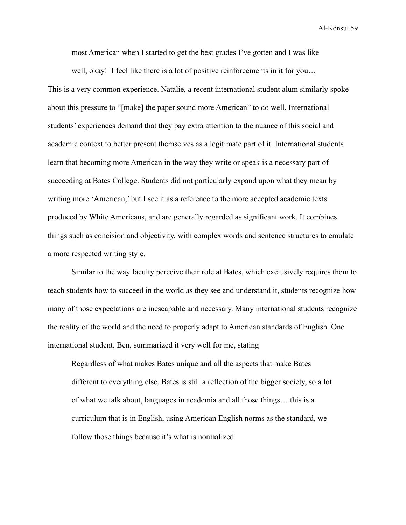most American when I started to get the best grades I've gotten and I was like

well, okay! I feel like there is a lot of positive reinforcements in it for you... This is a very common experience. Natalie, a recent international student alum similarly spoke about this pressure to "[make] the paper sound more American" to do well. International students' experiences demand that they pay extra attention to the nuance of this social and academic context to better present themselves as a legitimate part of it. International students learn that becoming more American in the way they write or speak is a necessary part of succeeding at Bates College. Students did not particularly expand upon what they mean by writing more 'American,' but I see it as a reference to the more accepted academic texts produced by White Americans, and are generally regarded as significant work. It combines things such as concision and objectivity, with complex words and sentence structures to emulate a more respected writing style.

Similar to the way faculty perceive their role at Bates, which exclusively requires them to teach students how to succeed in the world as they see and understand it, students recognize how many of those expectations are inescapable and necessary. Many international students recognize the reality of the world and the need to properly adapt to American standards of English. One international student, Ben, summarized it very well for me, stating

Regardless of what makes Bates unique and all the aspects that make Bates different to everything else, Bates is still a reflection of the bigger society, so a lot of what we talk about, languages in academia and all those things… this is a curriculum that is in English, using American English norms as the standard, we follow those things because it's what is normalized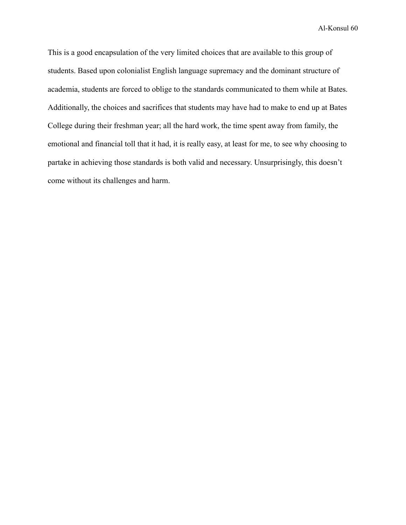This is a good encapsulation of the very limited choices that are available to this group of students. Based upon colonialist English language supremacy and the dominant structure of academia, students are forced to oblige to the standards communicated to them while at Bates. Additionally, the choices and sacrifices that students may have had to make to end up at Bates College during their freshman year; all the hard work, the time spent away from family, the emotional and financial toll that it had, it is really easy, at least for me, to see why choosing to partake in achieving those standards is both valid and necessary. Unsurprisingly, this doesn't come without its challenges and harm.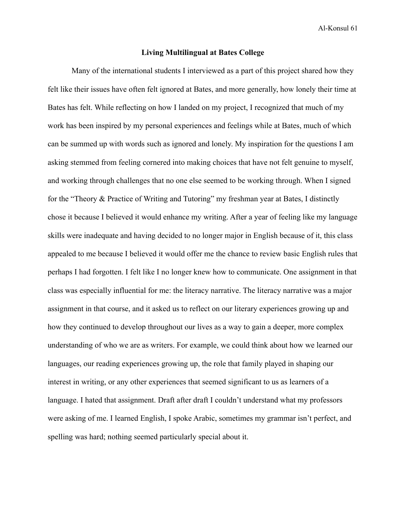### **Living Multilingual at Bates College**

Many of the international students I interviewed as a part of this project shared how they felt like their issues have often felt ignored at Bates, and more generally, how lonely their time at Bates has felt. While reflecting on how I landed on my project, I recognized that much of my work has been inspired by my personal experiences and feelings while at Bates, much of which can be summed up with words such as ignored and lonely. My inspiration for the questions I am asking stemmed from feeling cornered into making choices that have not felt genuine to myself, and working through challenges that no one else seemed to be working through. When I signed for the "Theory & Practice of Writing and Tutoring" my freshman year at Bates, I distinctly chose it because I believed it would enhance my writing. After a year of feeling like my language skills were inadequate and having decided to no longer major in English because of it, this class appealed to me because I believed it would offer me the chance to review basic English rules that perhaps I had forgotten. I felt like I no longer knew how to communicate. One assignment in that class was especially influential for me: the literacy narrative. The literacy narrative was a major assignment in that course, and it asked us to reflect on our literary experiences growing up and how they continued to develop throughout our lives as a way to gain a deeper, more complex understanding of who we are as writers. For example, we could think about how we learned our languages, our reading experiences growing up, the role that family played in shaping our interest in writing, or any other experiences that seemed significant to us as learners of a language. I hated that assignment. Draft after draft I couldn't understand what my professors were asking of me. I learned English, I spoke Arabic, sometimes my grammar isn't perfect, and spelling was hard; nothing seemed particularly special about it.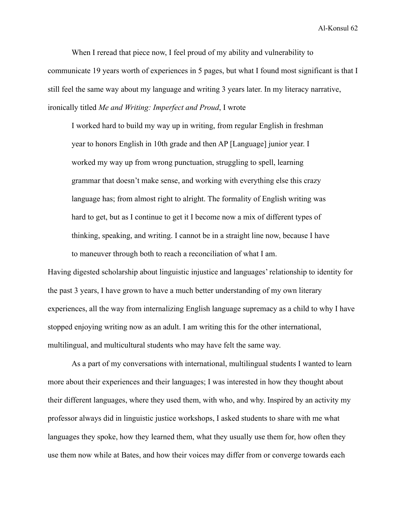When I reread that piece now, I feel proud of my ability and vulnerability to communicate 19 years worth of experiences in 5 pages, but what I found most significant is that I still feel the same way about my language and writing 3 years later. In my literacy narrative, ironically titled *Me and Writing: Imperfect and Proud*, I wrote

I worked hard to build my way up in writing, from regular English in freshman year to honors English in 10th grade and then AP [Language] junior year. I worked my way up from wrong punctuation, struggling to spell, learning grammar that doesn't make sense, and working with everything else this crazy language has; from almost right to alright. The formality of English writing was hard to get, but as I continue to get it I become now a mix of different types of thinking, speaking, and writing. I cannot be in a straight line now, because I have to maneuver through both to reach a reconciliation of what I am.

Having digested scholarship about linguistic injustice and languages' relationship to identity for the past 3 years, I have grown to have a much better understanding of my own literary experiences, all the way from internalizing English language supremacy as a child to why I have stopped enjoying writing now as an adult. I am writing this for the other international, multilingual, and multicultural students who may have felt the same way.

As a part of my conversations with international, multilingual students I wanted to learn more about their experiences and their languages; I was interested in how they thought about their different languages, where they used them, with who, and why. Inspired by an activity my professor always did in linguistic justice workshops, I asked students to share with me what languages they spoke, how they learned them, what they usually use them for, how often they use them now while at Bates, and how their voices may differ from or converge towards each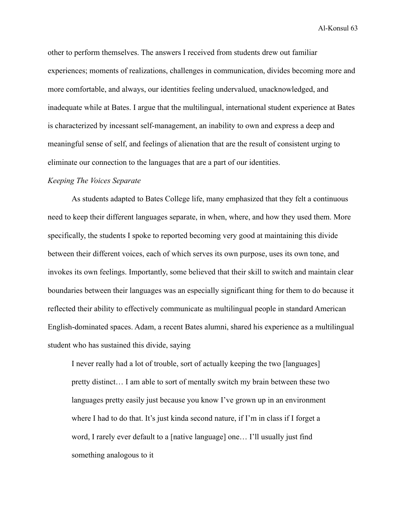other to perform themselves. The answers I received from students drew out familiar experiences; moments of realizations, challenges in communication, divides becoming more and more comfortable, and always, our identities feeling undervalued, unacknowledged, and inadequate while at Bates. I argue that the multilingual, international student experience at Bates is characterized by incessant self-management, an inability to own and express a deep and meaningful sense of self, and feelings of alienation that are the result of consistent urging to eliminate our connection to the languages that are a part of our identities.

#### *Keeping The Voices Separate*

As students adapted to Bates College life, many emphasized that they felt a continuous need to keep their different languages separate, in when, where, and how they used them. More specifically, the students I spoke to reported becoming very good at maintaining this divide between their different voices, each of which serves its own purpose, uses its own tone, and invokes its own feelings. Importantly, some believed that their skill to switch and maintain clear boundaries between their languages was an especially significant thing for them to do because it reflected their ability to effectively communicate as multilingual people in standard American English-dominated spaces. Adam, a recent Bates alumni, shared his experience as a multilingual student who has sustained this divide, saying

I never really had a lot of trouble, sort of actually keeping the two [languages] pretty distinct… I am able to sort of mentally switch my brain between these two languages pretty easily just because you know I've grown up in an environment where I had to do that. It's just kinda second nature, if I'm in class if I forget a word, I rarely ever default to a [native language] one… I'll usually just find something analogous to it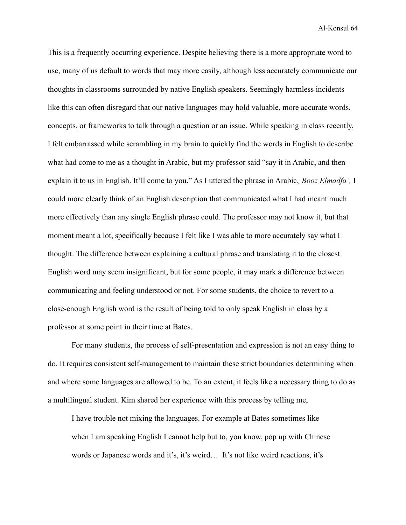This is a frequently occurring experience. Despite believing there is a more appropriate word to use, many of us default to words that may more easily, although less accurately communicate our thoughts in classrooms surrounded by native English speakers. Seemingly harmless incidents like this can often disregard that our native languages may hold valuable, more accurate words, concepts, or frameworks to talk through a question or an issue. While speaking in class recently, I felt embarrassed while scrambling in my brain to quickly find the words in English to describe what had come to me as a thought in Arabic, but my professor said "say it in Arabic, and then explain it to us in English. It'll come to you." As I uttered the phrase in Arabic, *Booz Elmadfa',* I could more clearly think of an English description that communicated what I had meant much more effectively than any single English phrase could. The professor may not know it, but that moment meant a lot, specifically because I felt like I was able to more accurately say what I thought. The difference between explaining a cultural phrase and translating it to the closest English word may seem insignificant, but for some people, it may mark a difference between communicating and feeling understood or not. For some students, the choice to revert to a close-enough English word is the result of being told to only speak English in class by a professor at some point in their time at Bates.

For many students, the process of self-presentation and expression is not an easy thing to do. It requires consistent self-management to maintain these strict boundaries determining when and where some languages are allowed to be. To an extent, it feels like a necessary thing to do as a multilingual student. Kim shared her experience with this process by telling me,

I have trouble not mixing the languages. For example at Bates sometimes like when I am speaking English I cannot help but to, you know, pop up with Chinese words or Japanese words and it's, it's weird… It's not like weird reactions, it's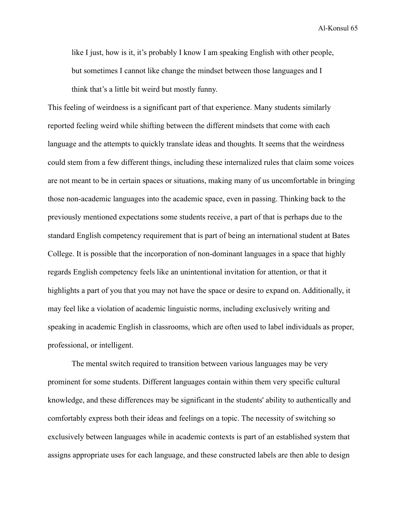like I just, how is it, it's probably I know I am speaking English with other people, but sometimes I cannot like change the mindset between those languages and I think that's a little bit weird but mostly funny.

This feeling of weirdness is a significant part of that experience. Many students similarly reported feeling weird while shifting between the different mindsets that come with each language and the attempts to quickly translate ideas and thoughts. It seems that the weirdness could stem from a few different things, including these internalized rules that claim some voices are not meant to be in certain spaces or situations, making many of us uncomfortable in bringing those non-academic languages into the academic space, even in passing. Thinking back to the previously mentioned expectations some students receive, a part of that is perhaps due to the standard English competency requirement that is part of being an international student at Bates College. It is possible that the incorporation of non-dominant languages in a space that highly regards English competency feels like an unintentional invitation for attention, or that it highlights a part of you that you may not have the space or desire to expand on. Additionally, it may feel like a violation of academic linguistic norms, including exclusively writing and speaking in academic English in classrooms, which are often used to label individuals as proper, professional, or intelligent.

The mental switch required to transition between various languages may be very prominent for some students. Different languages contain within them very specific cultural knowledge, and these differences may be significant in the students' ability to authentically and comfortably express both their ideas and feelings on a topic. The necessity of switching so exclusively between languages while in academic contexts is part of an established system that assigns appropriate uses for each language, and these constructed labels are then able to design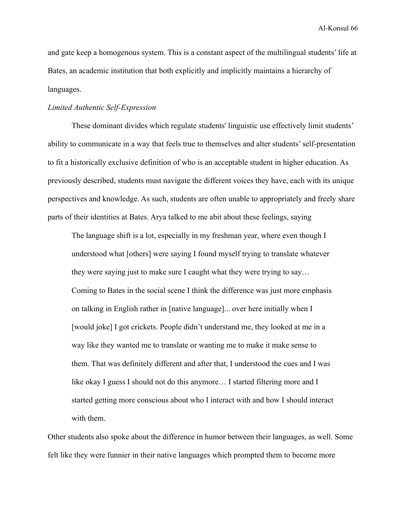and gate keep a homogenous system. This is a constant aspect of the multilingual students' life at Bates, an academic institution that both explicitly and implicitly maintains a hierarchy of languages.

## *Limited Authentic Self-Expression*

These dominant divides which regulate students' linguistic use effectively limit students' ability to communicate in a way that feels true to themselves and alter students' self-presentation to fit a historically exclusive definition of who is an acceptable student in higher education. As previously described, students must navigate the different voices they have, each with its unique perspectives and knowledge. As such, students are often unable to appropriately and freely share parts of their identities at Bates. Arya talked to me abit about these feelings, saying

The language shift is a lot, especially in my freshman year, where even though I understood what [others] were saying I found myself trying to translate whatever they were saying just to make sure I caught what they were trying to say… Coming to Bates in the social scene I think the difference was just more emphasis on talking in English rather in [native language]... over here initially when I [would joke] I got crickets. People didn't understand me, they looked at me in a way like they wanted me to translate or wanting me to make it make sense to them. That was definitely different and after that, I understood the cues and I was like okay I guess I should not do this anymore… I started filtering more and I started getting more conscious about who I interact with and how I should interact with them.

Other students also spoke about the difference in humor between their languages, as well. Some felt like they were funnier in their native languages which prompted them to become more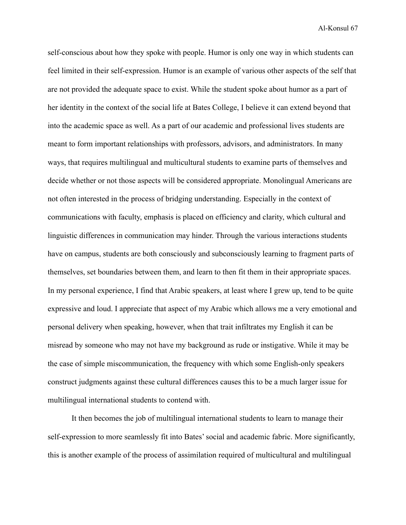self-conscious about how they spoke with people. Humor is only one way in which students can feel limited in their self-expression. Humor is an example of various other aspects of the self that are not provided the adequate space to exist. While the student spoke about humor as a part of her identity in the context of the social life at Bates College, I believe it can extend beyond that into the academic space as well. As a part of our academic and professional lives students are meant to form important relationships with professors, advisors, and administrators. In many ways, that requires multilingual and multicultural students to examine parts of themselves and decide whether or not those aspects will be considered appropriate. Monolingual Americans are not often interested in the process of bridging understanding. Especially in the context of communications with faculty, emphasis is placed on efficiency and clarity, which cultural and linguistic differences in communication may hinder. Through the various interactions students have on campus, students are both consciously and subconsciously learning to fragment parts of themselves, set boundaries between them, and learn to then fit them in their appropriate spaces. In my personal experience, I find that Arabic speakers, at least where I grew up, tend to be quite expressive and loud. I appreciate that aspect of my Arabic which allows me a very emotional and personal delivery when speaking, however, when that trait infiltrates my English it can be misread by someone who may not have my background as rude or instigative. While it may be the case of simple miscommunication, the frequency with which some English-only speakers construct judgments against these cultural differences causes this to be a much larger issue for multilingual international students to contend with.

It then becomes the job of multilingual international students to learn to manage their self-expression to more seamlessly fit into Bates' social and academic fabric. More significantly, this is another example of the process of assimilation required of multicultural and multilingual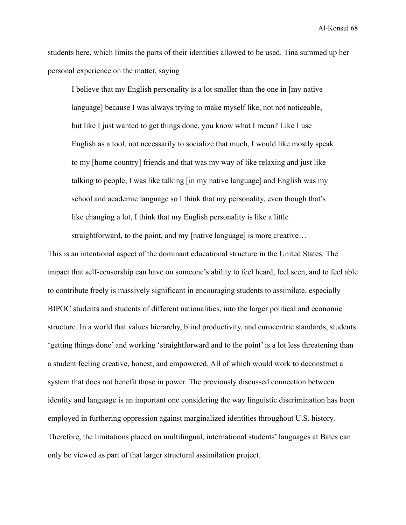students here, which limits the parts of their identities allowed to be used. Tina summed up her personal experience on the matter, saying

I believe that my English personality is a lot smaller than the one in [my native language] because I was always trying to make myself like, not not noticeable, but like I just wanted to get things done, you know what I mean? Like I use English as a tool, not necessarily to socialize that much, I would like mostly speak to my [home country] friends and that was my way of like relaxing and just like talking to people, I was like talking [in my native language] and English was my school and academic language so I think that my personality, even though that's like changing a lot, I think that my English personality is like a little

straightforward, to the point, and my [native language] is more creative…

This is an intentional aspect of the dominant educational structure in the United States. The impact that self-censorship can have on someone's ability to feel heard, feel seen, and to feel able to contribute freely is massively significant in encouraging students to assimilate, especially BIPOC students and students of different nationalities, into the larger political and economic structure. In a world that values hierarchy, blind productivity, and eurocentric standards, students 'getting things done' and working 'straightforward and to the point' is a lot less threatening than a student feeling creative, honest, and empowered. All of which would work to deconstruct a system that does not benefit those in power. The previously discussed connection between identity and language is an important one considering the way linguistic discrimination has been employed in furthering oppression against marginalized identities throughout U.S. history. Therefore, the limitations placed on multilingual, international students' languages at Bates can only be viewed as part of that larger structural assimilation project.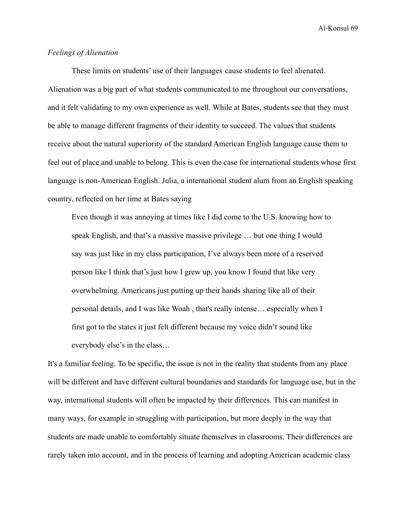## *Feelings of Alienation*

These limits on students' use of their languages cause students to feel alienated. Alienation was a big part of what students communicated to me throughout our conversations, and it felt validating to my own experience as well. While at Bates, students see that they must be able to manage different fragments of their identity to succeed. The values that students receive about the natural superiority of the standard American English language cause them to feel out of place and unable to belong. This is even the case for international students whose first language is non-American English. Julia, a international student alum from an English speaking country, reflected on her time at Bates saying

Even though it was annoying at times like I did come to the U.S. knowing how to speak English, and that's a massive massive privilege … but one thing I would say was just like in my class participation, I've always been more of a reserved person like I think that's just how I grew up, you know I found that like very overwhelming. Americans just putting up their hands sharing like all of their personal details, and I was like Woah , that's really intense… especially when I first got to the states it just felt different because my voice didn't sound like everybody else's in the class…

It's a familiar feeling. To be specific, the issue is not in the reality that students from any place will be different and have different cultural boundaries and standards for language use, but in the way, international students will often be impacted by their differences. This can manifest in many ways, for example in struggling with participation, but more deeply in the way that students are made unable to comfortably situate themselves in classrooms. Their differences are rarely taken into account, and in the process of learning and adopting American academic class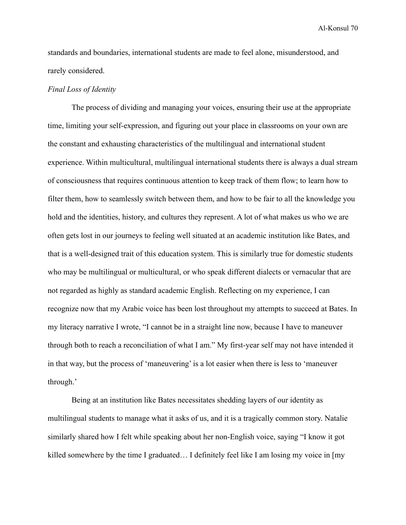standards and boundaries, international students are made to feel alone, misunderstood, and rarely considered.

### *Final Loss of Identity*

The process of dividing and managing your voices, ensuring their use at the appropriate time, limiting your self-expression, and figuring out your place in classrooms on your own are the constant and exhausting characteristics of the multilingual and international student experience. Within multicultural, multilingual international students there is always a dual stream of consciousness that requires continuous attention to keep track of them flow; to learn how to filter them, how to seamlessly switch between them, and how to be fair to all the knowledge you hold and the identities, history, and cultures they represent. A lot of what makes us who we are often gets lost in our journeys to feeling well situated at an academic institution like Bates, and that is a well-designed trait of this education system. This is similarly true for domestic students who may be multilingual or multicultural, or who speak different dialects or vernacular that are not regarded as highly as standard academic English. Reflecting on my experience, I can recognize now that my Arabic voice has been lost throughout my attempts to succeed at Bates. In my literacy narrative I wrote, "I cannot be in a straight line now, because I have to maneuver through both to reach a reconciliation of what I am." My first-year self may not have intended it in that way, but the process of 'maneuvering' is a lot easier when there is less to 'maneuver through.'

Being at an institution like Bates necessitates shedding layers of our identity as multilingual students to manage what it asks of us, and it is a tragically common story. Natalie similarly shared how I felt while speaking about her non-English voice, saying "I know it got killed somewhere by the time I graduated… I definitely feel like I am losing my voice in [my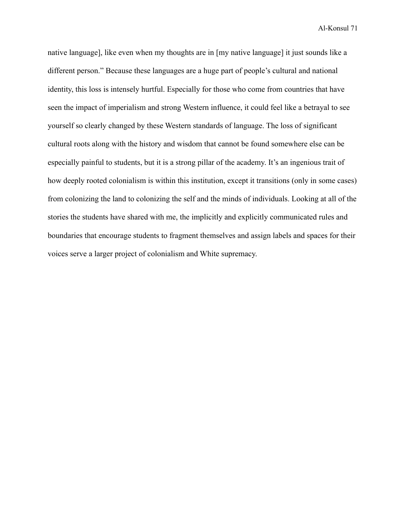native language], like even when my thoughts are in [my native language] it just sounds like a different person." Because these languages are a huge part of people's cultural and national identity, this loss is intensely hurtful. Especially for those who come from countries that have seen the impact of imperialism and strong Western influence, it could feel like a betrayal to see yourself so clearly changed by these Western standards of language. The loss of significant cultural roots along with the history and wisdom that cannot be found somewhere else can be especially painful to students, but it is a strong pillar of the academy. It's an ingenious trait of how deeply rooted colonialism is within this institution, except it transitions (only in some cases) from colonizing the land to colonizing the self and the minds of individuals. Looking at all of the stories the students have shared with me, the implicitly and explicitly communicated rules and boundaries that encourage students to fragment themselves and assign labels and spaces for their voices serve a larger project of colonialism and White supremacy.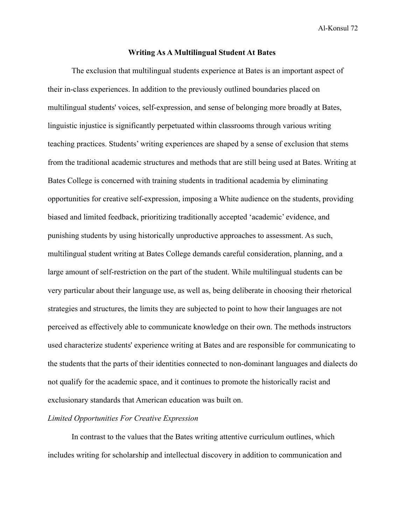# **Writing As A Multilingual Student At Bates**

The exclusion that multilingual students experience at Bates is an important aspect of their in-class experiences. In addition to the previously outlined boundaries placed on multilingual students' voices, self-expression, and sense of belonging more broadly at Bates, linguistic injustice is significantly perpetuated within classrooms through various writing teaching practices. Students' writing experiences are shaped by a sense of exclusion that stems from the traditional academic structures and methods that are still being used at Bates. Writing at Bates College is concerned with training students in traditional academia by eliminating opportunities for creative self-expression, imposing a White audience on the students, providing biased and limited feedback, prioritizing traditionally accepted 'academic' evidence, and punishing students by using historically unproductive approaches to assessment. As such, multilingual student writing at Bates College demands careful consideration, planning, and a large amount of self-restriction on the part of the student. While multilingual students can be very particular about their language use, as well as, being deliberate in choosing their rhetorical strategies and structures, the limits they are subjected to point to how their languages are not perceived as effectively able to communicate knowledge on their own. The methods instructors used characterize students' experience writing at Bates and are responsible for communicating to the students that the parts of their identities connected to non-dominant languages and dialects do not qualify for the academic space, and it continues to promote the historically racist and exclusionary standards that American education was built on.

## *Limited Opportunities For Creative Expression*

In contrast to the values that the Bates writing attentive curriculum outlines, which includes writing for scholarship and intellectual discovery in addition to communication and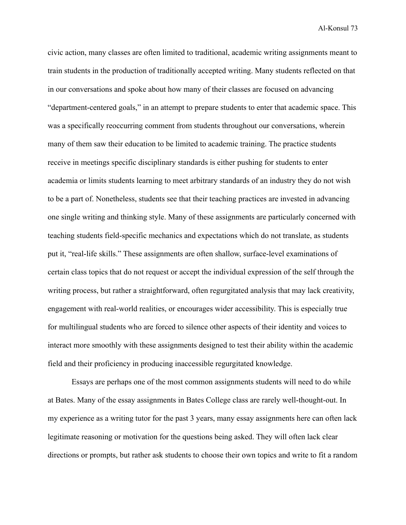civic action, many classes are often limited to traditional, academic writing assignments meant to train students in the production of traditionally accepted writing. Many students reflected on that in our conversations and spoke about how many of their classes are focused on advancing "department-centered goals," in an attempt to prepare students to enter that academic space. This was a specifically reoccurring comment from students throughout our conversations, wherein many of them saw their education to be limited to academic training. The practice students receive in meetings specific disciplinary standards is either pushing for students to enter academia or limits students learning to meet arbitrary standards of an industry they do not wish to be a part of. Nonetheless, students see that their teaching practices are invested in advancing one single writing and thinking style. Many of these assignments are particularly concerned with teaching students field-specific mechanics and expectations which do not translate, as students put it, "real-life skills." These assignments are often shallow, surface-level examinations of certain class topics that do not request or accept the individual expression of the self through the writing process, but rather a straightforward, often regurgitated analysis that may lack creativity, engagement with real-world realities, or encourages wider accessibility. This is especially true for multilingual students who are forced to silence other aspects of their identity and voices to interact more smoothly with these assignments designed to test their ability within the academic field and their proficiency in producing inaccessible regurgitated knowledge.

Essays are perhaps one of the most common assignments students will need to do while at Bates. Many of the essay assignments in Bates College class are rarely well-thought-out. In my experience as a writing tutor for the past 3 years, many essay assignments here can often lack legitimate reasoning or motivation for the questions being asked. They will often lack clear directions or prompts, but rather ask students to choose their own topics and write to fit a random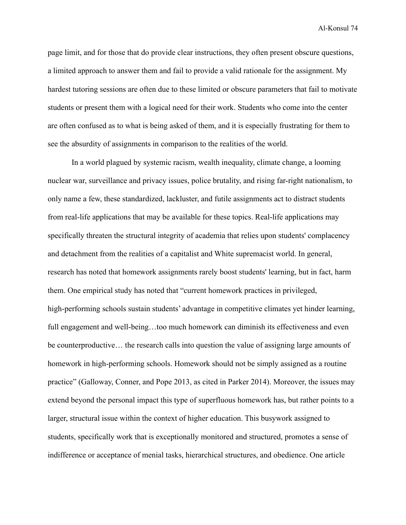page limit, and for those that do provide clear instructions, they often present obscure questions, a limited approach to answer them and fail to provide a valid rationale for the assignment. My hardest tutoring sessions are often due to these limited or obscure parameters that fail to motivate students or present them with a logical need for their work. Students who come into the center are often confused as to what is being asked of them, and it is especially frustrating for them to see the absurdity of assignments in comparison to the realities of the world.

In a world plagued by systemic racism, wealth inequality, climate change, a looming nuclear war, surveillance and privacy issues, police brutality, and rising far-right nationalism, to only name a few, these standardized, lackluster, and futile assignments act to distract students from real-life applications that may be available for these topics. Real-life applications may specifically threaten the structural integrity of academia that relies upon students' complacency and detachment from the realities of a capitalist and White supremacist world. In general, research has noted that homework assignments rarely boost students' learning, but in fact, harm them. One empirical study has noted that "current homework practices in privileged, high-performing schools sustain students' advantage in competitive climates yet hinder learning, full engagement and well-being...too much homework can diminish its effectiveness and even be counterproductive… the research calls into question the value of assigning large amounts of homework in high-performing schools. Homework should not be simply assigned as a routine practice" (Galloway, Conner, and Pope 2013, as cited in Parker 2014). Moreover, the issues may extend beyond the personal impact this type of superfluous homework has, but rather points to a larger, structural issue within the context of higher education. This busywork assigned to students, specifically work that is exceptionally monitored and structured, promotes a sense of indifference or acceptance of menial tasks, hierarchical structures, and obedience. One article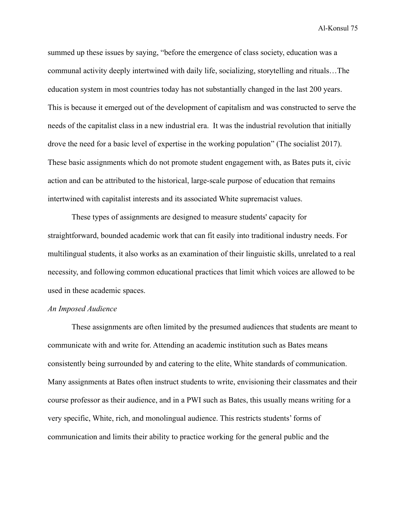summed up these issues by saying, "before the emergence of class society, education was a communal activity deeply intertwined with daily life, socializing, storytelling and rituals…The education system in most countries today has not substantially changed in the last 200 years. This is because it emerged out of the development of capitalism and was constructed to serve the needs of the capitalist class in a new industrial era. It was the industrial revolution that initially drove the need for a basic level of expertise in the working population" (The socialist 2017). These basic assignments which do not promote student engagement with, as Bates puts it, civic action and can be attributed to the historical, large-scale purpose of education that remains intertwined with capitalist interests and its associated White supremacist values.

These types of assignments are designed to measure students' capacity for straightforward, bounded academic work that can fit easily into traditional industry needs. For multilingual students, it also works as an examination of their linguistic skills, unrelated to a real necessity, and following common educational practices that limit which voices are allowed to be used in these academic spaces.

## *An Imposed Audience*

These assignments are often limited by the presumed audiences that students are meant to communicate with and write for. Attending an academic institution such as Bates means consistently being surrounded by and catering to the elite, White standards of communication. Many assignments at Bates often instruct students to write, envisioning their classmates and their course professor as their audience, and in a PWI such as Bates, this usually means writing for a very specific, White, rich, and monolingual audience. This restricts students' forms of communication and limits their ability to practice working for the general public and the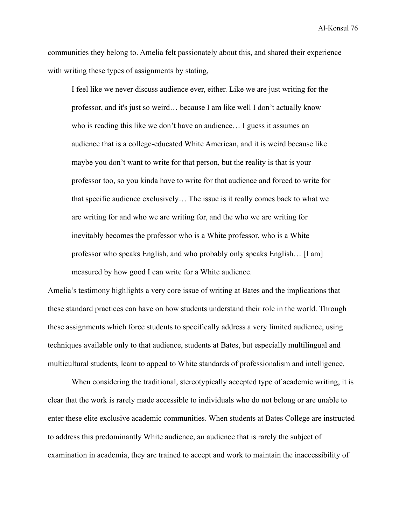communities they belong to. Amelia felt passionately about this, and shared their experience with writing these types of assignments by stating,

I feel like we never discuss audience ever, either. Like we are just writing for the professor, and it's just so weird… because I am like well I don't actually know who is reading this like we don't have an audience… I guess it assumes an audience that is a college-educated White American, and it is weird because like maybe you don't want to write for that person, but the reality is that is your professor too, so you kinda have to write for that audience and forced to write for that specific audience exclusively… The issue is it really comes back to what we are writing for and who we are writing for, and the who we are writing for inevitably becomes the professor who is a White professor, who is a White professor who speaks English, and who probably only speaks English… [I am] measured by how good I can write for a White audience.

Amelia's testimony highlights a very core issue of writing at Bates and the implications that these standard practices can have on how students understand their role in the world. Through these assignments which force students to specifically address a very limited audience, using techniques available only to that audience, students at Bates, but especially multilingual and multicultural students, learn to appeal to White standards of professionalism and intelligence.

When considering the traditional, stereotypically accepted type of academic writing, it is clear that the work is rarely made accessible to individuals who do not belong or are unable to enter these elite exclusive academic communities. When students at Bates College are instructed to address this predominantly White audience, an audience that is rarely the subject of examination in academia, they are trained to accept and work to maintain the inaccessibility of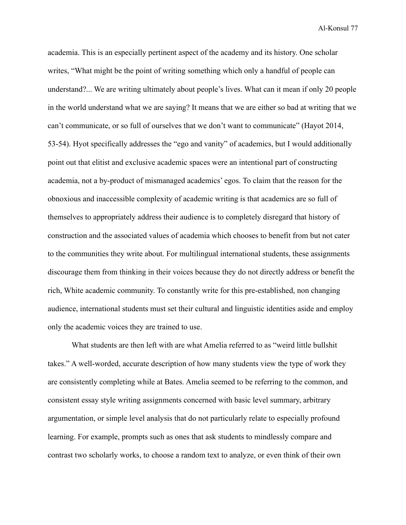academia. This is an especially pertinent aspect of the academy and its history. One scholar writes, "What might be the point of writing something which only a handful of people can understand?... We are writing ultimately about people's lives. What can it mean if only 20 people in the world understand what we are saying? It means that we are either so bad at writing that we can't communicate, or so full of ourselves that we don't want to communicate" (Hayot 2014, 53-54). Hyot specifically addresses the "ego and vanity" of academics, but I would additionally point out that elitist and exclusive academic spaces were an intentional part of constructing academia, not a by-product of mismanaged academics' egos. To claim that the reason for the obnoxious and inaccessible complexity of academic writing is that academics are so full of themselves to appropriately address their audience is to completely disregard that history of construction and the associated values of academia which chooses to benefit from but not cater to the communities they write about. For multilingual international students, these assignments discourage them from thinking in their voices because they do not directly address or benefit the rich, White academic community. To constantly write for this pre-established, non changing audience, international students must set their cultural and linguistic identities aside and employ only the academic voices they are trained to use.

What students are then left with are what Amelia referred to as "weird little bullshit takes." A well-worded, accurate description of how many students view the type of work they are consistently completing while at Bates. Amelia seemed to be referring to the common, and consistent essay style writing assignments concerned with basic level summary, arbitrary argumentation, or simple level analysis that do not particularly relate to especially profound learning. For example, prompts such as ones that ask students to mindlessly compare and contrast two scholarly works, to choose a random text to analyze, or even think of their own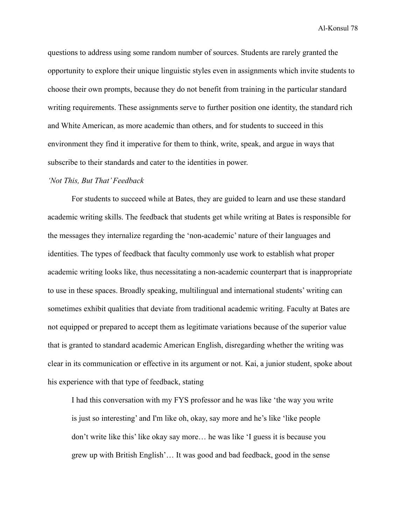questions to address using some random number of sources. Students are rarely granted the opportunity to explore their unique linguistic styles even in assignments which invite students to choose their own prompts, because they do not benefit from training in the particular standard writing requirements. These assignments serve to further position one identity, the standard rich and White American, as more academic than others, and for students to succeed in this environment they find it imperative for them to think, write, speak, and argue in ways that subscribe to their standards and cater to the identities in power.

#### *'Not This, But That' Feedback*

For students to succeed while at Bates, they are guided to learn and use these standard academic writing skills. The feedback that students get while writing at Bates is responsible for the messages they internalize regarding the 'non-academic' nature of their languages and identities. The types of feedback that faculty commonly use work to establish what proper academic writing looks like, thus necessitating a non-academic counterpart that is inappropriate to use in these spaces. Broadly speaking, multilingual and international students' writing can sometimes exhibit qualities that deviate from traditional academic writing. Faculty at Bates are not equipped or prepared to accept them as legitimate variations because of the superior value that is granted to standard academic American English, disregarding whether the writing was clear in its communication or effective in its argument or not. Kai, a junior student, spoke about his experience with that type of feedback, stating

I had this conversation with my FYS professor and he was like 'the way you write is just so interesting' and I'm like oh, okay, say more and he's like 'like people don't write like this' like okay say more… he was like 'I guess it is because you grew up with British English'… It was good and bad feedback, good in the sense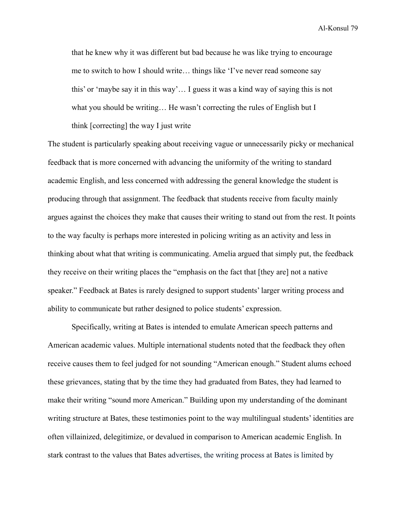that he knew why it was different but bad because he was like trying to encourage me to switch to how I should write… things like 'I've never read someone say this' or 'maybe say it in this way'… I guess it was a kind way of saying this is not what you should be writing... He wasn't correcting the rules of English but I think [correcting] the way I just write

The student is particularly speaking about receiving vague or unnecessarily picky or mechanical feedback that is more concerned with advancing the uniformity of the writing to standard academic English, and less concerned with addressing the general knowledge the student is producing through that assignment. The feedback that students receive from faculty mainly argues against the choices they make that causes their writing to stand out from the rest. It points to the way faculty is perhaps more interested in policing writing as an activity and less in thinking about what that writing is communicating. Amelia argued that simply put, the feedback they receive on their writing places the "emphasis on the fact that [they are] not a native speaker." Feedback at Bates is rarely designed to support students' larger writing process and ability to communicate but rather designed to police students' expression.

Specifically, writing at Bates is intended to emulate American speech patterns and American academic values. Multiple international students noted that the feedback they often receive causes them to feel judged for not sounding "American enough." Student alums echoed these grievances, stating that by the time they had graduated from Bates, they had learned to make their writing "sound more American." Building upon my understanding of the dominant writing structure at Bates, these testimonies point to the way multilingual students' identities are often villainized, delegitimize, or devalued in comparison to American academic English. In stark contrast to the values that Bates advertises, the writing process at Bates is limited by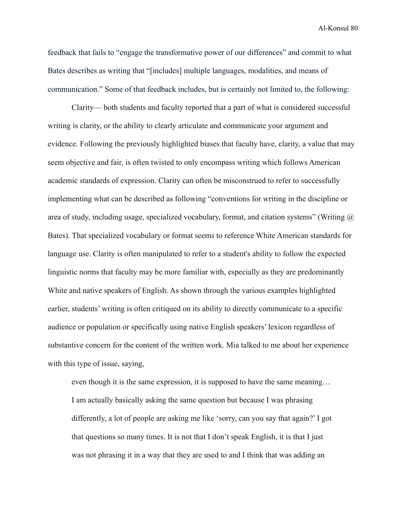feedback that fails to "engage the transformative power of our differences" and commit to what Bates describes as writing that "[includes] multiple languages, modalities, and means of communication." Some of that feedback includes, but is certainly not limited to, the following:

Clarity— both students and faculty reported that a part of what is considered successful writing is clarity, or the ability to clearly articulate and communicate your argument and evidence. Following the previously highlighted biases that faculty have, clarity, a value that may seem objective and fair, is often twisted to only encompass writing which follows American academic standards of expression. Clarity can often be misconstrued to refer to successfully implementing what can be described as following "conventions for writing in the discipline or area of study, including usage, specialized vocabulary, format, and citation systems" (Writing  $\omega$ ) Bates). That specialized vocabulary or format seems to reference White American standards for language use. Clarity is often manipulated to refer to a student's ability to follow the expected linguistic norms that faculty may be more familiar with, especially as they are predominantly White and native speakers of English. As shown through the various examples highlighted earlier, students' writing is often critiqued on its ability to directly communicate to a specific audience or population or specifically using native English speakers' lexicon regardless of substantive concern for the content of the written work. Mia talked to me about her experience with this type of issue, saying,

even though it is the same expression, it is supposed to have the same meaning… I am actually basically asking the same question but because I was phrasing differently, a lot of people are asking me like 'sorry, can you say that again?' I got that questions so many times. It is not that I don't speak English, it is that I just was not phrasing it in a way that they are used to and I think that was adding an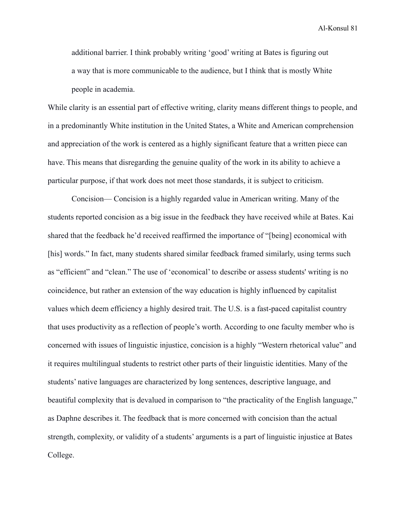additional barrier. I think probably writing 'good' writing at Bates is figuring out a way that is more communicable to the audience, but I think that is mostly White people in academia.

While clarity is an essential part of effective writing, clarity means different things to people, and in a predominantly White institution in the United States, a White and American comprehension and appreciation of the work is centered as a highly significant feature that a written piece can have. This means that disregarding the genuine quality of the work in its ability to achieve a particular purpose, if that work does not meet those standards, it is subject to criticism.

Concision— Concision is a highly regarded value in American writing. Many of the students reported concision as a big issue in the feedback they have received while at Bates. Kai shared that the feedback he'd received reaffirmed the importance of "[being] economical with [his] words." In fact, many students shared similar feedback framed similarly, using terms such as "efficient" and "clean." The use of 'economical' to describe or assess students' writing is no coincidence, but rather an extension of the way education is highly influenced by capitalist values which deem efficiency a highly desired trait. The U.S. is a fast-paced capitalist country that uses productivity as a reflection of people's worth. According to one faculty member who is concerned with issues of linguistic injustice, concision is a highly "Western rhetorical value" and it requires multilingual students to restrict other parts of their linguistic identities. Many of the students' native languages are characterized by long sentences, descriptive language, and beautiful complexity that is devalued in comparison to "the practicality of the English language," as Daphne describes it. The feedback that is more concerned with concision than the actual strength, complexity, or validity of a students' arguments is a part of linguistic injustice at Bates College.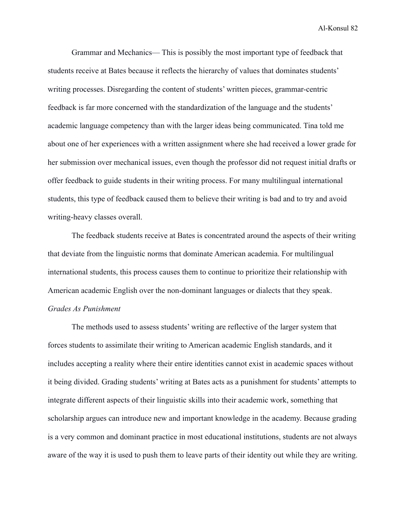Grammar and Mechanics— This is possibly the most important type of feedback that students receive at Bates because it reflects the hierarchy of values that dominates students' writing processes. Disregarding the content of students' written pieces, grammar-centric feedback is far more concerned with the standardization of the language and the students' academic language competency than with the larger ideas being communicated. Tina told me about one of her experiences with a written assignment where she had received a lower grade for her submission over mechanical issues, even though the professor did not request initial drafts or offer feedback to guide students in their writing process. For many multilingual international students, this type of feedback caused them to believe their writing is bad and to try and avoid writing-heavy classes overall.

The feedback students receive at Bates is concentrated around the aspects of their writing that deviate from the linguistic norms that dominate American academia. For multilingual international students, this process causes them to continue to prioritize their relationship with American academic English over the non-dominant languages or dialects that they speak. *Grades As Punishment*

The methods used to assess students' writing are reflective of the larger system that forces students to assimilate their writing to American academic English standards, and it includes accepting a reality where their entire identities cannot exist in academic spaces without it being divided. Grading students' writing at Bates acts as a punishment for students' attempts to integrate different aspects of their linguistic skills into their academic work, something that scholarship argues can introduce new and important knowledge in the academy. Because grading is a very common and dominant practice in most educational institutions, students are not always aware of the way it is used to push them to leave parts of their identity out while they are writing.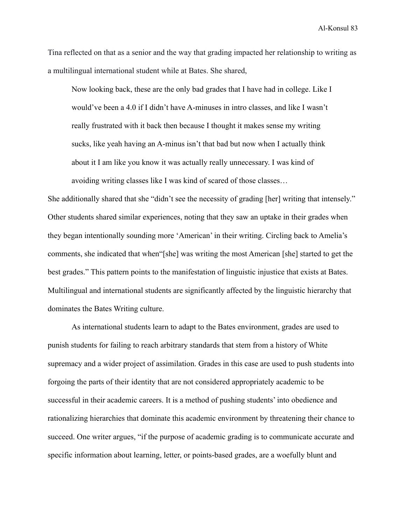Tina reflected on that as a senior and the way that grading impacted her relationship to writing as a multilingual international student while at Bates. She shared,

Now looking back, these are the only bad grades that I have had in college. Like I would've been a 4.0 if I didn't have A-minuses in intro classes, and like I wasn't really frustrated with it back then because I thought it makes sense my writing sucks, like yeah having an A-minus isn't that bad but now when I actually think about it I am like you know it was actually really unnecessary. I was kind of avoiding writing classes like I was kind of scared of those classes…

She additionally shared that she "didn't see the necessity of grading [her] writing that intensely." Other students shared similar experiences, noting that they saw an uptake in their grades when they began intentionally sounding more 'American' in their writing. Circling back to Amelia's comments, she indicated that when"[she] was writing the most American [she] started to get the best grades." This pattern points to the manifestation of linguistic injustice that exists at Bates. Multilingual and international students are significantly affected by the linguistic hierarchy that dominates the Bates Writing culture.

As international students learn to adapt to the Bates environment, grades are used to punish students for failing to reach arbitrary standards that stem from a history of White supremacy and a wider project of assimilation. Grades in this case are used to push students into forgoing the parts of their identity that are not considered appropriately academic to be successful in their academic careers. It is a method of pushing students' into obedience and rationalizing hierarchies that dominate this academic environment by threatening their chance to succeed. One writer argues, "if the purpose of academic grading is to communicate accurate and specific information about learning, letter, or points-based grades, are a woefully blunt and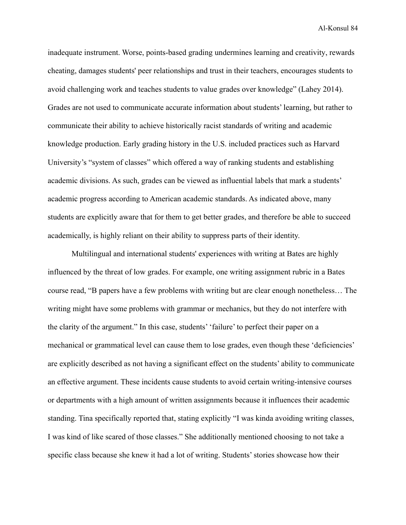inadequate instrument. Worse, points-based grading [undermines learning and creativity,](http://www.amazon.com/Why-We-What-Understanding-Self-Motivation/dp/0140255265) [rewards](http://www.amazon.com/Cheating-Lessons-Learning-Academic-Dishonesty/dp/0674724631) [cheating,](http://www.amazon.com/Cheating-Lessons-Learning-Academic-Dishonesty/dp/0674724631) damages students' peer relationships and trust in their teachers, [encourages students to](http://www.alfiekohn.org/teaching/fdtd-g.htm) [avoid challenging work](http://www.alfiekohn.org/teaching/fdtd-g.htm) and teaches students to value grades over knowledge" (Lahey 2014). Grades are not used to communicate accurate information about students' learning, but rather to communicate their ability to achieve historically racist standards of writing and academic knowledge production. Early grading history in the U.S. included practices such as Harvard University's "system of classes" which offered a way of ranking students and establishing academic divisions. As such, grades can be viewed as influential labels that mark a students' academic progress according to American academic standards. As indicated above, many students are explicitly aware that for them to get better grades, and therefore be able to succeed academically, is highly reliant on their ability to suppress parts of their identity.

Multilingual and international students' experiences with writing at Bates are highly influenced by the threat of low grades. For example, one writing assignment rubric in a Bates course read, "B papers have a few problems with writing but are clear enough nonetheless… The writing might have some problems with grammar or mechanics, but they do not interfere with the clarity of the argument." In this case, students' 'failure' to perfect their paper on a mechanical or grammatical level can cause them to lose grades, even though these 'deficiencies' are explicitly described as not having a significant effect on the students' ability to communicate an effective argument. These incidents cause students to avoid certain writing-intensive courses or departments with a high amount of written assignments because it influences their academic standing. Tina specifically reported that, stating explicitly "I was kinda avoiding writing classes, I was kind of like scared of those classes." She additionally mentioned choosing to not take a specific class because she knew it had a lot of writing. Students' stories showcase how their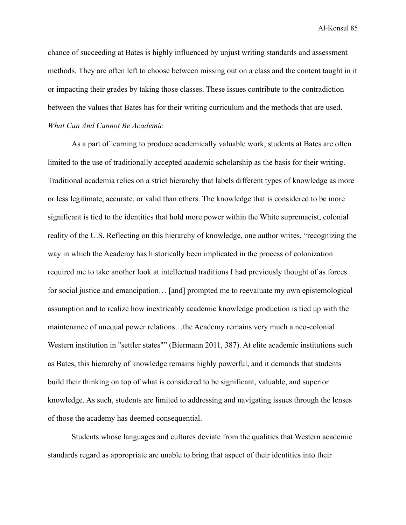chance of succeeding at Bates is highly influenced by unjust writing standards and assessment methods. They are often left to choose between missing out on a class and the content taught in it or impacting their grades by taking those classes. These issues contribute to the contradiction between the values that Bates has for their writing curriculum and the methods that are used. *What Can And Cannot Be Academic*

As a part of learning to produce academically valuable work, students at Bates are often limited to the use of traditionally accepted academic scholarship as the basis for their writing. Traditional academia relies on a strict hierarchy that labels different types of knowledge as more or less legitimate, accurate, or valid than others. The knowledge that is considered to be more significant is tied to the identities that hold more power within the White supremacist, colonial reality of the U.S. Reflecting on this hierarchy of knowledge, one author writes, "recognizing the way in which the Academy has historically been implicated in the process of colonization required me to take another look at intellectual traditions I had previously thought of as forces for social justice and emancipation… [and] prompted me to reevaluate my own epistemological assumption and to realize how inextricably academic knowledge production is tied up with the maintenance of unequal power relations…the Academy remains very much a neo-colonial Western institution in "settler states"" (Biermann 2011, 387). At elite academic institutions such as Bates, this hierarchy of knowledge remains highly powerful, and it demands that students build their thinking on top of what is considered to be significant, valuable, and superior knowledge. As such, students are limited to addressing and navigating issues through the lenses of those the academy has deemed consequential.

Students whose languages and cultures deviate from the qualities that Western academic standards regard as appropriate are unable to bring that aspect of their identities into their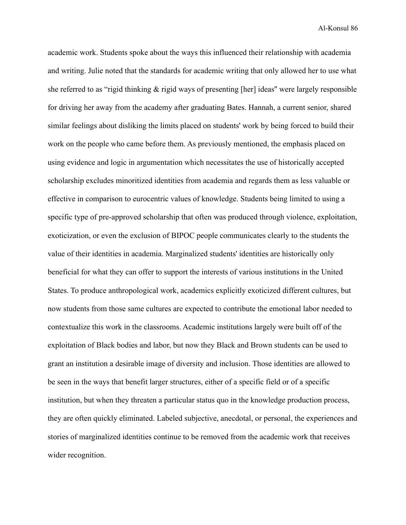academic work. Students spoke about the ways this influenced their relationship with academia and writing. Julie noted that the standards for academic writing that only allowed her to use what she referred to as "rigid thinking & rigid ways of presenting [her] ideas'' were largely responsible for driving her away from the academy after graduating Bates. Hannah, a current senior, shared similar feelings about disliking the limits placed on students' work by being forced to build their work on the people who came before them. As previously mentioned, the emphasis placed on using evidence and logic in argumentation which necessitates the use of historically accepted scholarship excludes minoritized identities from academia and regards them as less valuable or effective in comparison to eurocentric values of knowledge. Students being limited to using a specific type of pre-approved scholarship that often was produced through violence, exploitation, exoticization, or even the exclusion of BIPOC people communicates clearly to the students the value of their identities in academia. Marginalized students' identities are historically only beneficial for what they can offer to support the interests of various institutions in the United States. To produce anthropological work, academics explicitly exoticized different cultures, but now students from those same cultures are expected to contribute the emotional labor needed to contextualize this work in the classrooms. Academic institutions largely were built off of the exploitation of Black bodies and labor, but now they Black and Brown students can be used to grant an institution a desirable image of diversity and inclusion. Those identities are allowed to be seen in the ways that benefit larger structures, either of a specific field or of a specific institution, but when they threaten a particular status quo in the knowledge production process, they are often quickly eliminated. Labeled subjective, anecdotal, or personal, the experiences and stories of marginalized identities continue to be removed from the academic work that receives wider recognition.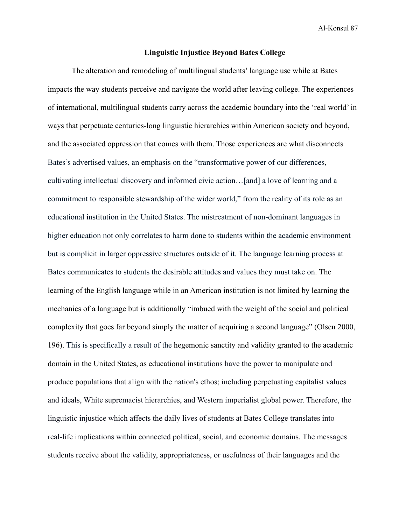### **Linguistic Injustice Beyond Bates College**

The alteration and remodeling of multilingual students' language use while at Bates impacts the way students perceive and navigate the world after leaving college. The experiences of international, multilingual students carry across the academic boundary into the 'real world' in ways that perpetuate centuries-long linguistic hierarchies within American society and beyond, and the associated oppression that comes with them. Those experiences are what disconnects Bates's advertised values, an emphasis on the "transformative power of our differences, cultivating intellectual discovery and informed civic action…[and] a love of learning and a commitment to responsible stewardship of the wider world," from the reality of its role as an educational institution in the United States. The mistreatment of non-dominant languages in higher education not only correlates to harm done to students within the academic environment but is complicit in larger oppressive structures outside of it. The language learning process at Bates communicates to students the desirable attitudes and values they must take on. The learning of the English language while in an American institution is not limited by learning the mechanics of a language but is additionally "imbued with the weight of the social and political complexity that goes far beyond simply the matter of acquiring a second language" (Olsen 2000, 196). This is specifically a result of the hegemonic sanctity and validity granted to the academic domain in the United States, as educational institutions have the power to manipulate and produce populations that align with the nation's ethos; including perpetuating capitalist values and ideals, White supremacist hierarchies, and Western imperialist global power. Therefore, the linguistic injustice which affects the daily lives of students at Bates College translates into real-life implications within connected political, social, and economic domains. The messages students receive about the validity, appropriateness, or usefulness of their languages and the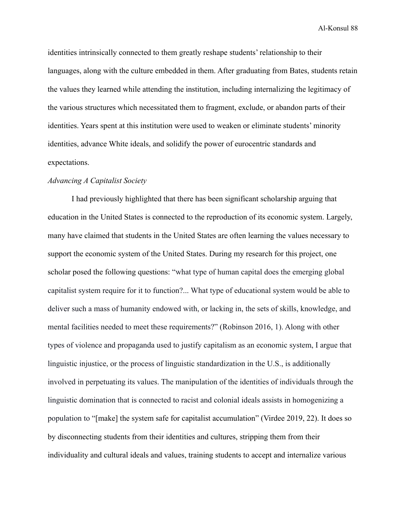identities intrinsically connected to them greatly reshape students' relationship to their languages, along with the culture embedded in them. After graduating from Bates, students retain the values they learned while attending the institution, including internalizing the legitimacy of the various structures which necessitated them to fragment, exclude, or abandon parts of their identities. Years spent at this institution were used to weaken or eliminate students' minority identities, advance White ideals, and solidify the power of eurocentric standards and expectations.

### *Advancing A Capitalist Society*

I had previously highlighted that there has been significant scholarship arguing that education in the United States is connected to the reproduction of its economic system. Largely, many have claimed that students in the United States are often learning the values necessary to support the economic system of the United States. During my research for this project, one scholar posed the following questions: "what type of human capital does the emerging global capitalist system require for it to function?... What type of educational system would be able to deliver such a mass of humanity endowed with, or lacking in, the sets of skills, knowledge, and mental facilities needed to meet these requirements?" (Robinson 2016, 1). Along with other types of violence and propaganda used to justify capitalism as an economic system, I argue that linguistic injustice, or the process of linguistic standardization in the U.S., is additionally involved in perpetuating its values. The manipulation of the identities of individuals through the linguistic domination that is connected to racist and colonial ideals assists in homogenizing a population to "[make] the system safe for capitalist accumulation" (Virdee 2019, 22). It does so by disconnecting students from their identities and cultures, stripping them from their individuality and cultural ideals and values, training students to accept and internalize various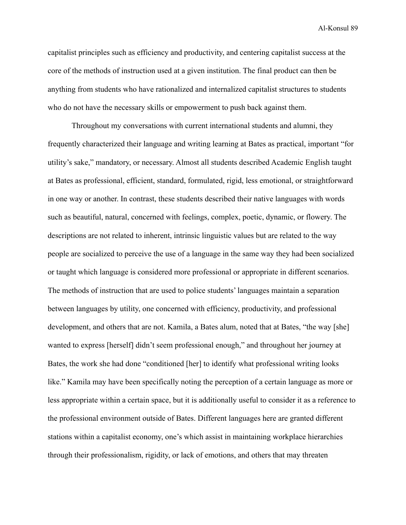capitalist principles such as efficiency and productivity, and centering capitalist success at the core of the methods of instruction used at a given institution. The final product can then be anything from students who have rationalized and internalized capitalist structures to students who do not have the necessary skills or empowerment to push back against them.

Throughout my conversations with current international students and alumni, they frequently characterized their language and writing learning at Bates as practical, important "for utility's sake," mandatory, or necessary. Almost all students described Academic English taught at Bates as professional, efficient, standard, formulated, rigid, less emotional, or straightforward in one way or another. In contrast, these students described their native languages with words such as beautiful, natural, concerned with feelings, complex, poetic, dynamic, or flowery. The descriptions are not related to inherent, intrinsic linguistic values but are related to the way people are socialized to perceive the use of a language in the same way they had been socialized or taught which language is considered more professional or appropriate in different scenarios. The methods of instruction that are used to police students' languages maintain a separation between languages by utility, one concerned with efficiency, productivity, and professional development, and others that are not. Kamila, a Bates alum, noted that at Bates, "the way [she] wanted to express [herself] didn't seem professional enough," and throughout her journey at Bates, the work she had done "conditioned [her] to identify what professional writing looks like." Kamila may have been specifically noting the perception of a certain language as more or less appropriate within a certain space, but it is additionally useful to consider it as a reference to the professional environment outside of Bates. Different languages here are granted different stations within a capitalist economy, one's which assist in maintaining workplace hierarchies through their professionalism, rigidity, or lack of emotions, and others that may threaten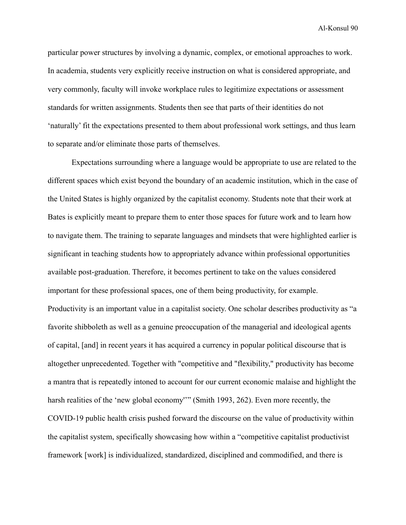particular power structures by involving a dynamic, complex, or emotional approaches to work. In academia, students very explicitly receive instruction on what is considered appropriate, and very commonly, faculty will invoke workplace rules to legitimize expectations or assessment standards for written assignments. Students then see that parts of their identities do not 'naturally' fit the expectations presented to them about professional work settings, and thus learn to separate and/or eliminate those parts of themselves.

Expectations surrounding where a language would be appropriate to use are related to the different spaces which exist beyond the boundary of an academic institution, which in the case of the United States is highly organized by the capitalist economy. Students note that their work at Bates is explicitly meant to prepare them to enter those spaces for future work and to learn how to navigate them. The training to separate languages and mindsets that were highlighted earlier is significant in teaching students how to appropriately advance within professional opportunities available post-graduation. Therefore, it becomes pertinent to take on the values considered important for these professional spaces, one of them being productivity, for example. Productivity is an important value in a capitalist society. One scholar describes productivity as "a favorite shibboleth as well as a genuine preoccupation of the managerial and ideological agents of capital, [and] in recent years it has acquired a currency in popular political discourse that is altogether unprecedented. Together with "competitive and "flexibility," productivity has become a mantra that is repeatedly intoned to account for our current economic malaise and highlight the harsh realities of the 'new global economy''" (Smith 1993, 262). Even more recently, the COVID-19 public health crisis pushed forward the discourse on the value of productivity within the capitalist system, specifically showcasing how within a "competitive capitalist productivist framework [work] is individualized, standardized, disciplined and commodified, and there is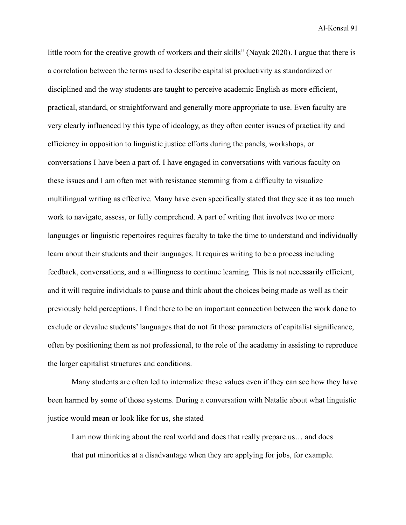little room for the creative growth of workers and their skills" (Nayak 2020). I argue that there is a correlation between the terms used to describe capitalist productivity as standardized or disciplined and the way students are taught to perceive academic English as more efficient, practical, standard, or straightforward and generally more appropriate to use. Even faculty are very clearly influenced by this type of ideology, as they often center issues of practicality and efficiency in opposition to linguistic justice efforts during the panels, workshops, or conversations I have been a part of. I have engaged in conversations with various faculty on these issues and I am often met with resistance stemming from a difficulty to visualize multilingual writing as effective. Many have even specifically stated that they see it as too much work to navigate, assess, or fully comprehend. A part of writing that involves two or more languages or linguistic repertoires requires faculty to take the time to understand and individually learn about their students and their languages. It requires writing to be a process including feedback, conversations, and a willingness to continue learning. This is not necessarily efficient, and it will require individuals to pause and think about the choices being made as well as their previously held perceptions. I find there to be an important connection between the work done to exclude or devalue students' languages that do not fit those parameters of capitalist significance, often by positioning them as not professional, to the role of the academy in assisting to reproduce the larger capitalist structures and conditions.

Many students are often led to internalize these values even if they can see how they have been harmed by some of those systems. During a conversation with Natalie about what linguistic justice would mean or look like for us, she stated

I am now thinking about the real world and does that really prepare us… and does that put minorities at a disadvantage when they are applying for jobs, for example.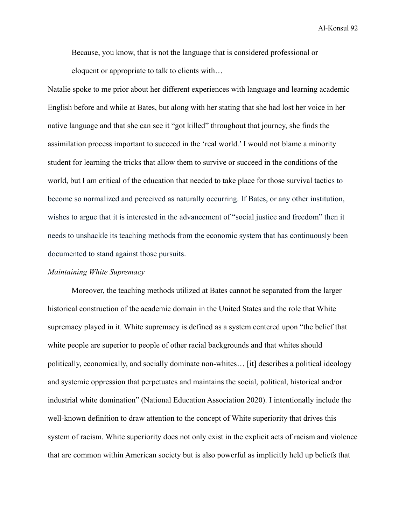Because, you know, that is not the language that is considered professional or eloquent or appropriate to talk to clients with…

Natalie spoke to me prior about her different experiences with language and learning academic English before and while at Bates, but along with her stating that she had lost her voice in her native language and that she can see it "got killed" throughout that journey, she finds the assimilation process important to succeed in the 'real world.' I would not blame a minority student for learning the tricks that allow them to survive or succeed in the conditions of the world, but I am critical of the education that needed to take place for those survival tactics to become so normalized and perceived as naturally occurring. If Bates, or any other institution, wishes to argue that it is interested in the advancement of "social justice and freedom" then it needs to unshackle its teaching methods from the economic system that has continuously been documented to stand against those pursuits.

### *Maintaining White Supremacy*

Moreover, the teaching methods utilized at Bates cannot be separated from the larger historical construction of the academic domain in the United States and the role that White supremacy played in it. White supremacy is defined as a system centered upon "the belief that white people are superior to people of other racial backgrounds and that whites should politically, economically, and socially dominate non-whites… [it] describes a political ideology and systemic oppression that perpetuates and maintains the social, political, historical and/or industrial white domination" (National Education Association 2020). I intentionally include the well-known definition to draw attention to the concept of White superiority that drives this system of racism. White superiority does not only exist in the explicit acts of racism and violence that are common within American society but is also powerful as implicitly held up beliefs that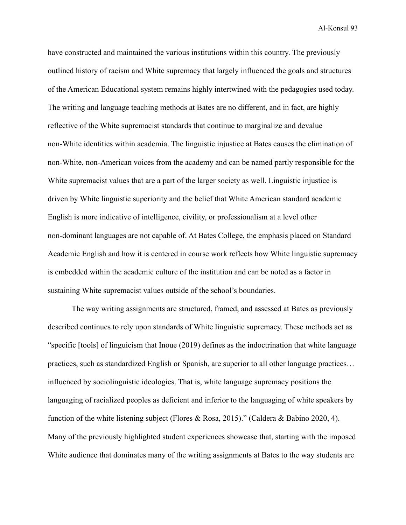have constructed and maintained the various institutions within this country. The previously outlined history of racism and White supremacy that largely influenced the goals and structures of the American Educational system remains highly intertwined with the pedagogies used today. The writing and language teaching methods at Bates are no different, and in fact, are highly reflective of the White supremacist standards that continue to marginalize and devalue non-White identities within academia. The linguistic injustice at Bates causes the elimination of non-White, non-American voices from the academy and can be named partly responsible for the White supremacist values that are a part of the larger society as well. Linguistic injustice is driven by White linguistic superiority and the belief that White American standard academic English is more indicative of intelligence, civility, or professionalism at a level other non-dominant languages are not capable of. At Bates College, the emphasis placed on Standard Academic English and how it is centered in course work reflects how White linguistic supremacy is embedded within the academic culture of the institution and can be noted as a factor in sustaining White supremacist values outside of the school's boundaries.

The way writing assignments are structured, framed, and assessed at Bates as previously described continues to rely upon standards of White linguistic supremacy. These methods act as "specific [tools] of linguicism that Inoue (2019) defines as the indoctrination that white language practices, such as standardized English or Spanish, are superior to all other language practices… influenced by sociolinguistic ideologies. That is, white language supremacy positions the languaging of racialized peoples as deficient and inferior to the languaging of white speakers by function of the white listening subject (Flores & Rosa, 2015)." (Caldera & Babino 2020, 4). Many of the previously highlighted student experiences showcase that, starting with the imposed White audience that dominates many of the writing assignments at Bates to the way students are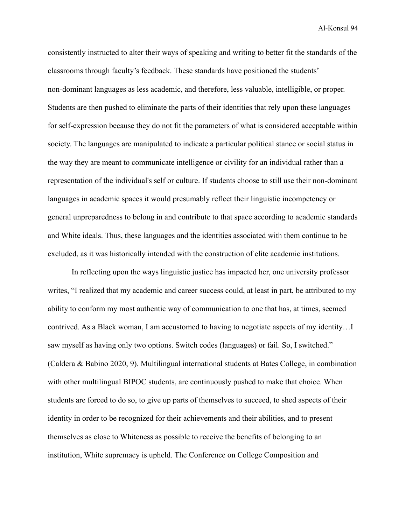consistently instructed to alter their ways of speaking and writing to better fit the standards of the classrooms through faculty's feedback. These standards have positioned the students' non-dominant languages as less academic, and therefore, less valuable, intelligible, or proper. Students are then pushed to eliminate the parts of their identities that rely upon these languages for self-expression because they do not fit the parameters of what is considered acceptable within society. The languages are manipulated to indicate a particular political stance or social status in the way they are meant to communicate intelligence or civility for an individual rather than a representation of the individual's self or culture. If students choose to still use their non-dominant languages in academic spaces it would presumably reflect their linguistic incompetency or general unpreparedness to belong in and contribute to that space according to academic standards and White ideals. Thus, these languages and the identities associated with them continue to be excluded, as it was historically intended with the construction of elite academic institutions.

In reflecting upon the ways linguistic justice has impacted her, one university professor writes, "I realized that my academic and career success could, at least in part, be attributed to my ability to conform my most authentic way of communication to one that has, at times, seemed contrived. As a Black woman, I am accustomed to having to negotiate aspects of my identity…I saw myself as having only two options. Switch codes (languages) or fail. So, I switched." (Caldera & Babino 2020, 9). Multilingual international students at Bates College, in combination with other multilingual BIPOC students, are continuously pushed to make that choice. When students are forced to do so, to give up parts of themselves to succeed, to shed aspects of their identity in order to be recognized for their achievements and their abilities, and to present themselves as close to Whiteness as possible to receive the benefits of belonging to an institution, White supremacy is upheld. The Conference on College Composition and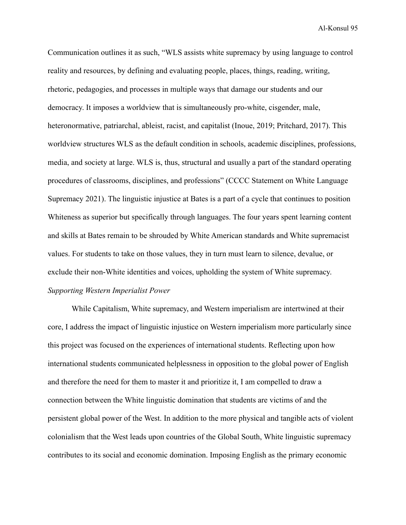Communication outlines it as such, "WLS assists white supremacy by using language to control reality and resources, by defining and evaluating people, places, things, reading, writing, rhetoric, pedagogies, and processes in multiple ways that damage our students and our democracy. It imposes a worldview that is simultaneously pro-white, cisgender, male, heteronormative, patriarchal, ableist, racist, and capitalist (Inoue, 2019; Pritchard, 2017). This worldview structures WLS as the default condition in schools, academic disciplines, professions, media, and society at large. WLS is, thus, structural and usually a part of the standard operating procedures of classrooms, disciplines, and professions" (CCCC Statement on White Language Supremacy 2021). The linguistic injustice at Bates is a part of a cycle that continues to position Whiteness as superior but specifically through languages. The four years spent learning content and skills at Bates remain to be shrouded by White American standards and White supremacist values. For students to take on those values, they in turn must learn to silence, devalue, or exclude their non-White identities and voices, upholding the system of White supremacy. *Supporting Western Imperialist Power*

While Capitalism, White supremacy, and Western imperialism are intertwined at their core, I address the impact of linguistic injustice on Western imperialism more particularly since this project was focused on the experiences of international students. Reflecting upon how international students communicated helplessness in opposition to the global power of English and therefore the need for them to master it and prioritize it, I am compelled to draw a connection between the White linguistic domination that students are victims of and the persistent global power of the West. In addition to the more physical and tangible acts of violent colonialism that the West leads upon countries of the Global South, White linguistic supremacy contributes to its social and economic domination. Imposing English as the primary economic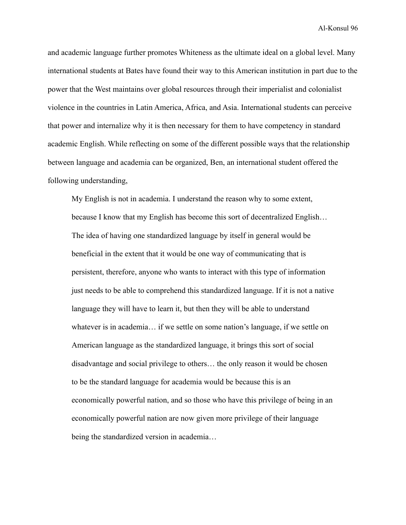and academic language further promotes Whiteness as the ultimate ideal on a global level. Many international students at Bates have found their way to this American institution in part due to the power that the West maintains over global resources through their imperialist and colonialist violence in the countries in Latin America, Africa, and Asia. International students can perceive that power and internalize why it is then necessary for them to have competency in standard academic English. While reflecting on some of the different possible ways that the relationship between language and academia can be organized, Ben, an international student offered the following understanding,

My English is not in academia. I understand the reason why to some extent, because I know that my English has become this sort of decentralized English… The idea of having one standardized language by itself in general would be beneficial in the extent that it would be one way of communicating that is persistent, therefore, anyone who wants to interact with this type of information just needs to be able to comprehend this standardized language. If it is not a native language they will have to learn it, but then they will be able to understand whatever is in academia… if we settle on some nation's language, if we settle on American language as the standardized language, it brings this sort of social disadvantage and social privilege to others… the only reason it would be chosen to be the standard language for academia would be because this is an economically powerful nation, and so those who have this privilege of being in an economically powerful nation are now given more privilege of their language being the standardized version in academia…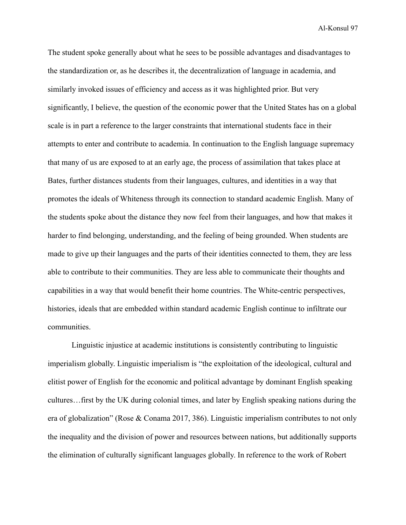The student spoke generally about what he sees to be possible advantages and disadvantages to the standardization or, as he describes it, the decentralization of language in academia, and similarly invoked issues of efficiency and access as it was highlighted prior. But very significantly, I believe, the question of the economic power that the United States has on a global scale is in part a reference to the larger constraints that international students face in their attempts to enter and contribute to academia. In continuation to the English language supremacy that many of us are exposed to at an early age, the process of assimilation that takes place at Bates, further distances students from their languages, cultures, and identities in a way that promotes the ideals of Whiteness through its connection to standard academic English. Many of the students spoke about the distance they now feel from their languages, and how that makes it harder to find belonging, understanding, and the feeling of being grounded. When students are made to give up their languages and the parts of their identities connected to them, they are less able to contribute to their communities. They are less able to communicate their thoughts and capabilities in a way that would benefit their home countries. The White-centric perspectives, histories, ideals that are embedded within standard academic English continue to infiltrate our communities.

Linguistic injustice at academic institutions is consistently contributing to linguistic imperialism globally. Linguistic imperialism is "the exploitation of the ideological, cultural and elitist power of English for the economic and political advantage by dominant English speaking cultures…first by the UK during colonial times, and later by English speaking nations during the era of globalization" (Rose & Conama 2017, 386). Linguistic imperialism contributes to not only the inequality and the division of power and resources between nations, but additionally supports the elimination of culturally significant languages globally. In reference to the work of Robert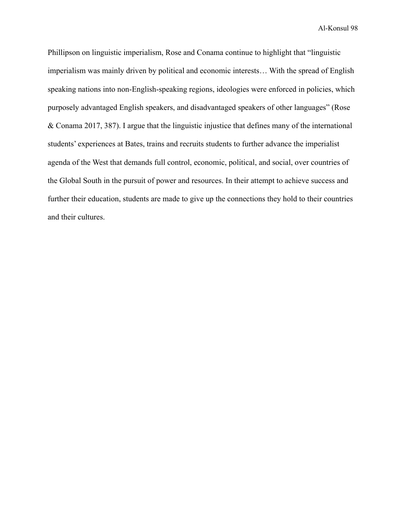Phillipson on linguistic imperialism, Rose and Conama continue to highlight that "linguistic imperialism was mainly driven by political and economic interests… With the spread of English speaking nations into non-English-speaking regions, ideologies were enforced in policies, which purposely advantaged English speakers, and disadvantaged speakers of other languages" (Rose & Conama 2017, 387). I argue that the linguistic injustice that defines many of the international students' experiences at Bates, trains and recruits students to further advance the imperialist agenda of the West that demands full control, economic, political, and social, over countries of the Global South in the pursuit of power and resources. In their attempt to achieve success and further their education, students are made to give up the connections they hold to their countries and their cultures.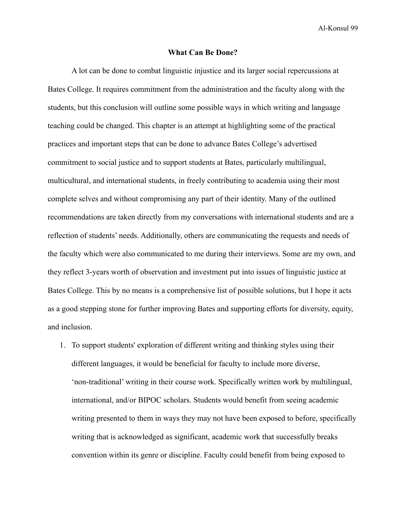#### **What Can Be Done?**

A lot can be done to combat linguistic injustice and its larger social repercussions at Bates College. It requires commitment from the administration and the faculty along with the students, but this conclusion will outline some possible ways in which writing and language teaching could be changed. This chapter is an attempt at highlighting some of the practical practices and important steps that can be done to advance Bates College's advertised commitment to social justice and to support students at Bates, particularly multilingual, multicultural, and international students, in freely contributing to academia using their most complete selves and without compromising any part of their identity. Many of the outlined recommendations are taken directly from my conversations with international students and are a reflection of students' needs. Additionally, others are communicating the requests and needs of the faculty which were also communicated to me during their interviews. Some are my own, and they reflect 3-years worth of observation and investment put into issues of linguistic justice at Bates College. This by no means is a comprehensive list of possible solutions, but I hope it acts as a good stepping stone for further improving Bates and supporting efforts for diversity, equity, and inclusion.

1. To support students' exploration of different writing and thinking styles using their different languages, it would be beneficial for faculty to include more diverse, 'non-traditional' writing in their course work. Specifically written work by multilingual, international, and/or BIPOC scholars. Students would benefit from seeing academic writing presented to them in ways they may not have been exposed to before, specifically writing that is acknowledged as significant, academic work that successfully breaks convention within its genre or discipline. Faculty could benefit from being exposed to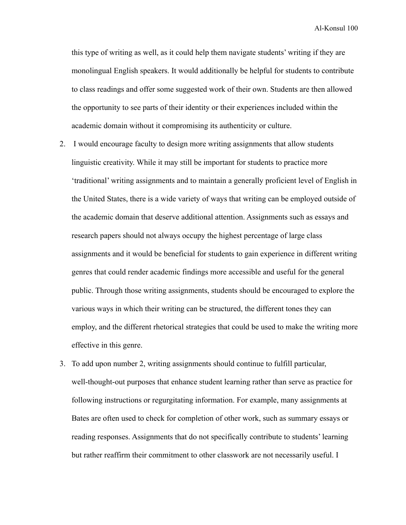this type of writing as well, as it could help them navigate students' writing if they are monolingual English speakers. It would additionally be helpful for students to contribute to class readings and offer some suggested work of their own. Students are then allowed the opportunity to see parts of their identity or their experiences included within the academic domain without it compromising its authenticity or culture.

- 2. I would encourage faculty to design more writing assignments that allow students linguistic creativity. While it may still be important for students to practice more 'traditional' writing assignments and to maintain a generally proficient level of English in the United States, there is a wide variety of ways that writing can be employed outside of the academic domain that deserve additional attention. Assignments such as essays and research papers should not always occupy the highest percentage of large class assignments and it would be beneficial for students to gain experience in different writing genres that could render academic findings more accessible and useful for the general public. Through those writing assignments, students should be encouraged to explore the various ways in which their writing can be structured, the different tones they can employ, and the different rhetorical strategies that could be used to make the writing more effective in this genre.
- 3. To add upon number 2, writing assignments should continue to fulfill particular, well-thought-out purposes that enhance student learning rather than serve as practice for following instructions or regurgitating information. For example, many assignments at Bates are often used to check for completion of other work, such as summary essays or reading responses. Assignments that do not specifically contribute to students' learning but rather reaffirm their commitment to other classwork are not necessarily useful. I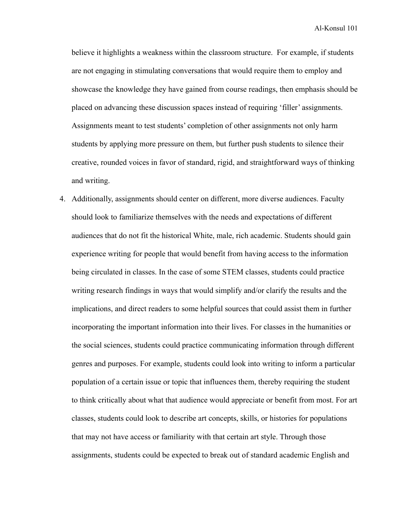believe it highlights a weakness within the classroom structure. For example, if students are not engaging in stimulating conversations that would require them to employ and showcase the knowledge they have gained from course readings, then emphasis should be placed on advancing these discussion spaces instead of requiring 'filler' assignments. Assignments meant to test students' completion of other assignments not only harm students by applying more pressure on them, but further push students to silence their creative, rounded voices in favor of standard, rigid, and straightforward ways of thinking and writing.

4. Additionally, assignments should center on different, more diverse audiences. Faculty should look to familiarize themselves with the needs and expectations of different audiences that do not fit the historical White, male, rich academic. Students should gain experience writing for people that would benefit from having access to the information being circulated in classes. In the case of some STEM classes, students could practice writing research findings in ways that would simplify and/or clarify the results and the implications, and direct readers to some helpful sources that could assist them in further incorporating the important information into their lives. For classes in the humanities or the social sciences, students could practice communicating information through different genres and purposes. For example, students could look into writing to inform a particular population of a certain issue or topic that influences them, thereby requiring the student to think critically about what that audience would appreciate or benefit from most. For art classes, students could look to describe art concepts, skills, or histories for populations that may not have access or familiarity with that certain art style. Through those assignments, students could be expected to break out of standard academic English and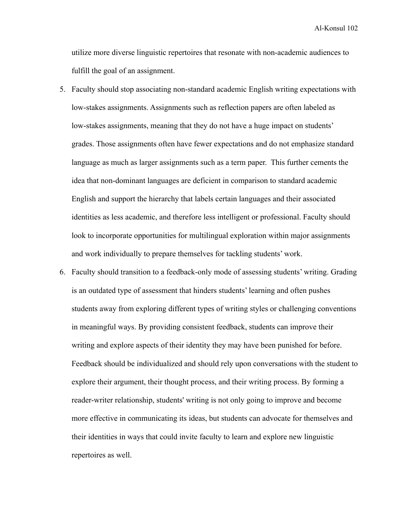utilize more diverse linguistic repertoires that resonate with non-academic audiences to fulfill the goal of an assignment.

- 5. Faculty should stop associating non-standard academic English writing expectations with low-stakes assignments. Assignments such as reflection papers are often labeled as low-stakes assignments, meaning that they do not have a huge impact on students' grades. Those assignments often have fewer expectations and do not emphasize standard language as much as larger assignments such as a term paper. This further cements the idea that non-dominant languages are deficient in comparison to standard academic English and support the hierarchy that labels certain languages and their associated identities as less academic, and therefore less intelligent or professional. Faculty should look to incorporate opportunities for multilingual exploration within major assignments and work individually to prepare themselves for tackling students' work.
- 6. Faculty should transition to a feedback-only mode of assessing students' writing. Grading is an outdated type of assessment that hinders students' learning and often pushes students away from exploring different types of writing styles or challenging conventions in meaningful ways. By providing consistent feedback, students can improve their writing and explore aspects of their identity they may have been punished for before. Feedback should be individualized and should rely upon conversations with the student to explore their argument, their thought process, and their writing process. By forming a reader-writer relationship, students' writing is not only going to improve and become more effective in communicating its ideas, but students can advocate for themselves and their identities in ways that could invite faculty to learn and explore new linguistic repertoires as well.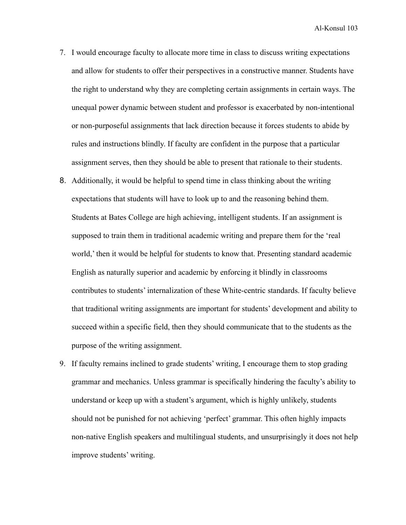- 7. I would encourage faculty to allocate more time in class to discuss writing expectations and allow for students to offer their perspectives in a constructive manner. Students have the right to understand why they are completing certain assignments in certain ways. The unequal power dynamic between student and professor is exacerbated by non-intentional or non-purposeful assignments that lack direction because it forces students to abide by rules and instructions blindly. If faculty are confident in the purpose that a particular assignment serves, then they should be able to present that rationale to their students.
- 8. Additionally, it would be helpful to spend time in class thinking about the writing expectations that students will have to look up to and the reasoning behind them. Students at Bates College are high achieving, intelligent students. If an assignment is supposed to train them in traditional academic writing and prepare them for the 'real world,' then it would be helpful for students to know that. Presenting standard academic English as naturally superior and academic by enforcing it blindly in classrooms contributes to students' internalization of these White-centric standards. If faculty believe that traditional writing assignments are important for students' development and ability to succeed within a specific field, then they should communicate that to the students as the purpose of the writing assignment.
- 9. If faculty remains inclined to grade students' writing, I encourage them to stop grading grammar and mechanics. Unless grammar is specifically hindering the faculty's ability to understand or keep up with a student's argument, which is highly unlikely, students should not be punished for not achieving 'perfect' grammar. This often highly impacts non-native English speakers and multilingual students, and unsurprisingly it does not help improve students' writing.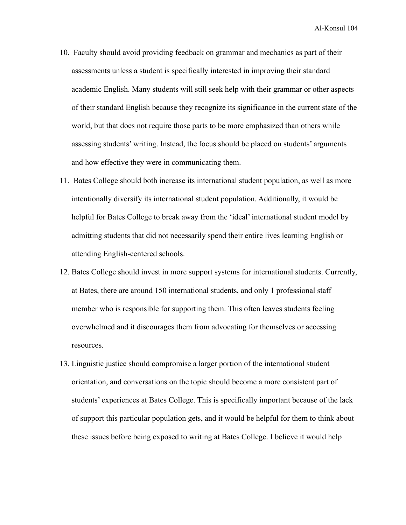- 10. Faculty should avoid providing feedback on grammar and mechanics as part of their assessments unless a student is specifically interested in improving their standard academic English. Many students will still seek help with their grammar or other aspects of their standard English because they recognize its significance in the current state of the world, but that does not require those parts to be more emphasized than others while assessing students' writing. Instead, the focus should be placed on students' arguments and how effective they were in communicating them.
- 11. Bates College should both increase its international student population, as well as more intentionally diversify its international student population. Additionally, it would be helpful for Bates College to break away from the 'ideal' international student model by admitting students that did not necessarily spend their entire lives learning English or attending English-centered schools.
- 12. Bates College should invest in more support systems for international students. Currently, at Bates, there are around 150 international students, and only 1 professional staff member who is responsible for supporting them. This often leaves students feeling overwhelmed and it discourages them from advocating for themselves or accessing resources.
- 13. Linguistic justice should compromise a larger portion of the international student orientation, and conversations on the topic should become a more consistent part of students' experiences at Bates College. This is specifically important because of the lack of support this particular population gets, and it would be helpful for them to think about these issues before being exposed to writing at Bates College. I believe it would help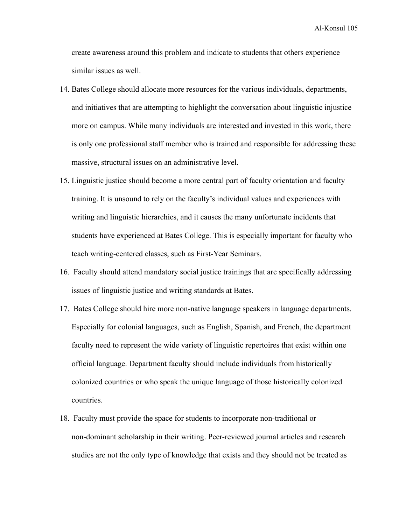create awareness around this problem and indicate to students that others experience similar issues as well.

- 14. Bates College should allocate more resources for the various individuals, departments, and initiatives that are attempting to highlight the conversation about linguistic injustice more on campus. While many individuals are interested and invested in this work, there is only one professional staff member who is trained and responsible for addressing these massive, structural issues on an administrative level.
- 15. Linguistic justice should become a more central part of faculty orientation and faculty training. It is unsound to rely on the faculty's individual values and experiences with writing and linguistic hierarchies, and it causes the many unfortunate incidents that students have experienced at Bates College. This is especially important for faculty who teach writing-centered classes, such as First-Year Seminars.
- 16. Faculty should attend mandatory social justice trainings that are specifically addressing issues of linguistic justice and writing standards at Bates.
- 17. Bates College should hire more non-native language speakers in language departments. Especially for colonial languages, such as English, Spanish, and French, the department faculty need to represent the wide variety of linguistic repertoires that exist within one official language. Department faculty should include individuals from historically colonized countries or who speak the unique language of those historically colonized countries.
- 18. Faculty must provide the space for students to incorporate non-traditional or non-dominant scholarship in their writing. Peer-reviewed journal articles and research studies are not the only type of knowledge that exists and they should not be treated as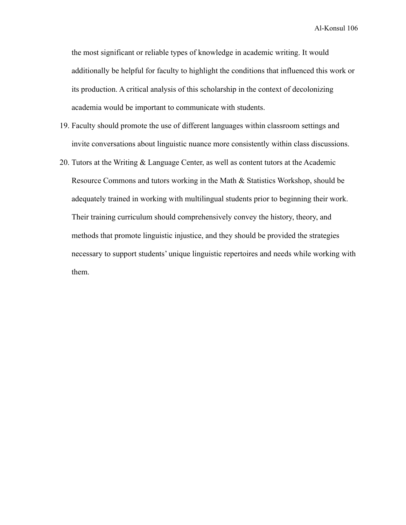the most significant or reliable types of knowledge in academic writing. It would additionally be helpful for faculty to highlight the conditions that influenced this work or its production. A critical analysis of this scholarship in the context of decolonizing academia would be important to communicate with students.

- 19. Faculty should promote the use of different languages within classroom settings and invite conversations about linguistic nuance more consistently within class discussions.
- 20. Tutors at the Writing & Language Center, as well as content tutors at the Academic Resource Commons and tutors working in the Math & Statistics Workshop, should be adequately trained in working with multilingual students prior to beginning their work. Their training curriculum should comprehensively convey the history, theory, and methods that promote linguistic injustice, and they should be provided the strategies necessary to support students' unique linguistic repertoires and needs while working with them.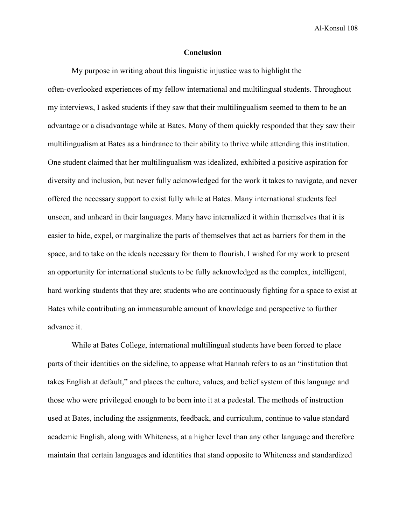Al-Konsul 108

## **Conclusion**

My purpose in writing about this linguistic injustice was to highlight the often-overlooked experiences of my fellow international and multilingual students. Throughout my interviews, I asked students if they saw that their multilingualism seemed to them to be an advantage or a disadvantage while at Bates. Many of them quickly responded that they saw their multilingualism at Bates as a hindrance to their ability to thrive while attending this institution. One student claimed that her multilingualism was idealized, exhibited a positive aspiration for diversity and inclusion, but never fully acknowledged for the work it takes to navigate, and never offered the necessary support to exist fully while at Bates. Many international students feel unseen, and unheard in their languages. Many have internalized it within themselves that it is easier to hide, expel, or marginalize the parts of themselves that act as barriers for them in the space, and to take on the ideals necessary for them to flourish. I wished for my work to present an opportunity for international students to be fully acknowledged as the complex, intelligent, hard working students that they are; students who are continuously fighting for a space to exist at Bates while contributing an immeasurable amount of knowledge and perspective to further advance it.

While at Bates College, international multilingual students have been forced to place parts of their identities on the sideline, to appease what Hannah refers to as an "institution that takes English at default," and places the culture, values, and belief system of this language and those who were privileged enough to be born into it at a pedestal. The methods of instruction used at Bates, including the assignments, feedback, and curriculum, continue to value standard academic English, along with Whiteness, at a higher level than any other language and therefore maintain that certain languages and identities that stand opposite to Whiteness and standardized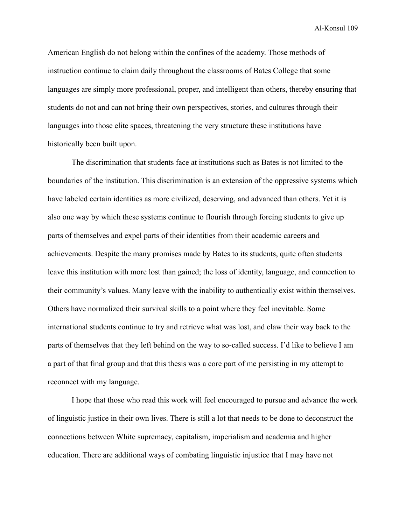Al-Konsul 109

American English do not belong within the confines of the academy. Those methods of instruction continue to claim daily throughout the classrooms of Bates College that some languages are simply more professional, proper, and intelligent than others, thereby ensuring that students do not and can not bring their own perspectives, stories, and cultures through their languages into those elite spaces, threatening the very structure these institutions have historically been built upon.

The discrimination that students face at institutions such as Bates is not limited to the boundaries of the institution. This discrimination is an extension of the oppressive systems which have labeled certain identities as more civilized, deserving, and advanced than others. Yet it is also one way by which these systems continue to flourish through forcing students to give up parts of themselves and expel parts of their identities from their academic careers and achievements. Despite the many promises made by Bates to its students, quite often students leave this institution with more lost than gained; the loss of identity, language, and connection to their community's values. Many leave with the inability to authentically exist within themselves. Others have normalized their survival skills to a point where they feel inevitable. Some international students continue to try and retrieve what was lost, and claw their way back to the parts of themselves that they left behind on the way to so-called success. I'd like to believe I am a part of that final group and that this thesis was a core part of me persisting in my attempt to reconnect with my language.

I hope that those who read this work will feel encouraged to pursue and advance the work of linguistic justice in their own lives. There is still a lot that needs to be done to deconstruct the connections between White supremacy, capitalism, imperialism and academia and higher education. There are additional ways of combating linguistic injustice that I may have not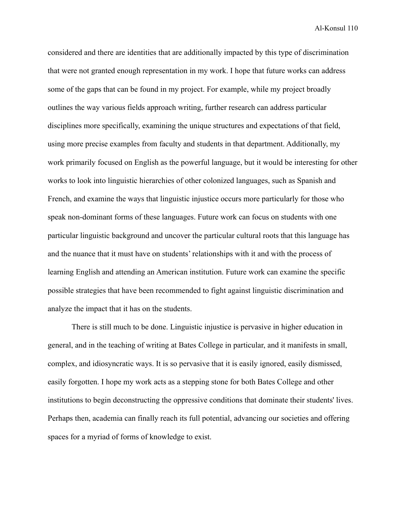Al-Konsul 110

considered and there are identities that are additionally impacted by this type of discrimination that were not granted enough representation in my work. I hope that future works can address some of the gaps that can be found in my project. For example, while my project broadly outlines the way various fields approach writing, further research can address particular disciplines more specifically, examining the unique structures and expectations of that field, using more precise examples from faculty and students in that department. Additionally, my work primarily focused on English as the powerful language, but it would be interesting for other works to look into linguistic hierarchies of other colonized languages, such as Spanish and French, and examine the ways that linguistic injustice occurs more particularly for those who speak non-dominant forms of these languages. Future work can focus on students with one particular linguistic background and uncover the particular cultural roots that this language has and the nuance that it must have on students' relationships with it and with the process of learning English and attending an American institution. Future work can examine the specific possible strategies that have been recommended to fight against linguistic discrimination and analyze the impact that it has on the students.

There is still much to be done. Linguistic injustice is pervasive in higher education in general, and in the teaching of writing at Bates College in particular, and it manifests in small, complex, and idiosyncratic ways. It is so pervasive that it is easily ignored, easily dismissed, easily forgotten. I hope my work acts as a stepping stone for both Bates College and other institutions to begin deconstructing the oppressive conditions that dominate their students' lives. Perhaps then, academia can finally reach its full potential, advancing our societies and offering spaces for a myriad of forms of knowledge to exist.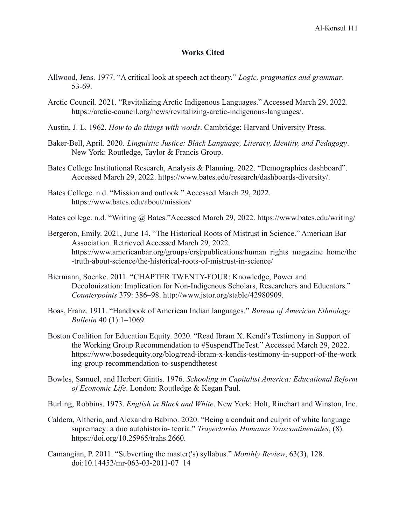## **Works Cited**

- Allwood, Jens. 1977. "A critical look at speech act theory." *Logic, pragmatics and grammar*. 53-69.
- Arctic Council. 2021. "Revitalizing Arctic Indigenous Languages." Accessed March 29, 2022. [https://arctic-council.org/news/revitalizing-arctic-indigenous-languages/.](https://arctic-council.org/news/revitalizing-arctic-indigenous-languages/)
- Austin, J. L. 1962. *How to do things with words*. Cambridge: Harvard University Press.
- Baker-Bell, April. 2020. *Linguistic Justice: Black Language, Literacy, Identity, and Pedagogy*. New York: Routledge, Taylor & Francis Group.
- Bates College Institutional Research, Analysis & Planning. 2022. "Demographics dashboard". Accessed March 29, 2022. <https://www.bates.edu/research/dashboards-diversity/>.
- Bates College. n.d. "Mission and outlook." Accessed March 29, 2022. <https://www.bates.edu/about/mission/>
- Bates college. n.d. "Writing @ Bates."Accessed March 29, 2022. <https://www.bates.edu/writing/>
- Bergeron, Emily. 2021, June 14. "The Historical Roots of Mistrust in Science." American Bar Association. Retrieved Accessed March 29, 2022. [https://www.americanbar.org/groups/crsj/publications/human\\_rights\\_magazine\\_home/the](https://www.americanbar.org/groups/crsj/publications/human_rights_magazine_home/the-truth-about-science/the-historical-roots-of-mistrust-in-science/) [-truth-about-science/the-historical-roots-of-mistrust-in-science/](https://www.americanbar.org/groups/crsj/publications/human_rights_magazine_home/the-truth-about-science/the-historical-roots-of-mistrust-in-science/)
- Biermann, Soenke. 2011. "CHAPTER TWENTY-FOUR: Knowledge, Power and Decolonization: Implication for Non-Indigenous Scholars, Researchers and Educators." *Counterpoints* 379: 386–98. http://www.jstor.org/stable/42980909.
- Boas, Franz. 1911. "Handbook of American Indian languages." *Bureau of American Ethnology Bulletin* 40 (1):1–1069.
- Boston Coalition for Education Equity. 2020. "Read Ibram X. Kendi's Testimony in Support of the Working Group Recommendation to #SuspendTheTest." Accessed March 29, 2022. https://www.bosedequity.org/blog/read-ibram-x-kendis-testimony-in-support-of-the-work ing-group-recommendation-to-suspendthetest
- Bowles, Samuel, and Herbert Gintis. 1976. *Schooling in Capitalist America: Educational Reform of Economic Life*. London: Routledge & Kegan Paul.

Burling, Robbins. 1973. *English in Black and White*. New York: Holt, Rinehart and Winston, Inc.

- Caldera, Altheria, and Alexandra Babino. 2020. "Being a conduit and culprit of white language supremacy: a duo autohistoria- teoría." *Trayectorias Humanas Trascontinentales*, (8). <https://doi.org/10.25965/trahs.2660>.
- Camangian, P. 2011. "Subverting the master('s) syllabus." *Monthly Review*, 63(3), 128. doi:10.14452/mr-063-03-2011-07\_14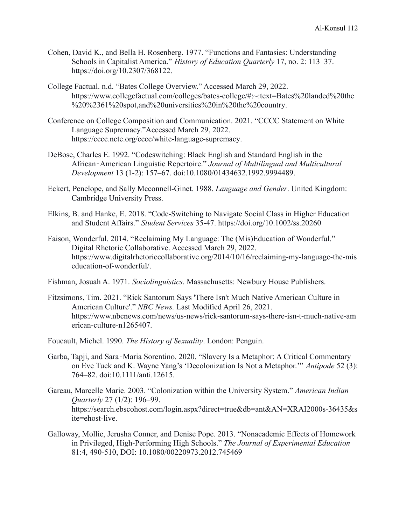- Cohen, David K., and Bella H. Rosenberg. 1977. "Functions and Fantasies: Understanding Schools in Capitalist America." *History of Education Quarterly* 17, no. 2: 113–37. <https://doi.org/10.2307/368122>.
- College Factual. n.d. "Bates College Overview." Accessed March 29, 2022. [https://www.collegefactual.com/colleges/bates-college/#:~:text=Bates%20landed%20the](https://www.collegefactual.com/colleges/bates-college/#:~:text=Bates%20landed%20the%20%2361%20spot,and%20universities%20in%20the%20country) [%20%2361%20spot,and%20universities%20in%20the%20country](https://www.collegefactual.com/colleges/bates-college/#:~:text=Bates%20landed%20the%20%2361%20spot,and%20universities%20in%20the%20country).
- Conference on College Composition and Communication. 2021. "CCCC Statement on White Language Supremacy."Accessed March 29, 2022. <https://cccc.ncte.org/cccc/white-language-supremacy>.
- DeBose, Charles E. 1992. "Codeswitching: Black English and Standard English in the African‐American Linguistic Repertoire." *Journal of Multilingual and Multicultural Development* 13 (1-2): 157–67. doi:10.1080/01434632.1992.9994489.
- Eckert, Penelope, and Sally Mcconnell-Ginet. 1988. *Language and Gender*. United Kingdom: Cambridge University Press.
- Elkins, B. and Hanke, E. 2018. "Code-Switching to Navigate Social Class in Higher Education and Student Affairs." *Student Services* 35-47. https://doi.org/10.1002/ss.20260
- Faison, Wonderful. 2014. "Reclaiming My Language: The (Mis)Education of Wonderful." Digital Rhetoric Collaborative. Accessed March 29, 2022. [https://www.digitalrhetoriccollaborative.org/2014/10/16/reclaiming-my-language-the-mis](https://www.digitalrhetoriccollaborative.org/2014/10/16/reclaiming-my-language-the-miseducation-of-wonderful/) [education-of-wonderful/](https://www.digitalrhetoriccollaborative.org/2014/10/16/reclaiming-my-language-the-miseducation-of-wonderful/).
- Fishman, Josuah A. 1971. *Sociolinguistics*. Massachusetts: Newbury House Publishers.
- Fitzsimons, Tim. 2021. "Rick Santorum Says 'There Isn't Much Native American Culture in American Culture'." *NBC News.* Last Modified April 26, 2021. https://www.nbcnews.com/news/us-news/rick-santorum-says-there-isn-t-much-native-am erican-culture-n1265407.
- Foucault, Michel. 1990. *The History of Sexuality*. London: Penguin.
- Garba, Tapji, and Sara‐Maria Sorentino. 2020. "Slavery Is a Metaphor: A Critical Commentary on Eve Tuck and K. Wayne Yang's 'Decolonization Is Not a Metaphor.'" *Antipode* 52 (3): 764–82. doi:10.1111/anti.12615.
- Gareau, Marcelle Marie. 2003. "Colonization within the University System." *American Indian Quarterly* 27 (1/2): 196–99. [https://search.ebscohost.com/login.aspx?direct=true&db=ant&AN=XRAI2000s-36435&s](https://search.ebscohost.com/login.aspx?direct=true&db=ant&AN=XRAI2000s-36435&site=ehost-live) [ite=ehost-live](https://search.ebscohost.com/login.aspx?direct=true&db=ant&AN=XRAI2000s-36435&site=ehost-live).
- Galloway, Mollie, Jerusha Conner, and Denise Pope. 2013. "Nonacademic Effects of Homework in Privileged, High-Performing High Schools." *The Journal of Experimental Education* 81:4, 490-510, DOI: 10.1080/00220973.2012.745469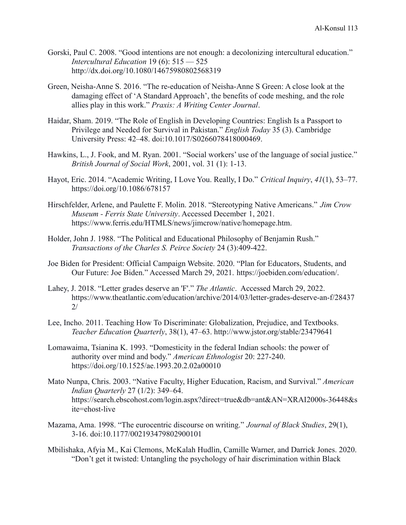- Gorski, Paul C. 2008. "Good intentions are not enough: a decolonizing intercultural education." *Intercultural Education* 19 (6): 515 — 525 http://dx.doi.org/10.1080/14675980802568319
- Green, Neisha-Anne S. 2016. "The re-education of Neisha-Anne S Green: A close look at the damaging effect of 'A Standard Approach', the benefits of code meshing, and the role allies play in this work." *Praxis: A Writing Center Journal*.
- Haidar, Sham. 2019. "The Role of English in Developing Countries: English Is a Passport to Privilege and Needed for Survival in Pakistan." *English Today* 35 (3). Cambridge University Press: 42–48. doi:10.1017/S0266078418000469.
- Hawkins, L., J. Fook, and M. Ryan. 2001. "Social workers' use of the language of social justice." *British Journal of Social Work*, 2001, vol. 31 (1): 1-13.
- Hayot, Eric. 2014. "Academic Writing, I Love You. Really, I Do." *Critical Inquiry*, *41*(1), 53–77. <https://doi.org/10.1086/678157>
- Hirschfelder, Arlene, and Paulette F. Molin. 2018. "Stereotyping Native Americans." *Jim Crow Museum - Ferris State University*. Accessed December 1, 2021. https://www.ferris.edu/HTMLS/news/jimcrow/native/homepage.htm.
- Holder, John J. 1988. "The Political and Educational Philosophy of Benjamin Rush." *Transactions of the Charles S. Peirce Society* 24 (3):409-422.
- Joe Biden for President: Official Campaign Website. 2020. "Plan for Educators, Students, and Our Future: Joe Biden." Accessed March 29, 2021. [https://joebiden.com/education/.](https://joebiden.com/education/)
- Lahey, J. 2018. "Letter grades deserve an 'F'." *The Atlantic*. Accessed March 29, 2022. https://www.theatlantic.com/education/archive/2014/03/letter-grades-deserve-an-f/28437 2/
- Lee, Incho. 2011. Teaching How To Discriminate: Globalization, Prejudice, and Textbooks. *Teacher Education Quarterly*, 38(1), 47–63. <http://www.jstor.org/stable/23479641>
- Lomawaima, Tsianina K. 1993. "Domesticity in the federal Indian schools: the power of authority over mind and body." *American Ethnologist* 20: 227-240. <https://doi.org/10.1525/ae.1993.20.2.02a00010>
- Mato Nunpa, Chris. 2003. "Native Faculty, Higher Education, Racism, and Survival." *American Indian Quarterly* 27 (1/2): 349–64. [https://search.ebscohost.com/login.aspx?direct=true&db=ant&AN=XRAI2000s-36448&s](https://search.ebscohost.com/login.aspx?direct=true&db=ant&AN=XRAI2000s-36448&site=ehost-live) [ite=ehost-live](https://search.ebscohost.com/login.aspx?direct=true&db=ant&AN=XRAI2000s-36448&site=ehost-live)
- Mazama, Ama. 1998. "The eurocentric discourse on writing." *Journal of Black Studies*, 29(1), 3-16. doi:10.1177/002193479802900101
- Mbilishaka, Afyia M., Kai Clemons, McKalah Hudlin, Camille Warner, and Darrick Jones. 2020. "Don't get it twisted: Untangling the psychology of hair discrimination within Black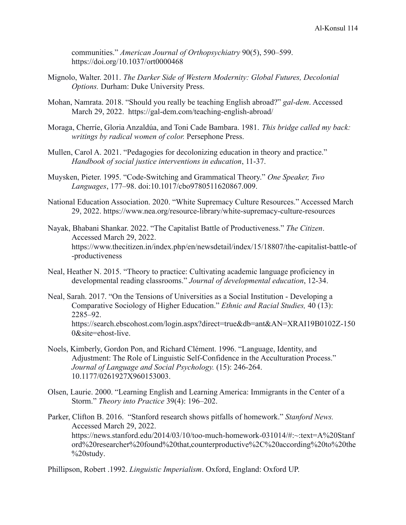communities." *American Journal of Orthopsychiatry* 90(5), 590–599. <https://doi.org/10.1037/ort0000468>

- Mignolo, Walter. 2011. *The Darker Side of Western Modernity: Global Futures, Decolonial Options.* Durham: Duke University Press.
- Mohan, Namrata. 2018. "Should you really be teaching English abroad?" *gal-dem*. Accessed March 29, 2022. <https://gal-dem.com/teaching-english-abroad/>
- Moraga, Cherríe, Gloria Anzaldúa, and Toni Cade Bambara. 1981. *This bridge called my back: writings by radical women of color.* Persephone Press.
- Mullen, Carol A. 2021. "Pedagogies for decolonizing education in theory and practice." *Handbook of social justice interventions in education*, 11-37.
- Muysken, Pieter. 1995. "Code-Switching and Grammatical Theory." *One Speaker, Two Languages*, 177–98. doi:10.1017/cbo9780511620867.009.
- National Education Association. 2020. "White Supremacy Culture Resources." Accessed March 29, 2022. <https://www.nea.org/resource-library/white-supremacy-culture-resources>
- Nayak, Bhabani Shankar. 2022. "The Capitalist Battle of Productiveness." *The Citizen*. Accessed March 29, 2022. [https://www.thecitizen.in/index.php/en/newsdetail/index/15/18807/the-capitalist-battle-of](https://www.thecitizen.in/index.php/en/newsdetail/index/15/18807/the-capitalist-battle-of-productiveness) [-productiveness](https://www.thecitizen.in/index.php/en/newsdetail/index/15/18807/the-capitalist-battle-of-productiveness)
- Neal, Heather N. 2015. "Theory to practice: Cultivating academic language proficiency in developmental reading classrooms." *Journal of developmental education*, 12-34.
- Neal, Sarah. 2017. "On the Tensions of Universities as a Social Institution Developing a Comparative Sociology of Higher Education." *Ethnic and Racial Studies,* 40 (13): 2285–92. https://search.ebscohost.com/login.aspx?direct=true&db=ant&AN=XRAI19B0102Z-150 0&site=ehost-live.
- Noels, Kimberly, Gordon Pon, and Richard Clément. 1996. "Language, Identity, and Adjustment: The Role of Linguistic Self-Confidence in the Acculturation Process." *Journal of Language and Social Psychology.* (15): 246-264. 10.1177/0261927X960153003.
- Olsen, Laurie. 2000. "Learning English and Learning America: Immigrants in the Center of a Storm." *Theory into Practice* 39(4): 196–202.
- Parker, Clifton B. 2016. "Stanford research shows pitfalls of homework." *Stanford News.* Accessed March 29, 2022. [https://news.stanford.edu/2014/03/10/too-much-homework-031014/#:~:text=A%20Stanf](https://news.stanford.edu/2014/03/10/too-much-homework-031014/#:~:text=A%20Stanford%20researcher%20found%20that,counterproductive%2C%20according%20to%20the%20study) [ord%20researcher%20found%20that,counterproductive%2C%20according%20to%20the](https://news.stanford.edu/2014/03/10/too-much-homework-031014/#:~:text=A%20Stanford%20researcher%20found%20that,counterproductive%2C%20according%20to%20the%20study) [%20study](https://news.stanford.edu/2014/03/10/too-much-homework-031014/#:~:text=A%20Stanford%20researcher%20found%20that,counterproductive%2C%20according%20to%20the%20study).

Phillipson, Robert .1992. *Linguistic Imperialism*. Oxford, England: Oxford UP.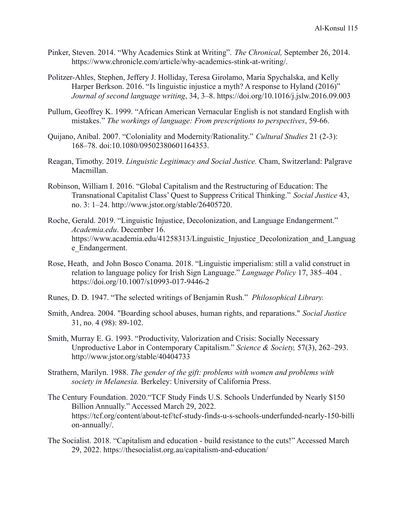- Pinker, Steven. 2014. "Why Academics Stink at Writing". *The Chronical,* September 26, 2014. <https://www.chronicle.com/article/why-academics-stink-at-writing/>.
- Politzer-Ahles, Stephen, Jeffery J. Holliday, Teresa Girolamo, Maria Spychalska, and Kelly Harper Berkson. 2016. "Is linguistic injustice a myth? A response to Hyland (2016)" *Journal of second language writing*, 34, 3–8. <https://doi.org/10.1016/j.jslw.2016.09.003>
- Pullum, Geoffrey K. 1999. "African American Vernacular English is not standard English with mistakes." *The workings of language: From prescriptions to perspectives*, 59-66.
- Quijano, Aníbal. 2007. "Coloniality and Modernity/Rationality." *Cultural Studies* 21 (2-3): 168–78. doi:10.1080/09502380601164353.
- Reagan, Timothy. 2019. *Linguistic Legitimacy and Social Justice.* Cham, Switzerland: Palgrave Macmillan.
- Robinson, William I. 2016. "Global Capitalism and the Restructuring of Education: The Transnational Capitalist Class' Quest to Suppress Critical Thinking." *Social Justice* 43, no. 3: 1–24. http://www.jstor.org/stable/26405720.
- Roche, Gerald. 2019. "Linguistic Injustice, Decolonization, and Language Endangerment." *Academia.edu*. December 16. https://www.academia.edu/41258313/Linguistic Injustice Decolonization and Languag e\_Endangerment.
- Rose, Heath, and John Bosco Conama. 2018. "Linguistic imperialism: still a valid construct in relation to language policy for Irish Sign Language." *Language Policy* 17, 385–404 . https://doi.org/10.1007/s10993-017-9446-2
- Runes, D. D. 1947. "The selected writings of Benjamin Rush." *Philosophical Library.*
- Smith, Andrea. 2004. "Boarding school abuses, human rights, and reparations." *Social Justice* 31, no. 4 (98): 89-102.
- Smith, Murray E. G. 1993. "Productivity, Valorization and Crisis: Socially Necessary Unproductive Labor in Contemporary Capitalism." *Science & Society,* 57(3), 262–293. <http://www.jstor.org/stable/40404733>
- Strathern, Marilyn. 1988. *The gender of the gift: problems with women and problems with society in Melanesia.* Berkeley: University of California Press.
- The Century Foundation. 2020."TCF Study Finds U.S. Schools Underfunded by Nearly \$150 Billion Annually." Accessed March 29, 2022. [https://tcf.org/content/about-tcf/tcf-study-finds-u-s-schools-underfunded-nearly-150-billi](https://tcf.org/content/about-tcf/tcf-study-finds-u-s-schools-underfunded-nearly-150-billion-annually/) [on-annually/.](https://tcf.org/content/about-tcf/tcf-study-finds-u-s-schools-underfunded-nearly-150-billion-annually/)
- The Socialist. 2018. "Capitalism and education build resistance to the cuts!" Accessed March 29, 2022. <https://thesocialist.org.au/capitalism-and-education/>